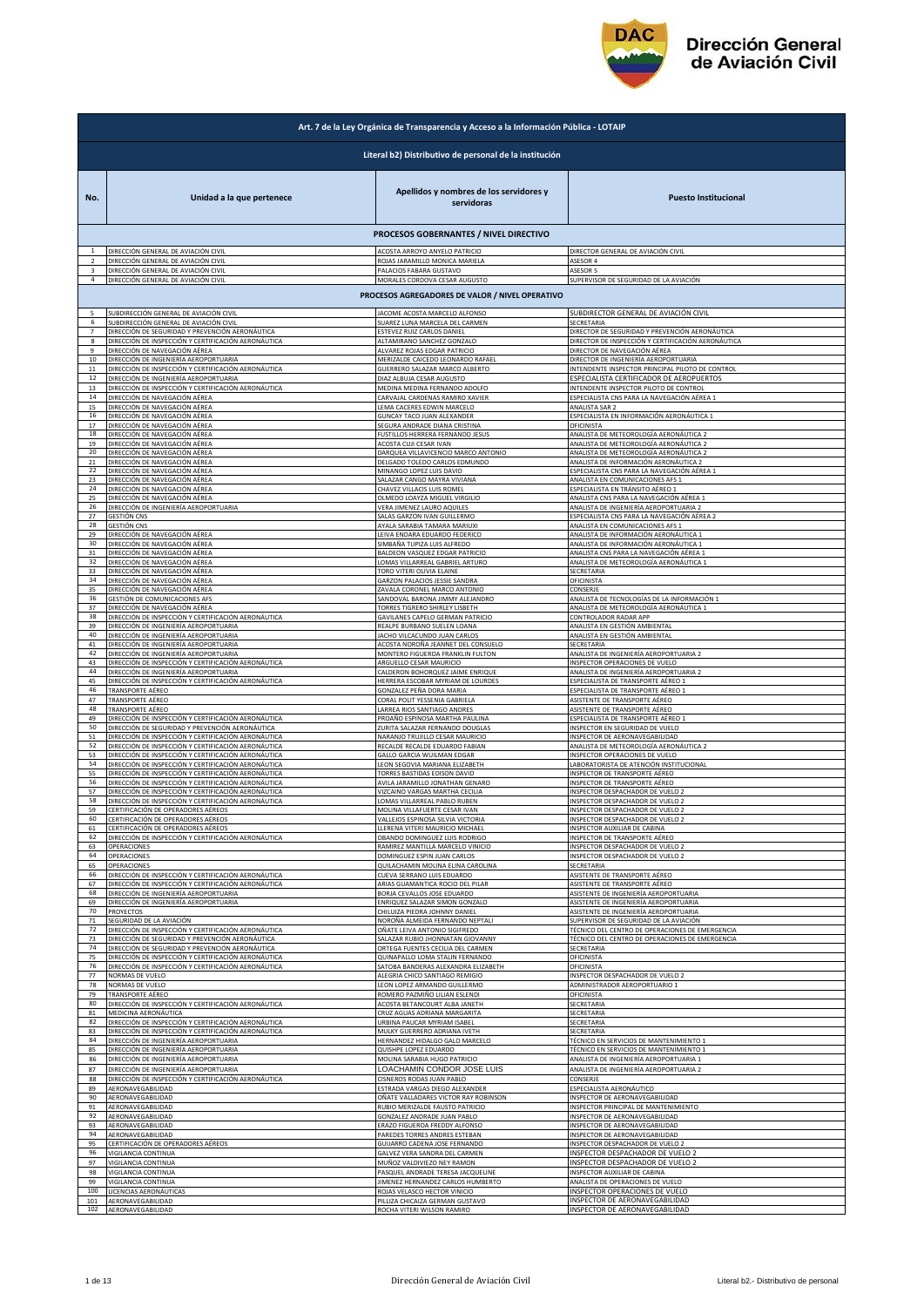

| Art. 7 de la Ley Orgánica de Transparencia y Acceso a la Información Pública - LOTAIP |                                                                                                                                                                   |                                                                    |                                                                                                             |  |
|---------------------------------------------------------------------------------------|-------------------------------------------------------------------------------------------------------------------------------------------------------------------|--------------------------------------------------------------------|-------------------------------------------------------------------------------------------------------------|--|
|                                                                                       | Literal b2) Distributivo de personal de la institución                                                                                                            |                                                                    |                                                                                                             |  |
| No.                                                                                   | Unidad a la que pertenece                                                                                                                                         | Apellidos y nombres de los servidores y<br>servidoras              | <b>Puesto Institucional</b>                                                                                 |  |
|                                                                                       |                                                                                                                                                                   | PROCESOS GOBERNANTES / NIVEL DIRECTIVO                             |                                                                                                             |  |
| $\mathbf{1}$                                                                          | DIRECCIÓN GENERAL DE AVIACIÓN CIVIL                                                                                                                               | ACOSTA ARROYO ANYELO PATRICIO                                      | DIRECTOR GENERAL DE AVIACIÓN CIVIL                                                                          |  |
| $\overline{2}$                                                                        | DIRECCIÓN GENERAL DE AVIACIÓN CIVIL                                                                                                                               | ROJAS JARAMILLO MONICA MARIELA                                     | ASESOR 4                                                                                                    |  |
| 3                                                                                     | DIRECCIÓN GENERAL DE AVIACIÓN CIVIL                                                                                                                               | PALACIOS FABARA GUSTAVO                                            | ASESOR 5                                                                                                    |  |
| $\overline{4}$                                                                        | DIRECCIÓN GENERAL DE AVIACIÓN CIVIL                                                                                                                               | MORALES CORDOVA CESAR AUGUSTO                                      | SUPERVISOR DE SEGURIDAD DE LA AVIACIÓN                                                                      |  |
|                                                                                       |                                                                                                                                                                   | PROCESOS AGREGADORES DE VALOR / NIVEL OPERATIVO                    |                                                                                                             |  |
| 5                                                                                     | SUBDIRECCIÓN GENERAL DE AVIACIÓN CIVIL                                                                                                                            | ACOME ACOSTA MARCELO ALFONSO                                       | SUBDIRECTOR GENERAL DE AVIACIÓN CIVIL                                                                       |  |
| 6                                                                                     | SUBDIRECCIÓN GENERAL DE AVIACIÓN CIVIL                                                                                                                            | SUAREZ LUNA MARCELA DEL CARMEN                                     | SECRETARIA                                                                                                  |  |
| $\overline{7}$                                                                        | DIRECCIÓN DE SEGURIDAD Y PREVENCIÓN AERONÁUTICA                                                                                                                   | ESTEVEZ RUIZ CARLOS DANIEL                                         | DIRECTOR DE SEGURIDAD Y PREVENCIÓN AERONÁUTICA                                                              |  |
| 8                                                                                     | DIRECCIÓN DE INSPECCIÓN Y CERTIFICACIÓN AERONÁUTICA                                                                                                               | ALTAMIRANO SANCHEZ GONZALO                                         | DIRECTOR DE INSPECCIÓN Y CERTIFICACIÓN AERONÁUTICA                                                          |  |
| $\mathbf{q}$                                                                          | DIRECCIÓN DE NAVEGACIÓN AÉREA                                                                                                                                     | ALVAREZ ROJAS EDGAR PATRICIO                                       | DIRECTOR DE NAVEGACIÓN AÉREA                                                                                |  |
| 10                                                                                    | DIRECCIÓN DE INGENIERÍA AEROPORTUARIA                                                                                                                             | MERIZALDE CAICEDO LEONARDO RAFAEL                                  | DIRECTOR DE INGENIERÍA AEROPORTUARIA                                                                        |  |
| $11\,$                                                                                | DIRECCIÓN DE INSPECCIÓN Y CERTIFICACIÓN AERONÁUTICA                                                                                                               | GUERRERO SALAZAR MARCO ALBERTO                                     | INTENDENTE INSPECTOR PRINCIPAL PILOTO DE CONTROL                                                            |  |
| 12                                                                                    | DIRECCIÓN DE INGENIERÍA AEROPORTUARIA                                                                                                                             | DIAZ ALBUJA CESAR AUGUSTO                                          | ESPECIALISTA CERTIFICADOR DE AEROPUERTOS                                                                    |  |
| 13                                                                                    | DIRECCIÓN DE INSPECCIÓN Y CERTIFICACIÓN AERONÁUTICA                                                                                                               | MEDINA MEDINA FERNANDO ADOLFO                                      | INTENDENTE INSPECTOR PILOTO DE CONTROL                                                                      |  |
| 14                                                                                    | DIRECCIÓN DE NAVEGACIÓN AÉREA                                                                                                                                     | CARVAJAL CARDENAS RAMIRO XAVIER                                    | ESPECIALISTA CNS PARA LA NAVEGACIÓN AÉREA 1                                                                 |  |
| 15                                                                                    | DIRECCIÓN DE NAVEGACIÓN AÉREA                                                                                                                                     | LEMA CACERES EDWIN MARCELO                                         | ANALISTA SAR 2                                                                                              |  |
| 16<br>17                                                                              | DIRECCIÓN DE NAVEGACIÓN AÉREA                                                                                                                                     | GUNCAY TACO JUAN ALEXANDER                                         | ESPECIALISTA EN INFORMACIÓN AERONÁUTICA 1<br>OFICINISTA                                                     |  |
| 18                                                                                    | DIRECCIÓN DE NAVEGACIÓN AÉREA<br>DIRECCIÓN DE NAVEGACIÓN AÉREA                                                                                                    | SEGURA ANDRADE DIANA CRISTINA<br>FUSTILLOS HERRERA FERNANDO JESUS  | ANALISTA DE METEOROLOGÍA AERONÁUTICA 2                                                                      |  |
| 19                                                                                    | DIRECCIÓN DE NAVEGACIÓN AÉREA                                                                                                                                     | ACOSTA CUJI CESAR IVAN                                             | ANALISTA DE METEOROLOGÍA AERONÁUTICA 2                                                                      |  |
| 20                                                                                    | DIRECCIÓN DE NAVEGACIÓN AÉREA                                                                                                                                     | DARQUEA VILLAVICENCIO MARCO ANTONIO                                | ANALISTA DE METEOROLOGÍA AERONÁUTICA 2                                                                      |  |
| $21\,$                                                                                | DIRECCIÓN DE NAVEGACIÓN AÉREA                                                                                                                                     | DELGADO TOLEDO CARLOS EDMUNDO                                      | ANALISTA DE INFORMACIÓN AERONÁUTICA 2                                                                       |  |
| 22                                                                                    | DIRECCIÓN DE NAVEGACIÓN AÉREA                                                                                                                                     | MINANGO LOPEZ LUIS DAVID                                           | ESPECIALISTA CNS PARA LA NAVEGACIÓN AÉREA 1                                                                 |  |
| 23                                                                                    | DIRECCIÓN DE NAVEGACIÓN AÉREA                                                                                                                                     | SALAZAR CANGO MAYRA VIVIANA                                        | ANALISTA EN COMUNICACIONES AFS 1                                                                            |  |
| 24                                                                                    | DIRECCIÓN DE NAVEGACIÓN AÉREA                                                                                                                                     | CHAVEZ VILLACIS LUIS ROMEL                                         | ESPECIALISTA EN TRÁNSITO AÉREO 1                                                                            |  |
| 25                                                                                    | DIRECCIÓN DE NAVEGACIÓN AÉREA                                                                                                                                     | OLMEDO LOAYZA MIGUEL VIRGILIO                                      | ANALISTA CNS PARA LA NAVEGACIÓN AÉREA 1                                                                     |  |
| 26                                                                                    | DIRECCIÓN DE INGENIERÍA AEROPORTUARIA                                                                                                                             | VERA JIMENEZ LAURO AQUILES                                         | ANALISTA DE INGENIERÍA AEROPORTUARIA 2                                                                      |  |
| 27                                                                                    | <b>GESTIÓN CNS</b>                                                                                                                                                | SALAS GARZON IVAN GUILLERMO                                        | ESPECIALISTA CNS PARA LA NAVEGACIÓN AÉREA 2                                                                 |  |
| 28                                                                                    | <b>GESTIÓN CNS</b>                                                                                                                                                | AYALA SARABIA TAMARA MARIUXI                                       | ANALISTA EN COMUNICACIONES AFS 1                                                                            |  |
| 29                                                                                    | DIRECCIÓN DE NAVEGACIÓN AÉREA                                                                                                                                     | LEIVA ENDARA EDUARDO FEDERICO                                      | ANALISTA DE INFORMACIÓN AERONÁUTICA 1                                                                       |  |
| 30                                                                                    | DIRECCIÓN DE NAVEGACIÓN AÉREA                                                                                                                                     | SIMBAÑA TUPIZA LUIS ALFREDO                                        | ANALISTA DE INFORMACIÓN AERONÁUTICA 1                                                                       |  |
| 31                                                                                    | DIRECCIÓN DE NAVEGACIÓN AÉREA                                                                                                                                     | BALDEON VASQUEZ EDGAR PATRICIO                                     | ANALISTA CNS PARA LA NAVEGACIÓN AÉREA 1                                                                     |  |
| 32                                                                                    | DIRECCIÓN DE NAVEGACIÓN AÉREA                                                                                                                                     | LOMAS VILLARREAL GABRIEL ARTURO                                    | ANALISTA DE METEOROLOGÍA AERONÁUTICA 1                                                                      |  |
| 33                                                                                    | DIRECCIÓN DE NAVEGACIÓN AÉREA                                                                                                                                     | TORO VITERI OLIVIA ELAINE                                          | SECRETARIA                                                                                                  |  |
| 34                                                                                    | DIRECCIÓN DE NAVEGACIÓN AÉREA                                                                                                                                     | GARZON PALACIOS JESSIE SANDRA                                      | OFICINISTA                                                                                                  |  |
| 35                                                                                    | DIRECCIÓN DE NAVEGACIÓN AÉREA                                                                                                                                     | ZAVALA CORONEL MARCO ANTONIO                                       | CONSERJE                                                                                                    |  |
| 36                                                                                    | GESTIÓN DE COMUNICACIONES AFS                                                                                                                                     | SANDOVAL BARONA JIMMY ALEJANDRO                                    | ANALISTA DE TECNOLOGÍAS DE LA INFORMACIÓN 1                                                                 |  |
| 37                                                                                    | DIRECCIÓN DE NAVEGACIÓN AÉREA                                                                                                                                     | TORRES TIGRERO SHIRLEY LISBETH                                     | ANALISTA DE METEOROLOGÍA AERONÁUTICA :                                                                      |  |
| 38                                                                                    | DIRECCIÓN DE INSPECCIÓN Y CERTIFICACIÓN AERONÁUTICA                                                                                                               | GAVILANES CAPELO GERMAN PATRICIO                                   | CONTROLADOR RADAR APP                                                                                       |  |
| 39                                                                                    | DIRECCIÓN DE INGENIERÍA AEROPORTUARIA                                                                                                                             | REALPE BURBANO SUELEN LOANA                                        | ANALISTA EN GESTIÓN AMBIENTAL                                                                               |  |
| 40                                                                                    | DIRECCIÓN DE INGENIERÍA AEROPORTUARIA                                                                                                                             | <b>JACHO VILCACUNDO JUAN CARLOS</b>                                | ANALISTA EN GESTIÓN AMBIENTAL                                                                               |  |
| 41                                                                                    | DIRECCIÓN DE INGENIERÍA AEROPORTUARIA                                                                                                                             | ACOSTA NOROÑA JEANNET DEL CONSUELO                                 | SECRETARIA                                                                                                  |  |
| 42                                                                                    | DIRECCIÓN DE INGENIERÍA AEROPORTUARIA                                                                                                                             | MONTERO FIGUEROA FRANKLIN FULTON                                   | ANALISTA DE INGENIERÍA AEROPORTUARIA 2                                                                      |  |
| 43                                                                                    | DIRECCIÓN DE INSPECCIÓN Y CERTIFICACIÓN AERONÁUTICA                                                                                                               | ARGUELLO CESAR MAURICIO                                            | INSPECTOR OPERACIONES DE VUELO                                                                              |  |
| 44                                                                                    | DIRECCIÓN DE INGENIERÍA AEROPORTUARIA                                                                                                                             | CALDERON BOHORQUEZ JAIME ENRIQUE                                   | ANALISTA DE INGENIERÍA AEROPORTUARIA 2                                                                      |  |
| 45                                                                                    | DIRECCIÓN DE INSPECCIÓN Y CERTIFICACIÓN AERONÁUTICA                                                                                                               | HERRERA ESCOBAR MYRIAM DE LOURDES                                  | ESPECIALISTA DE TRANSPORTE AÉREO 1                                                                          |  |
| 46                                                                                    | TRANSPORTE AÉREO                                                                                                                                                  | GONZALEZ PEÑA DORA MARIA                                           | ESPECIALISTA DE TRANSPORTE AÉREO 1                                                                          |  |
| 47                                                                                    | TRANSPORTE AÉREO                                                                                                                                                  | CORAL POLIT YESSENIA GABRIELA                                      | ASISTENTE DE TRANSPORTE AÉREO                                                                               |  |
| 48                                                                                    | TRANSPORTE AÉREO                                                                                                                                                  | ARREA RIOS SANTIAGO ANDRES                                         | ASISTENTE DE TRANSPORTE AÉREO                                                                               |  |
| 49<br>50                                                                              | DIRECCIÓN DE INSPECCIÓN Y CERTIFICACIÓN AERONÁUTICA                                                                                                               | PROAÑO ESPINOSA MARTHA PAULINA                                     | ESPECIALISTA DE TRANSPORTE AÉREO 1                                                                          |  |
| 51                                                                                    | DIRECCIÓN DE SEGURIDAD Y PREVENCIÓN AERONÁUTICA<br>DIRECCIÓN DE INSPECCIÓN Y CERTIFICACIÓN AERONÁUTICA                                                            | ZURITA SALAZAR FERNANDO DOUGLAS<br>NARANJO TRUJILLO CESAR MAURICIO | INSPECTOR EN SEGURIDAD DE VUELO<br>INSPECTOR DE AERONAVEGABILIDAD<br>ANALISTA DE METEOROLOGÍA AERONÁUTICA 2 |  |
| 52<br>53                                                                              | DIRECCIÓN DE INSPECCIÓN Y CERTIFICACIÓN AERONÁUTICA<br>DIRECCIÓN DE INSPECCIÓN Y CERTIFICACIÓN AERONÁUTICA<br>DIRECCIÓN DE INSPECCIÓN Y CERTIFICACIÓN AERONÁUTICA | RECALDE RECALDE EDUARDO FABIAN<br>GALLO GARCIA WUILMAN EDGAR       | INSPECTOR OPERACIONES DE VUELO                                                                              |  |
| 54                                                                                    | DIRECCIÓN DE INSPECCIÓN Y CERTIFICACIÓN AERONÁUTICA                                                                                                               | LEON SEGOVIA MARIANA ELIZABETH                                     | LABORATORISTA DE ATENCIÓN INSTITUCIONAL                                                                     |  |
| 55                                                                                    |                                                                                                                                                                   | TORRES BASTIDAS EDISON DAVID                                       | INSPECTOR DE TRANSPORTE AÉREO                                                                               |  |
| 56                                                                                    | DIRECCIÓN DE INSPECCIÓN Y CERTIFICACIÓN AERONÁUTICA                                                                                                               | AVILA JARAMILLO JONATHAN GENARO                                    | INSPECTOR DE TRANSPORTE AÉREO                                                                               |  |
| 57                                                                                    | DIRECCIÓN DE INSPECCIÓN Y CERTIFICACIÓN AERONÁUTICA                                                                                                               | VIZCAINO VARGAS MARTHA CECILIA                                     | INSPECTOR DESPACHADOR DE VUELO 2                                                                            |  |
| 58                                                                                    | DIRECCIÓN DE INSPECCIÓN Y CERTIFICACIÓN AERONÁUTICA                                                                                                               | LOMAS VILLARREAL PABLO RUBEN                                       | INSPECTOR DESPACHADOR DE VUELO 2                                                                            |  |
|                                                                                       | CERTIFICACIÓN DE OPERADORES AÉREOS                                                                                                                                | MOLINA VILLAFUERTE CESAR IVAN                                      | INSPECTOR DESPACHADOR DE VUELO :                                                                            |  |
| 60                                                                                    | CERTIFICACIÓN DE OPERADORES AÉREOS                                                                                                                                | VALLEJOS ESPINOSA SILVIA VICTORIA                                  | INSPECTOR DESPACHADOR DE VUELO 2                                                                            |  |
| 61                                                                                    | CERTIFICACIÓN DE OPERADORES AÉREOS                                                                                                                                | LLERENA VITERI MAURICIO MICHAEL                                    | INSPECTOR AUXILIAR DE CABINA                                                                                |  |
| 62                                                                                    | DIRECCIÓN DE INSPECCIÓN Y CERTIFICACIÓN AERONÁUTICA                                                                                                               | OBANDO DOMINGUEZ LUIS RODRIGO                                      | INSPECTOR DE TRANSPORTE AÉREO                                                                               |  |
| 63                                                                                    | OPERACIONES                                                                                                                                                       | RAMIREZ MANTILLA MARCELO VINICIO                                   | INSPECTOR DESPACHADOR DE VUELO 2                                                                            |  |
| 64                                                                                    | OPERACIONES                                                                                                                                                       | DOMINGUEZ ESPIN JUAN CARLOS                                        | INSPECTOR DESPACHADOR DE VUELO 2                                                                            |  |
| 65                                                                                    | OPERACIONES                                                                                                                                                       | QUILACHAMIN MOLINA ELINA CAROLINA                                  | SECRETARIA                                                                                                  |  |
| 66                                                                                    | DIRECCIÓN DE INSPECCIÓN Y CERTIFICACIÓN AERONÁUTICA                                                                                                               | CUEVA SERRANO LUIS EDUARDO                                         | ASISTENTE DE TRANSPORTE AÉREO                                                                               |  |
| 67                                                                                    | DIRECCIÓN DE INSPECCIÓN Y CERTIFICACIÓN AERONÁUTICA                                                                                                               | ARIAS GUAMANTICA ROCIO DEL PILAR                                   | ASISTENTE DE TRANSPORTE AÉREO                                                                               |  |
| 68                                                                                    | DIRECCIÓN DE INGENIERÍA AEROPORTUARIA                                                                                                                             | BORJA CEVALLOS JOSE EDUARDO                                        | ASISTENTE DE INGENIERÍA AEROPORTUARIA                                                                       |  |
| 69                                                                                    | DIRECCIÓN DE INGENIERÍA AEROPORTUARIA                                                                                                                             | ENRIQUEZ SALAZAR SIMON GONZALO                                     | ASISTENTE DE INGENIERÍA AEROPORTUARIA                                                                       |  |
| 70                                                                                    | <b>PROYECTOS</b>                                                                                                                                                  | CHILUIZA PIEDRA JOHNNY DANIEL                                      | ASISTENTE DE INGENIERÍA AEROPORTUARIA                                                                       |  |
| 71                                                                                    | SEGURIDAD DE LA AVIACIÓN                                                                                                                                          | NOROÑA ALMEIDA FERNANDO NEPTALI                                    | SUPERVISOR DE SEGURIDAD DE LA AVIACIÓN                                                                      |  |
| 72                                                                                    | DIRECCIÓN DE INSPECCIÓN Y CERTIFICACIÓN AERONÁUTICA                                                                                                               | OÑATE LEIVA ANTONIO SIGIFREDO                                      | TÉCNICO DEL CENTRO DE OPERACIONES DE EMERGENCIA                                                             |  |
| 73                                                                                    | DIRECCIÓN DE SEGURIDAD Y PREVENCIÓN AERONÁUTICA                                                                                                                   | SALAZAR RUBIO JHONNATAN GIOVANNY                                   | TÉCNICO DEL CENTRO DE OPERACIONES DE EMERGENCIA                                                             |  |
| 74                                                                                    | DIRECCIÓN DE SEGURIDAD Y PREVENCIÓN AERONÁUTICA                                                                                                                   | ORTEGA FUENTES CECILIA DEL CARMEN                                  | SECRETARIA                                                                                                  |  |
| 75                                                                                    | DIRECCIÓN DE INSPECCIÓN Y CERTIFICACIÓN AERONÁUTICA                                                                                                               | QUINAPALLO LOMA STALIN FERNANDO                                    | OFICINISTA                                                                                                  |  |
| 76                                                                                    | DIRECCIÓN DE INSPECCIÓN Y CERTIFICACIÓN AERONÁUTICA                                                                                                               | SATOBA BANDERAS ALEXANDRA ELIZABETH                                | OFICINISTA                                                                                                  |  |
| 77                                                                                    | NORMAS DE VUELO                                                                                                                                                   | ALEGRIA CHICO SANTIAGO REMIGIO                                     | <b>INSPECTOR DESPACHADOR DE VUELO 2</b>                                                                     |  |
| 78                                                                                    | NORMAS DE VUELO                                                                                                                                                   | LEON LOPEZ ARMANDO GUILLERMO                                       | ADMINISTRADOR AEROPORTUARIO 1                                                                               |  |
| 79                                                                                    | TRANSPORTE AÉREO                                                                                                                                                  | ROMERO PAZMIÑO LILIAN ESLENDI                                      | OFICINISTA                                                                                                  |  |
| 80                                                                                    | DIRECCIÓN DE INSPECCIÓN Y CERTIFICACIÓN AERONÁUTICA                                                                                                               | ACOSTA BETANCOURT ALBA JANETH                                      | SECRETARIA                                                                                                  |  |
| 81                                                                                    | MEDICINA AERONÁUTICA                                                                                                                                              | CRUZ AGUAS ADRIANA MARGARITA                                       | SECRETARIA                                                                                                  |  |
| 82                                                                                    | DIRECCIÓN DE INSPECCIÓN Y CERTIFICACIÓN AERONÁUTICA                                                                                                               | URBINA PAUCAR MYRIAM ISABEL                                        | <b>SECRETARIA</b>                                                                                           |  |
| 83                                                                                    | DIRECCIÓN DE INSPECCIÓN Y CERTIFICACIÓN AERONÁUTICA                                                                                                               | MULKY GUERRERO ADRIANA IVETH                                       | <b>SECRETARIA</b>                                                                                           |  |
| 84                                                                                    | DIRECCIÓN DE INGENIERÍA AEROPORTUARIA                                                                                                                             | HERNANDEZ HIDALGO GALO MARCELO                                     | TÉCNICO EN SERVICIOS DE MANTENIMIENTO 1                                                                     |  |
| 85                                                                                    | DIRECCIÓN DE INGENIERÍA AEROPORTUARIA                                                                                                                             | QUISHPE LOPEZ EDUARDO                                              | TÉCNICO EN SERVICIOS DE MANTENIMIENTO 1                                                                     |  |
| 86                                                                                    | DIRECCIÓN DE INGENIERÍA AEROPORTUARIA                                                                                                                             | MOLINA SARABIA HUGO PATRICIO                                       | ANALISTA DE INGENIERÍA AEROPORTUARIA 1<br>ANALISTA DE INGENIERÍA AEROPORTUARIA 2                            |  |
| 87                                                                                    | DIRECCIÓN DE INGENIERÍA AEROPORTUARIA                                                                                                                             | LOACHAMIN CONDOR JOSE LUIS                                         | CONSERJE                                                                                                    |  |
| 88                                                                                    | DIRECCIÓN DE INSPECCIÓN Y CERTIFICACIÓN AERONÁUTICA                                                                                                               | CISNEROS RODAS JUAN PABLO                                          |                                                                                                             |  |
| 89                                                                                    | AERONAVEGABILIDAD                                                                                                                                                 | ESTRADA VARGAS DIEGO ALEXANDER                                     | ESPECIALISTA AERONÁUTICO                                                                                    |  |
| 90                                                                                    | AERONAVEGABILIDAD                                                                                                                                                 | OÑATE VALLADARES VICTOR RAY ROBINSON                               | INSPECTOR DE AERONAVEGABILIDAD                                                                              |  |
| 91                                                                                    | AERONAVEGABILIDAD                                                                                                                                                 | RUBIO MERIZALDE FAUSTO PATRICIO                                    | INSPECTOR PRINCIPAL DE MANTENIMIENTO                                                                        |  |
| 92                                                                                    | AERONAVEGABILIDAD                                                                                                                                                 | GONZALEZ ANDRADE JUAN PABLO                                        | INSPECTOR DE AERONAVEGABILIDAD                                                                              |  |
| 93                                                                                    | AERONAVEGABILIDAD                                                                                                                                                 | ERAZO FIGUEROA FREDDY ALFONSO                                      | INSPECTOR DE AERONAVEGABILIDAD                                                                              |  |
| 94                                                                                    | AERONAVEGABILIDAD                                                                                                                                                 | PAREDES TORRES ANDRES ESTEBAN                                      | INSPECTOR DE AERONAVEGABILIDAD                                                                              |  |
| 95                                                                                    | CERTIFICACIÓN DE OPERADORES AÉREOS                                                                                                                                | GUIJARRO CADENA JOSE FERNANDO                                      | INSPECTOR DESPACHADOR DE VUELO 2                                                                            |  |
| 96                                                                                    | VIGILANCIA CONTINUA                                                                                                                                               | GALVEZ VERA SANDRA DEL CARMEN                                      | INSPECTOR DESPACHADOR DE VUELO 2                                                                            |  |
| 97                                                                                    | VIGILANCIA CONTINUA                                                                                                                                               | MUÑOZ VALDIVIEZO NEY RAMON                                         | INSPECTOR DESPACHADOR DE VUELO 2                                                                            |  |
| 98                                                                                    | VIGILANCIA CONTINUA                                                                                                                                               | PASQUEL ANDRADE TERESA JACQUELINE                                  | INSPECTOR AUXILIAR DE CABINA                                                                                |  |
| 99                                                                                    | VIGILANCIA CONTINUA                                                                                                                                               | <b>IIMENEZ HERNANDEZ CARLOS HUMBERTO</b>                           | ANALISTA DE OPERACIONES DE VUELO                                                                            |  |
| 100                                                                                   | LICENCIAS AERONÁUTICAS                                                                                                                                            | ROJAS VELASCO HECTOR VINICIO                                       | INSPECTOR OPERACIONES DE VUELO                                                                              |  |
| 101                                                                                   | AERONAVEGABILIDAD                                                                                                                                                 | PILLIZA CHICAIZA GERMAN GUSTAVO                                    | INSPECTOR DE AERONAVEGABILIDAD                                                                              |  |
| 102                                                                                   | AERONAVEGABILIDAD                                                                                                                                                 | ROCHA VITERI WILSON RAMIRO                                         | INSPECTOR DE AERONAVEGABILIDAD                                                                              |  |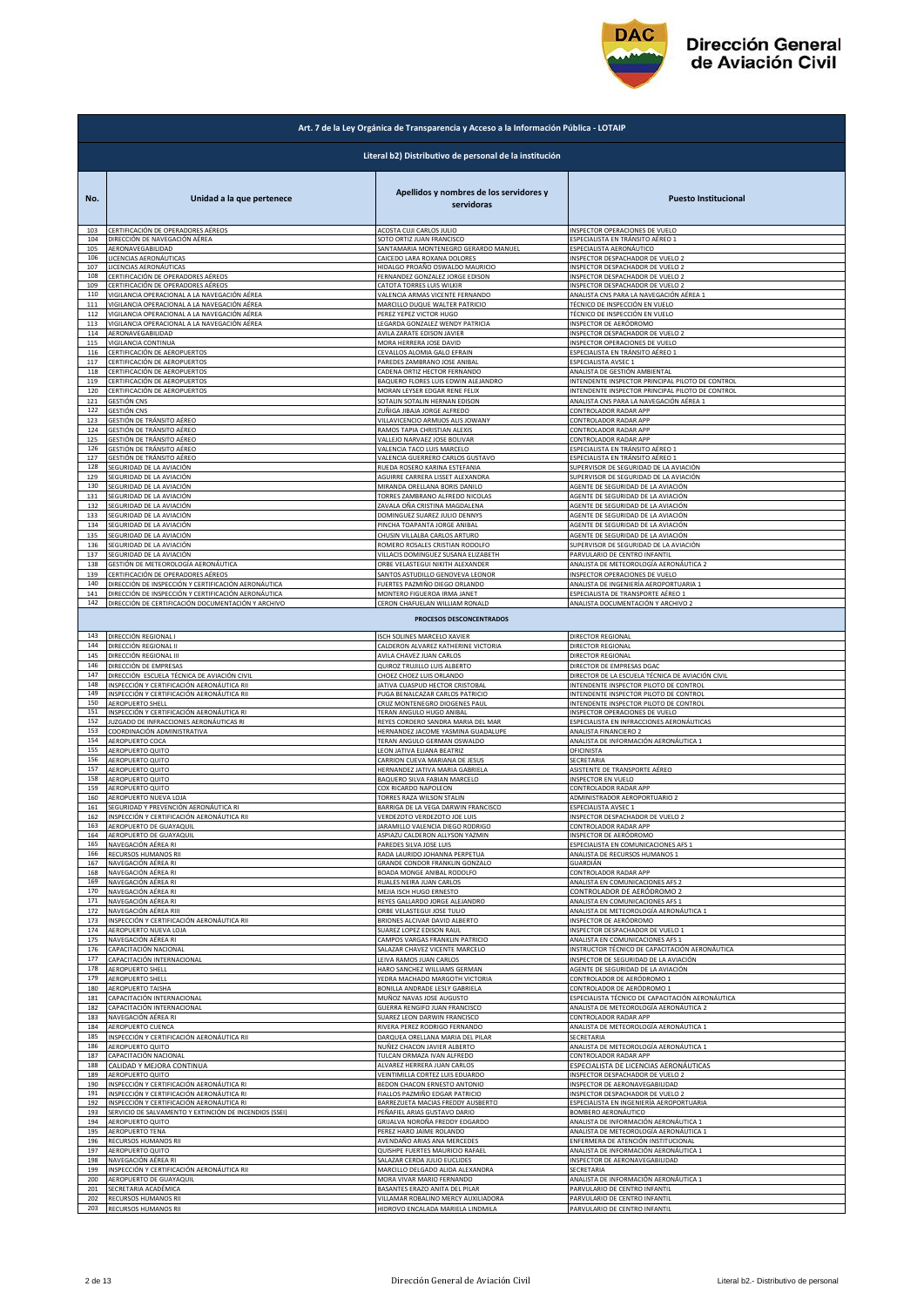

|            | Art. 7 de la Ley Orgánica de Transparencia y Acceso a la Información Pública - LOTAIP |                                                               |                                                                          |  |
|------------|---------------------------------------------------------------------------------------|---------------------------------------------------------------|--------------------------------------------------------------------------|--|
|            | Literal b2) Distributivo de personal de la institución                                |                                                               |                                                                          |  |
| No.        | Unidad a la que pertenece                                                             | Apellidos y nombres de los servidores y<br>servidoras         | <b>Puesto Institucional</b>                                              |  |
| 103        | CERTIFICACIÓN DE OPERADORES AÉREOS                                                    | ACOSTA CUJI CARLOS JULIO                                      | INSPECTOR OPERACIONES DE VUELO                                           |  |
| 104        | DIRECCIÓN DE NAVEGACIÓN AÉREA                                                         | SOTO ORTIZ JUAN FRANCISCO                                     | ESPECIALISTA EN TRÁNSITO AÉREO 1                                         |  |
| 105        | AERONAVEGABILIDAD                                                                     | SANTAMARIA MONTENEGRO GERARDO MANUEL                          | ESPECIALISTA AERONÁUTICO                                                 |  |
| 106        | LICENCIAS AERONÁUTICAS                                                                | CAICEDO LARA ROXANA DOLORES                                   | INSPECTOR DESPACHADOR DE VUELO 2                                         |  |
| 107        | LICENCIAS AERONÁUTICAS                                                                | HIDALGO PROAÑO OSWALDO MAURICIO                               | INSPECTOR DESPACHADOR DE VUELO 2                                         |  |
| 108        | CERTIFICACIÓN DE OPERADORES AÉREOS                                                    | FERNANDEZ GONZALEZ JORGE EDISON                               | INSPECTOR DESPACHADOR DE VUELO 2                                         |  |
| 109        | CERTIFICACIÓN DE OPERADORES AÉREOS                                                    | CATOTA TORRES LUIS WILKIR                                     | INSPECTOR DESPACHADOR DE VUELO 2                                         |  |
| 110        | VIGILANCIA OPERACIONAL A LA NAVEGACIÓN AÉREA                                          | VALENCIA ARMAS VICENTE FERNANDO                               | ANALISTA CNS PARA LA NAVEGACIÓN AÉREA 1                                  |  |
| 111        | VIGILANCIA OPERACIONAL A LA NAVEGACIÓN AÉREA                                          | MARCILLO DUQUE WALTER PATRICIO                                | TÉCNICO DE INSPECCIÓN EN VUELO                                           |  |
| 112        | VIGILANCIA OPERACIONAL A LA NAVEGACIÓN AÉREA                                          | PEREZ YEPEZ VICTOR HUGO                                       | TÉCNICO DE INSPECCIÓN EN VUELO                                           |  |
| 113        | VIGILANCIA OPERACIONAL A LA NAVEGACIÓN AÉREA                                          | LEGARDA GONZALEZ WENDY PATRICIA                               | INSPECTOR DE AERÓDROMO                                                   |  |
| 114        | AERONAVEGABILIDAD                                                                     | AVILA ZARATE EDISON JAVIER                                    | INSPECTOR DESPACHADOR DE VUELO 2                                         |  |
| 115        | VIGILANCIA CONTINUA                                                                   | MORA HERRERA JOSE DAVID                                       | INSPECTOR OPERACIONES DE VUELO                                           |  |
| 116        | CERTIFICACIÓN DE AEROPUERTOS                                                          | CEVALLOS ALOMIA GALO EFRAIN                                   | ESPECIALISTA EN TRÁNSITO AÉREO 1                                         |  |
| 117        | CERTIFICACIÓN DE AEROPUERTOS                                                          | PAREDES ZAMBRANO JOSE ANIBAL                                  | ESPECIALISTA AVSEC 1                                                     |  |
| 118        | CERTIFICACIÓN DE AEROPUERTOS                                                          | CADENA ORTIZ HECTOR FERNANDO                                  | ANALISTA DE GESTIÓN AMBIENTAL                                            |  |
| 119        | CERTIFICACIÓN DE AEROPUERTOS                                                          | BAQUERO FLORES LUIS EDWIN ALEJANDRO                           | INTENDENTE INSPECTOR PRINCIPAL PILOTO DE CONTROL                         |  |
| 120        | CERTIFICACIÓN DE AEROPUERTOS                                                          | MORAN LEYSER EDGAR RENE FELIX                                 | INTENDENTE INSPECTOR PRINCIPAL PILOTO DE CONTROL                         |  |
| 121        | <b>GESTIÓN CNS</b>                                                                    | SOTALIN SOTALIN HERNAN EDISON                                 | ANALISTA CNS PARA LA NAVEGACIÓN AÉREA 1                                  |  |
| 122        | GESTIÓN CNS                                                                           | ZUÑIGA JIBAJA JORGE ALFREDO                                   | CONTROLADOR RADAR APP                                                    |  |
| 123        | GESTIÓN DE TRÁNSITO AÉREO                                                             | VILLAVICENCIO ARMIJOS ALIS JOWANY                             | CONTROLADOR RADAR APP                                                    |  |
| 124        | GESTIÓN DE TRÁNSITO AÉREO                                                             | RAMOS TAPIA CHRISTIAN ALEXIS                                  | CONTROLADOR RADAR APP                                                    |  |
| 125        | GESTIÓN DE TRÁNSITO AÉREO                                                             | VALLEJO NARVAEZ JOSE BOLIVAR                                  | CONTROLADOR RADAR APP                                                    |  |
| 126        | GESTIÓN DE TRÁNSITO AÉREO                                                             | VALENCIA TACO LUIS MARCELO                                    | ESPECIALISTA EN TRÁNSITO AÉREO 1                                         |  |
| 127        | GESTIÓN DE TRÁNSITO AÉREO                                                             | VALENCIA GUERRERO CARLOS GUSTAVO                              | ESPECIALISTA EN TRÁNSITO AÉREO 1                                         |  |
| 128        | SEGURIDAD DE LA AVIACIÓN                                                              | RUEDA ROSERO KARINA ESTEFANIA                                 | SUPERVISOR DE SEGURIDAD DE LA AVIACIÓN                                   |  |
| 129        | SEGURIDAD DE LA AVIACIÓN                                                              | AGUIRRE CARRERA LISSET ALEXANDRA                              | SUPERVISOR DE SEGURIDAD DE LA AVIACIÓN                                   |  |
| 130        | SEGURIDAD DE LA AVIACIÓN                                                              | MIRANDA ORELLANA BORIS DANILO                                 | AGENTE DE SEGURIDAD DE LA AVIACIÓN                                       |  |
| 131        | SEGURIDAD DE LA AVIACIÓN                                                              | TORRES ZAMBRANO ALFREDO NICOLAS                               | AGENTE DE SEGURIDAD DE LA AVIACIÓN                                       |  |
| 132        | SEGURIDAD DE LA AVIACIÓN<br>SEGURIDAD DE LA AVIACIÓN                                  | ZAVALA OÑA CRISTINA MAGDALENA                                 | AGENTE DE SEGURIDAD DE LA AVIACIÓN<br>AGENTE DE SEGURIDAD DE LA AVIACIÓN |  |
| 133<br>134 | SEGURIDAD DE LA AVIACIÓN                                                              | DOMINGUEZ SUAREZ JULIO DENNYS<br>PINCHA TOAPANTA JORGE ANIBAL | AGENTE DE SEGURIDAD DE LA AVIACIÓN                                       |  |
| 135        | SEGURIDAD DE LA AVIACIÓN                                                              | CHUSIN VILLALBA CARLOS ARTURO                                 | AGENTE DE SEGURIDAD DE LA AVIACIÓN                                       |  |
| 136        | SEGURIDAD DE LA AVIACIÓN                                                              | ROMERO ROSALES CRISTIAN RODOLFO                               | SUPERVISOR DE SEGURIDAD DE LA AVIACIÓN                                   |  |
| 137        | SEGURIDAD DE LA AVIACIÓN                                                              | VILLACIS DOMINGUEZ SUSANA ELIZABETH                           | PARVULARIO DE CENTRO INFANTIL                                            |  |
| 138        | GESTIÓN DE METEOROLOGÍA AERONÁUTICA                                                   | ORBE VELASTEGUI NIKITH ALEXANDER                              | ANALISTA DE METEOROLOGÍA AERONÁUTICA 2                                   |  |
| 139        | CERTIFICACIÓN DE OPERADORES AÉREOS                                                    | SANTOS ASTUDILLO GENOVEVA LEONOR                              | INSPECTOR OPERACIONES DE VUELO                                           |  |
| 140        | DIRECCIÓN DE INSPECCIÓN Y CERTIFICACIÓN AERONÁUTICA                                   | FUERTES PAZMIÑO DIEGO ORLANDO                                 | ANALISTA DE INGENIERÍA AEROPORTUARIA 1                                   |  |
| 141        | DIRECCIÓN DE INSPECCIÓN Y CERTIFICACIÓN AERONÁUTICA                                   | MONTERO FIGUEROA IRMA JANET                                   | ESPECIALISTA DE TRANSPORTE AÉREO 1                                       |  |
| 142        | DIRECCIÓN DE CERTIFICACIÓN DOCUMENTACIÓN Y ARCHIVO                                    | CERON CHAFUELAN WILLIAM RONALD                                | ANALISTA DOCUMENTACIÓN Y ARCHIVO 2                                       |  |
|            |                                                                                       | PROCESOS DESCONCENTRADOS                                      |                                                                          |  |
| 143        | DIRECCIÓN REGIONAL I                                                                  | ISCH SOLINES MARCELO XAVIER                                   | DIRECTOR REGIONAL                                                        |  |
| 144        | DIRECCIÓN REGIONAL II                                                                 | CALDERON ALVAREZ KATHERINE VICTORIA                           | DIRECTOR REGIONAL                                                        |  |
| 145        | DIRECCIÓN REGIONAL III                                                                | AVILA CHAVEZ JUAN CARLOS                                      | DIRECTOR REGIONAL                                                        |  |
| 146        | DIRECCIÓN DE EMPRESAS                                                                 | QUIROZ TRUJILLO LUIS ALBERTO                                  | DIRECTOR DE EMPRESAS DGAC                                                |  |
| 147        | DIRECCIÓN ESCUELA TÉCNICA DE AVIACIÓN CIVIL                                           | CHOEZ CHOEZ LUIS ORLANDO                                      | DIRECTOR DE LA ESCUELA TÉCNICA DE AVIACIÓN CIVIL                         |  |
| 148        | INSPECCIÓN Y CERTIFICACIÓN AERONÁUTICA RII                                            | JATIVA CUASPUD HECTOR CRISTOBAL                               | INTENDENTE INSPECTOR PILOTO DE CONTROL                                   |  |
| 149<br>150 | INSPECCIÓN Y CERTIFICACIÓN AERONÁUTICA RII                                            | PUGA BENALCAZAR CARLOS PATRICIO                               | INTENDENTE INSPECTOR PILOTO DE CONTROL                                   |  |
| 151        | AEROPUERTO SHELL                                                                      | CRUZ MONTENEGRO DIOGENES PAUL                                 | INTENDENTE INSPECTOR PILOTO DE CONTROL                                   |  |
|            | INSPECCIÓN Y CERTIFICACIÓN AERONÁUTICA RI                                             | TERAN ANGULO HUGO ANIBAL                                      | INSPECTOR OPERACIONES DE VUELO                                           |  |
| 152        | JUZGADO DE INFRACCIONES AERONÁUTICAS RI                                               | REYES CORDERO SANDRA MARIA DEL MAR                            | ESPECIALISTA EN INFRACCIONES AERONÁUTICAS                                |  |
| 153        | COORDINACIÓN ADMINISTRATIVA                                                           | HERNANDEZ JACOME YASMINA GUADALUPE                            | ANALISTA FINANCIERO 2                                                    |  |
| 154        | AEROPUERTO COCA                                                                       | TERAN ANGULO GERMAN OSWALDO                                   | ANALISTA DE INFORMACIÓN AERONÁUTICA 1                                    |  |
| 155        | AEROPUERTO QUITO                                                                      | LEON JATIVA ELIANA BEATRIZ                                    | OFICINISTA                                                               |  |
| 156        | AEROPUERTO QUITO                                                                      | CARRION CUEVA MARIANA DE JESUS                                | SECRETARIA                                                               |  |
| 157        | AEROPUERTO QUITO                                                                      | HERNANDEZ JATIVA MARIA GABRIELA                               | ASISTENTE DE TRANSPORTE AÉREO                                            |  |
| 158        | AEROPUERTO QUITO                                                                      | BAQUERO SILVA FABIAN MARCELO                                  | INSPECTOR EN VUELO                                                       |  |
| 159        | AEROPUERTO QUITO                                                                      | COX RICARDO NAPOLEON                                          | CONTROLADOR RADAR APP                                                    |  |
| 160        | AEROPUERTO NUEVA LOJA                                                                 | TORRES RAZA WILSON STALIN                                     | ADMINISTRADOR AEROPORTUARIO 2                                            |  |
| 161        | SEGURIDAD Y PREVENCIÓN AFRONÁUTICA RI                                                 | BARRIGA DE LA VEGA DARWIN FRANCISCO                           | <b>FSPECIALISTA AVSEC 1</b>                                              |  |
| 162        | INSPECCIÓN Y CERTIFICACIÓN AERONÁUTICA RII                                            | VERDEZOTO VERDEZOTO JOE LUIS                                  | <b>NSPECTOR DESPACHADOR DE VUELO 2</b>                                   |  |
| 163        | AEROPUERTO DE GUAYAQUIL                                                               | JARAMILLO VALENCIA DIEGO RODRIGO                              | CONTROLADOR RADAR APP                                                    |  |
| 164        | AEROPUERTO DE GUAYAQUIL                                                               | ASPIAZU CALDERON ALLYSON YAZMIN                               | INSPECTOR DE AERÓDROMO                                                   |  |
| 165        | NAVEGACIÓN AÉREA RI                                                                   | PAREDES SILVA JOSE LUIS                                       | ESPECIALISTA EN COMUNICACIONES AFS 1                                     |  |
| 166        | RECURSOS HUMANOS RII                                                                  | RADA LAURIDO JOHANNA PERPETUA                                 | ANALISTA DE RECURSOS HUMANOS 1                                           |  |
| 167        | NAVEGACIÓN AÉREA RI                                                                   | GRANDE CONDOR FRANKLIN GONZALO                                | GUARDIÁN                                                                 |  |
| 168        | NAVEGACIÓN AÉREA RI                                                                   | BOADA MONGE ANIBAL RODOLFO                                    | CONTROLADOR RADAR APP                                                    |  |
| 169        | NAVEGACIÓN AÉREA RI                                                                   | RUALES NEIRA JUAN CARLOS                                      | ANALISTA EN COMUNICACIONES AFS 2                                         |  |
| 170        | NAVEGACIÓN AÉREA RI                                                                   | MEJIA ISCH HUGO ERNESTO                                       | CONTROLADOR DE AERÓDROMO 2                                               |  |
| 171        | NAVEGACIÓN AÉREA RI                                                                   | REYES GALLARDO JORGE ALEJANDRO                                | ANALISTA EN COMUNICACIONES AFS 1                                         |  |
| 172        | NAVEGACIÓN AÉREA RIII                                                                 | ORBE VELASTEGUI JOSE TULIO                                    | ANALISTA DE METEOROLOGÍA AERONÁUTICA 1                                   |  |
| 173        | INSPECCIÓN Y CERTIFICACIÓN AERONÁUTICA RII                                            | BRIONES ALCIVAR DAVID ALBERTO                                 | INSPECTOR DE AERÓDROMO                                                   |  |
| 174        | AEROPUERTO NUEVA LOJA                                                                 | SUAREZ LOPEZ EDISON RAUL                                      | INSPECTOR DESPACHADOR DE VUELO 1                                         |  |
| 175        | NAVEGACIÓN AÉREA RI                                                                   | CAMPOS VARGAS FRANKLIN PATRICIO                               | ANALISTA EN COMUNICACIONES AFS 1                                         |  |
| 176        | CAPACITACIÓN NACIONAL                                                                 | SALAZAR CHAVEZ VICENTE MARCELO                                | NSTRUCTOR TÉCNICO DE CAPACITACIÓN AERONÁUTICA                            |  |
| 177        | CAPACITACIÓN INTERNACIONAL                                                            | LEIVA RAMOS JUAN CARLOS                                       | INSPECTOR DE SEGURIDAD DE LA AVIACIÓN                                    |  |
| 178        | AEROPUERTO SHELL                                                                      | HARO SANCHEZ WILLIAMS GERMAN                                  | AGENTE DE SEGURIDAD DE LA AVIACIÓN                                       |  |
| 179        | AEROPUERTO SHELL                                                                      | YEDRA MACHADO MARGOTH VICTORIA                                | CONTROLADOR DE AERÓDROMO 1                                               |  |
| 180        | <b>AEROPUERTO TAISHA</b>                                                              | BONILLA ANDRADE LESLY GABRIELA                                | CONTROLADOR DE AERÓDROMO 1                                               |  |
| 181        | CAPACITACIÓN INTERNACIONAL                                                            | MUÑOZ NAVAS JOSE AUGUSTO                                      | ESPECIALISTA TÉCNICO DE CAPACITACIÓN AERONÁUTICA                         |  |
| 182        | CAPACITACIÓN INTERNACIONAL                                                            | GUERRA RENGIFO JUAN FRANCISCO                                 | ANALISTA DE METEOROLOGÍA AERONÁUTICA 2                                   |  |
| 183        | NAVEGACIÓN AÉREA RI                                                                   | SUAREZ LEON DARWIN FRANCISCO                                  | CONTROLADOR RADAR APP                                                    |  |
| 184        | AEROPUERTO CUENCA                                                                     | RIVERA PEREZ RODRIGO FERNANDO                                 | ANALISTA DE METEOROLOGÍA AERONÁUTICA 1                                   |  |
| 185        | INSPECCIÓN Y CERTIFICACIÓN AERONÁUTICA RII                                            | DARQUEA ORELLANA MARIA DEL PILAR                              | SECRETARIA                                                               |  |
| 186        |                                                                                       | NUÑEZ CHACON JAVIER ALBERTO                                   | ANALISTA DE METEOROLOGÍA AERONÁUTICA 1                                   |  |
| 187        | AEROPUERTO QUITO<br>CAPACITACIÓN NACIONAL                                             | TULCAN ORMAZA IVAN ALFREDO                                    | CONTROLADOR RADAR APP                                                    |  |
| 188        | CALIDAD Y MEJORA CONTINUA                                                             | ALVAREZ HERRERA JUAN CARLOS                                   | ESPECIALISTA DE LICENCIAS AERONÁUTICAS                                   |  |
| 189        | AEROPUERTO QUITO                                                                      | VEINTIMILLA CORTEZ LUIS EDUARDO                               | INSPECTOR DESPACHADOR DE VUELO 2                                         |  |
| 190        | INSPECCIÓN Y CERTIFICACIÓN AERONÁUTICA RI                                             | BEDON CHACON ERNESTO ANTONIO                                  | INSPECTOR DE AERONAVEGABILIDAD                                           |  |
| 191        | INSPECCIÓN Y CERTIFICACIÓN AERONÁUTICA RI                                             | FIALLOS PAZMIÑO EDGAR PATRICIO                                | INSPECTOR DESPACHADOR DE VUELO 2                                         |  |
| 192        | INSPECCIÓN Y CERTIFICACIÓN AERONÁUTICA RI                                             | BARREZUETA MACIAS FREDDY AUSBERTO                             | ESPECIALISTA EN INGENIERÍA AEROPORTUARIA                                 |  |
| 193        | SERVICIO DE SALVAMENTO Y EXTINCIÓN DE INCENDIOS (SSEI)                                | PEÑAFIEL ARIAS GUSTAVO DARIO                                  | BOMBERO AERONÁUTICO                                                      |  |
| 194        | AEROPUERTO QUITO                                                                      | GRIJALVA NOROÑA FREDDY EDGARDO                                | ANALISTA DE INFORMACIÓN AERONÁUTICA 1                                    |  |
| 195        | <b>AEROPUERTO TENA</b>                                                                | PEREZ HARO JAIME ROLANDO                                      | ANALISTA DE METEOROLOGÍA AERONÁUTICA 1                                   |  |
| 196        | RECURSOS HUMANOS RII                                                                  | AVENDAÑO ARIAS ANA MERCEDES                                   | ENFERMERA DE ATENCIÓN INSTITUCIONAL                                      |  |
| 197        | AEROPUERTO QUITO                                                                      | QUISHPE FUERTES MAURICIO RAFAEL                               | ANALISTA DE INFORMACIÓN AERONÁUTICA 1                                    |  |
| 198        | NAVEGACIÓN AÉREA RI                                                                   | SALAZAR CERDA JULIO EUCLIDES                                  | INSPECTOR DE AERONAVEGABILIDAD                                           |  |
| 199        | INSPECCIÓN Y CERTIFICACIÓN AERONÁUTICA RII                                            | MARCILLO DELGADO ALIDA ALEXANDRA                              | SECRETARIA                                                               |  |
| 200        | AEROPUERTO DE GUAYAQUIL                                                               | MORA VIVAR MARIO FERNANDO                                     | ANALISTA DE INFORMACIÓN AERONÁUTICA 1                                    |  |
| 201        | SECRETARIA ACADÉMICA                                                                  | BASANTES ERAZO ANITA DEL PILAR                                | PARVULARIO DE CENTRO INFANTIL                                            |  |
| 202        | RECURSOS HUMANOS RII                                                                  | VILLAMAR ROBALINO MERCY AUXILIADORA                           | PARVULARIO DE CENTRO INFANTII                                            |  |
| 203        | RECURSOS HUMANOS RII                                                                  | HIDROVO ENCALADA MARIELA LINDMILA                             | PARVULARIO DE CENTRO INFANTIL                                            |  |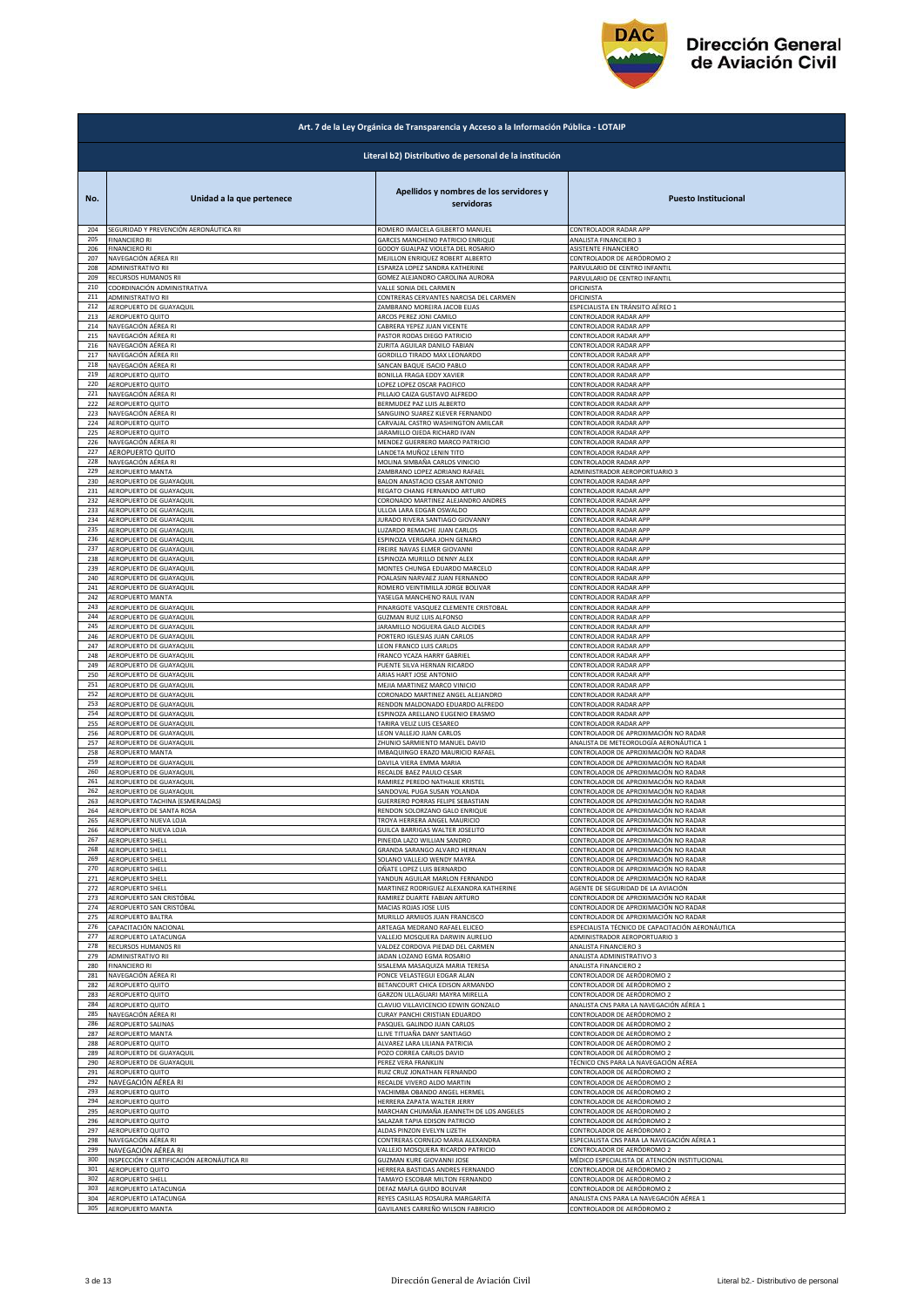

|            | Art. 7 de la Ley Orgánica de Transparencia y Acceso a la Información Pública - LOTAIP |                                                                    |                                                                    |  |
|------------|---------------------------------------------------------------------------------------|--------------------------------------------------------------------|--------------------------------------------------------------------|--|
|            |                                                                                       | Literal b2) Distributivo de personal de la institución             |                                                                    |  |
| No.        | Unidad a la que pertenece                                                             | Apellidos y nombres de los servidores y<br>servidoras              | <b>Puesto Institucional</b>                                        |  |
| 204        | SEGURIDAD Y PREVENCIÓN AERONÁUTICA RII                                                | ROMERO IMAICELA GILBERTO MANUEL                                    | CONTROLADOR RADAR APP                                              |  |
| 205        | <b>FINANCIERO RI</b>                                                                  | GARCES MANCHENO PATRICIO ENRIQUE                                   | ANALISTA FINANCIERO 3                                              |  |
| 206        | <b>FINANCIERO RI</b>                                                                  | GODOY GUALPAZ VIOLETA DEL ROSARIO                                  | ASISTENTE FINANCIERO                                               |  |
| 207        | NAVEGACIÓN AÉREA RII                                                                  | MEJILLON ENRIQUEZ ROBERT ALBERTO                                   | CONTROLADOR DE AERÓDROMO 2                                         |  |
| 208        | ADMINISTRATIVO RII                                                                    | ESPARZA LOPEZ SANDRA KATHERINE                                     | PARVULARIO DE CENTRO INFANTIL                                      |  |
| 209        | RECURSOS HUMANOS RII                                                                  | GOMEZ ALEJANDRO CAROLINA AURORA                                    | PARVULARIO DE CENTRO INFANTIL                                      |  |
| 210        | COORDINACIÓN ADMINISTRATIVA                                                           | VALLE SONIA DEL CARMEN                                             | DFICINISTA                                                         |  |
| 211        | ADMINISTRATIVO RII                                                                    | CONTRERAS CERVANTES NARCISA DEL CARMEN                             | OFICINISTA                                                         |  |
| 212        | AEROPUERTO DE GUAYAQUIL                                                               | ZAMBRANO MOREIRA JACOB ELIAS                                       | SPECIALISTA EN TRÁNSITO AÉREO 1                                    |  |
| 213        | AEROPUERTO QUITO                                                                      | ARCOS PEREZ JONI CAMILO                                            | CONTROLADOR RADAR APP                                              |  |
| 214        | NAVEGACIÓN AÉREA RI                                                                   | CABRERA YEPEZ JUAN VICENTE                                         | CONTROLADOR RADAR APP                                              |  |
| 215        | NAVEGACIÓN AÉREA RI                                                                   | PASTOR RODAS DIEGO PATRICIO                                        | CONTROLADOR RADAR APP                                              |  |
| 216        | NAVEGACIÓN AÉREA RI                                                                   | ZURITA AGUILAR DANILO FABIAN                                       | CONTROLADOR RADAR APP                                              |  |
| 217        | NAVEGACIÓN AÉREA RII                                                                  | GORDILLO TIRADO MAX LEONARDO                                       | CONTROLADOR RADAR APP                                              |  |
| 218        | NAVEGACIÓN AÉREA RI                                                                   | SANCAN BAQUE ISACIO PABLO                                          | CONTROLADOR RADAR APP                                              |  |
| 219        | AEROPUERTO QUITO                                                                      | BONILLA FRAGA EDDY XAVIER                                          | CONTROLADOR RADAR APP                                              |  |
| 220        | <b>AEROPUERTO QUITO</b>                                                               | LOPEZ LOPEZ OSCAR PACIFICO                                         | CONTROLADOR RADAR APP                                              |  |
| 221        | NAVEGACIÓN AÉREA RI                                                                   | PILLAJO CAIZA GUSTAVO ALFREDO                                      | CONTROLADOR RADAR APP                                              |  |
| 222        | AEROPUERTO QUITO                                                                      | BERMUDEZ PAZ LUIS ALBERTO                                          | CONTROLADOR RADAR APP                                              |  |
| 223        | NAVEGACIÓN AÉREA RI                                                                   | SANGUINO SUAREZ KLEVER FERNANDO                                    | CONTROLADOR RADAR APP                                              |  |
| 224        | AEROPUERTO QUITO                                                                      | CARVAJAL CASTRO WASHINGTON AMILCAR                                 | CONTROLADOR RADAR APP                                              |  |
| 225        | AEROPUERTO QUITO                                                                      | <b>JARAMILLO OJEDA RICHARD IVAN</b>                                | CONTROLADOR RADAR APP                                              |  |
| 226<br>227 | NAVEGACIÓN AÉREA RI                                                                   | MENDEZ GUERRERO MARCO PATRICIO<br>LANDETA MUÑOZ LENIN TITO         | CONTROLADOR RADAR APP                                              |  |
| 228        | AEROPUERTO QUITO<br>NAVEGACIÓN AÉREA RI                                               | MOLINA SIMBAÑA CARLOS VINICIO                                      | CONTROLADOR RADAR APP<br>CONTROLADOR RADAR APP                     |  |
| 229        | AEROPUERTO MANTA                                                                      | ZAMBRANO LOPEZ ADRIANO RAFAEL                                      | ADMINISTRADOR AEROPORTUARIO 3                                      |  |
| 230        | AEROPUERTO DE GUAYAQUIL                                                               | BALON ANASTACIO CESAR ANTONIO                                      | CONTROLADOR RADAR APP                                              |  |
| 231<br>232 | AEROPUERTO DE GUAYAQUIL                                                               | REGATO CHANG FERNANDO ARTURO<br>CORONADO MARTINEZ ALEJANDRO ANDRES | CONTROLADOR RADAR APP                                              |  |
| 233        | AEROPUERTO DE GUAYAQUII<br>AEROPUERTO DE GUAYAQUIL                                    | ULLOA LARA EDGAR OSWALDO                                           | CONTROLADOR RADAR APP<br>CONTROLADOR RADAR APP                     |  |
| 234        | AEROPUERTO DE GUAYAQUIL                                                               | JURADO RIVERA SANTIAGO GIOVANNY                                    | CONTROLADOR RADAR APP                                              |  |
| 235        | AEROPUERTO DE GUAYAQUIL                                                               | LUZARDO REMACHE JUAN CARLOS                                        | CONTROLADOR RADAR APP                                              |  |
| 236<br>237 | AEROPUERTO DE GUAYAQUIL                                                               | ESPINOZA VERGARA JOHN GENARO                                       | CONTROLADOR RADAR APP                                              |  |
| 238        | AEROPUERTO DE GUAYAQUIL                                                               | FREIRE NAVAS ELMER GIOVANNI                                        | CONTROLADOR RADAR APP                                              |  |
|            | AEROPUERTO DE GUAYAQUIL                                                               | ESPINOZA MURILLO DENNY ALEX                                        | CONTROLADOR RADAR APP                                              |  |
| 239        | AEROPUERTO DE GUAYAQUIL                                                               | MONTES CHUNGA EDUARDO MARCELO                                      | CONTROLADOR RADAR APP                                              |  |
| 240        | AEROPUERTO DE GUAYAQUIL                                                               | POALASIN NARVAEZ JUAN FERNANDO                                     | CONTROLADOR RADAR APP                                              |  |
| 241<br>242 | AEROPUERTO DE GUAYAQUIL                                                               | ROMERO VEINTIMILLA JORGE BOLIVAR                                   | CONTROLADOR RADAR APP                                              |  |
| 243        | AEROPUERTO MANTA                                                                      | YASELGA MANCHENO RAUL IVAN                                         | CONTROLADOR RADAR APP                                              |  |
|            | AEROPUERTO DE GUAYAQUII                                                               | PINARGOTE VASQUEZ CLEMENTE CRISTOBAL                               | CONTROLADOR RADAR APP                                              |  |
| 244        | AEROPUERTO DE GUAYAQUIL                                                               | <b>GUZMAN RUIZ LUIS ALFONSO</b>                                    | CONTROLADOR RADAR APP                                              |  |
| 245        | AEROPUERTO DE GUAYAQUIL                                                               | JARAMILLO NOGUERA GALO ALCIDES                                     | CONTROLADOR RADAR APP                                              |  |
| 246<br>247 | AEROPUERTO DE GUAYAQUIL                                                               | PORTERO IGLESIAS JUAN CARLOS                                       | CONTROLADOR RADAR APP                                              |  |
| 248        | AEROPUERTO DE GUAYAQUIL                                                               | LEON FRANCO LUIS CARLOS                                            | CONTROLADOR RADAR APP                                              |  |
|            | AEROPUERTO DE GUAYAQUIL                                                               | FRANCO YCAZA HARRY GABRIEL                                         | CONTROLADOR RADAR APP                                              |  |
| 249        | AEROPUERTO DE GUAYAQUIL                                                               | PUENTE SILVA HERNAN RICARDO                                        | CONTROLADOR RADAR APP                                              |  |
| 250        | AEROPUERTO DE GUAYAQUIL                                                               | ARIAS HART JOSE ANTONIO                                            | CONTROLADOR RADAR APP                                              |  |
| 251        | AEROPUERTO DE GUAYAQUIL                                                               | MEJIA MARTINEZ MARCO VINICIO                                       | CONTROLADOR RADAR APP                                              |  |
| 252        | AEROPUERTO DE GUAYAQUIL                                                               | CORONADO MARTINEZ ANGEL ALEJANDRO                                  | CONTROLADOR RADAR APP                                              |  |
| 253        | AEROPUERTO DE GUAYAQUIL                                                               | RENDON MALDONADO EDUARDO ALFREDO                                   | CONTROLADOR RADAR APP                                              |  |
| 254        | AEROPUERTO DE GUAYAQUIL                                                               | ESPINOZA ARELLANO EUGENIO ERASMO                                   | CONTROLADOR RADAR APP                                              |  |
| 255        | AEROPUERTO DE GUAYAQUII                                                               | TARIRA VELIZ LUIS CESAREO                                          | CONTROLADOR RADAR APP                                              |  |
| 256        | AEROPUERTO DE GUAYAQUII                                                               | LEON VALLEJO JUAN CARLOS                                           | CONTROLADOR DE APROXIMACIÓN NO RADAR                               |  |
| 257        | AEROPUERTO DE GUAYAQUII                                                               | ZHUNIO SARMIENTO MANUEL DAVID                                      | ANALISTA DE METEOROLOGÍA AERONÁUTICA 1                             |  |
| 258        | AEROPUERTO MANTA                                                                      | IMBAQUINGO ERAZO MAURICIO RAFAEL                                   | CONTROLADOR DE APROXIMACIÓN NO RADAR                               |  |
| 259        | AEROPUERTO DE GUAYAQUIL                                                               | DAVILA VIERA EMMA MARIA                                            | CONTROLADOR DE APROXIMACIÓN NO RADAR                               |  |
| 260        | AEROPUERTO DE GUAYAQUII                                                               | RECALDE BAEZ PAULO CESAR                                           | CONTROLADOR DE APROXIMACIÓN NO RADAR                               |  |
| 261        | AEROPUERTO DE GUAYAQUIL                                                               | RAMIREZ PEREDO NATHALIE KRISTEL                                    | CONTROLADOR DE APROXIMACIÓN NO RADAR                               |  |
| 262        | AEROPUERTO DE GUAYAQUIL                                                               | SANDOVAL PUGA SUSAN YOLANDA                                        | CONTROLADOR DE APROXIMACIÓN NO RADAR                               |  |
| 263        | <b>AEROPUERTO TACHINA (ESMERALDAS)</b>                                                | GUERRERO PORRAS FELIPE SEBASTIAN                                   | CONTROLADOR DE APROXIMACIÓN NO RADAR                               |  |
| 264        | AEROPUERTO DE SANTA ROSA                                                              | RENDON SOLORZANO GALO ENRIQUI                                      | CONTROLADOR DE APROXIMACIÓN NO RADAR                               |  |
| 265        | AEROPUERTO NUEVA LOJA                                                                 | TROYA HERRERA ANGEL MAURICIO                                       | CONTROLADOR DE APROXIMACIÓN NO RADAR                               |  |
| 266        | AEROPUERTO NUEVA LOJA                                                                 | GUILCA BARRIGAS WALTER JOSELITO                                    | CONTROLADOR DE APROXIMACIÓN NO RADAR                               |  |
| 267        | AEROPUERTO SHELL                                                                      | PINEIDA LAZO WILLIAN SANDRO                                        | CONTROLADOR DE APROXIMACIÓN NO RADAR                               |  |
| 268        | AEROPUERTO SHELL                                                                      | GRANDA SARANGO ALVARO HERNAN                                       | CONTROLADOR DE APROXIMACIÓN NO RADAR                               |  |
| 269        | AEROPUERTO SHELL                                                                      | SOLANO VALLEJO WENDY MAYRA                                         | CONTROLADOR DE APROXIMACIÓN NO RADAR                               |  |
| 270        | AEROPUERTO SHELL                                                                      | OÑATE LOPEZ LUIS BERNARDO                                          | CONTROLADOR DE APROXIMACIÓN NO RADAR                               |  |
| 271        | AEROPUERTO SHELL                                                                      | YANDUN AGUILAR MARLON FERNANDO                                     | CONTROLADOR DE APROXIMACIÓN NO RADAR                               |  |
| 272        | <b>AEROPUERTO SHELL</b>                                                               | MARTINEZ RODRIGUEZ ALEXANDRA KATHERINE                             | AGENTE DE SEGURIDAD DE LA AVIACIÓN                                 |  |
| 273        | AEROPUERTO SAN CRISTÓBAL                                                              | RAMIREZ DUARTE FABIAN ARTURO                                       | CONTROLADOR DE APROXIMACIÓN NO RADAR                               |  |
| 274        | AEROPUERTO SAN CRISTÓBAL                                                              | MACIAS ROJAS JOSE LUIS                                             | CONTROLADOR DE APROXIMACIÓN NO RADAR                               |  |
| 275        | AEROPUERTO BALTRA                                                                     | MURILLO ARMIJOS JUAN FRANCISCO                                     | CONTROLADOR DE APROXIMACIÓN NO RADAR                               |  |
| 276        | CAPACITACIÓN NACIONAL                                                                 | ARTEAGA MEDRANO RAFAEL ELICEO                                      | ESPECIALISTA TÉCNICO DE CAPACITACIÓN AERONÁUTICA                   |  |
| 277        | AEROPUERTO LATACUNGA                                                                  | VALLEJO MOSQUERA DARWIN AURELIO                                    | ADMINISTRADOR AEROPORTUARIO 3                                      |  |
| 278<br>279 | RECURSOS HUMANOS RII                                                                  | VALDEZ CORDOVA PIEDAD DEL CARMEN                                   | ANALISTA FINANCIERO 3                                              |  |
| 280        | ADMINISTRATIVO RII                                                                    | JADAN LOZANO EGMA ROSARIO                                          | ANALISTA ADMINISTRATIVO 3                                          |  |
|            | <b>FINANCIERO RI</b>                                                                  | SISALEMA MASAQUIZA MARIA TERESA                                    | ANALISTA FINANCIERO 2                                              |  |
| 281        | NAVEGACIÓN AÉREA RI                                                                   | PONCE VELASTEGUI EDGAR ALAN                                        | CONTROLADOR DE AERÓDROMO 2                                         |  |
| 282        | AEROPUERTO QUITO                                                                      | BETANCOURT CHICA EDISON ARMANDO                                    | CONTROLADOR DE AERÓDROMO 2                                         |  |
| 283        | AEROPUERTO QUITO                                                                      | GARZON ULLAGUARI MAYRA MIRELLA                                     | CONTROLADOR DE AERÓDROMO 2                                         |  |
| 284        | AEROPUERTO QUITO                                                                      | CLAVIJO VILLAVICENCIO EDWIN GONZALO                                | ANALISTA CNS PARA LA NAVEGACIÓN AÉREA 1                            |  |
| 285        | NAVEGACIÓN AÉREA RI                                                                   | CURAY PANCHI CRISTIAN EDUARDO                                      | CONTROLADOR DE AERÓDROMO 2                                         |  |
| 286        | AEROPUERTO SALINAS                                                                    | PASQUEL GALINDO JUAN CARLOS                                        | CONTROLADOR DE AERÓDROMO 2                                         |  |
| 287        | AEROPUERTO MANTA                                                                      | LLIVE TITUAÑA DANY SANTIAGO                                        | CONTROLADOR DE AERÓDROMO 2                                         |  |
| 288<br>289 | AEROPUERTO QUITO<br>AEROPUERTO DE GUAYAQUIL                                           | ALVAREZ LARA LILIANA PATRICIA                                      | CONTROLADOR DE AERÓDROMO 2                                         |  |
| 290        | AEROPUERTO DE GUAYAQUIL                                                               | POZO CORREA CARLOS DAVID<br>PEREZ VERA FRANKLIN                    | CONTROLADOR DE AERÓDROMO 2<br>TÉCNICO CNS PARA LA NAVEGACIÓN AÉREA |  |
| 291        | AEROPUERTO QUITO                                                                      | RUIZ CRUZ JONATHAN FERNANDO                                        | CONTROLADOR DE AERÓDROMO 2                                         |  |
| 292        | NAVEGACIÓN AÉREA RI                                                                   | RECALDE VIVERO ALDO MARTIN                                         | CONTROLADOR DE AERÓDROMO 2                                         |  |
| 293        | AEROPUERTO QUITO                                                                      | YACHIMBA OBANDO ANGEL HERMEL                                       | CONTROLADOR DE AERÓDROMO 2                                         |  |
| 294        | AEROPUERTO QUITO                                                                      | HERRERA ZAPATA WALTER JERRY                                        | CONTROLADOR DE AERÓDROMO 2                                         |  |
| 295        | AEROPUERTO QUITO                                                                      | MARCHAN CHUMAÑA JEANNETH DE LOS ANGELES                            | CONTROLADOR DE AERÓDROMO 2                                         |  |
| 296        | AEROPUERTO QUITO                                                                      | SALAZAR TAPIA EDISON PATRICIO                                      | CONTROLADOR DE AERÓDROMO 2                                         |  |
| 297        | AEROPUERTO QUITO                                                                      | ALDAS PINZON EVELYN LIZETH                                         | CONTROLADOR DE AERÓDROMO 2                                         |  |
| 298<br>299 | NAVEGACIÓN AÉREA RI                                                                   | CONTRERAS CORNEJO MARIA ALEXANDRA                                  | ESPECIALISTA CNS PARA LA NAVEGACIÓN AÉREA 1                        |  |
| 300        | NAVEGACIÓN AÉREA RI                                                                   | VALLEJO MOSQUERA RICARDO PATRICIO                                  | CONTROLADOR DE AERÓDROMO 2                                         |  |
|            | INSPECCIÓN Y CERTIFICACIÓN AERONÁUTICA RII                                            | GUZMAN KURE GIOVANNI JOSE                                          | <u>MÉDICO ESPECIALISTA DE ATENCIÓN INSTITUCIONAL</u>               |  |
| 301        | AEROPUERTO QUITO                                                                      | HERRERA BASTIDAS ANDRES FERNANDO                                   | CONTROLADOR DE AERÓDROMO 2                                         |  |
| 302        | AEROPUERTO SHELL                                                                      | TAMAYO ESCOBAR MILTON FERNANDO                                     | CONTROLADOR DE AERÓDROMO 2                                         |  |
| 303        | AEROPUERTO LATACUNGA                                                                  | DEFAZ MAFLA GUIDO BOLIVAR                                          | CONTROLADOR DE AERÓDROMO 2                                         |  |
| 304        | AEROPUERTO LATACUNGA                                                                  | REYES CASILLAS ROSAURA MARGARITA                                   | ANALISTA CNS PARA LA NAVEGACIÓN AÉREA 1                            |  |
| 305        | AEROPUERTO MANTA                                                                      | GAVILANES CARREÑO WILSON FABRICIO                                  | CONTROLADOR DE AERÓDROMO 2                                         |  |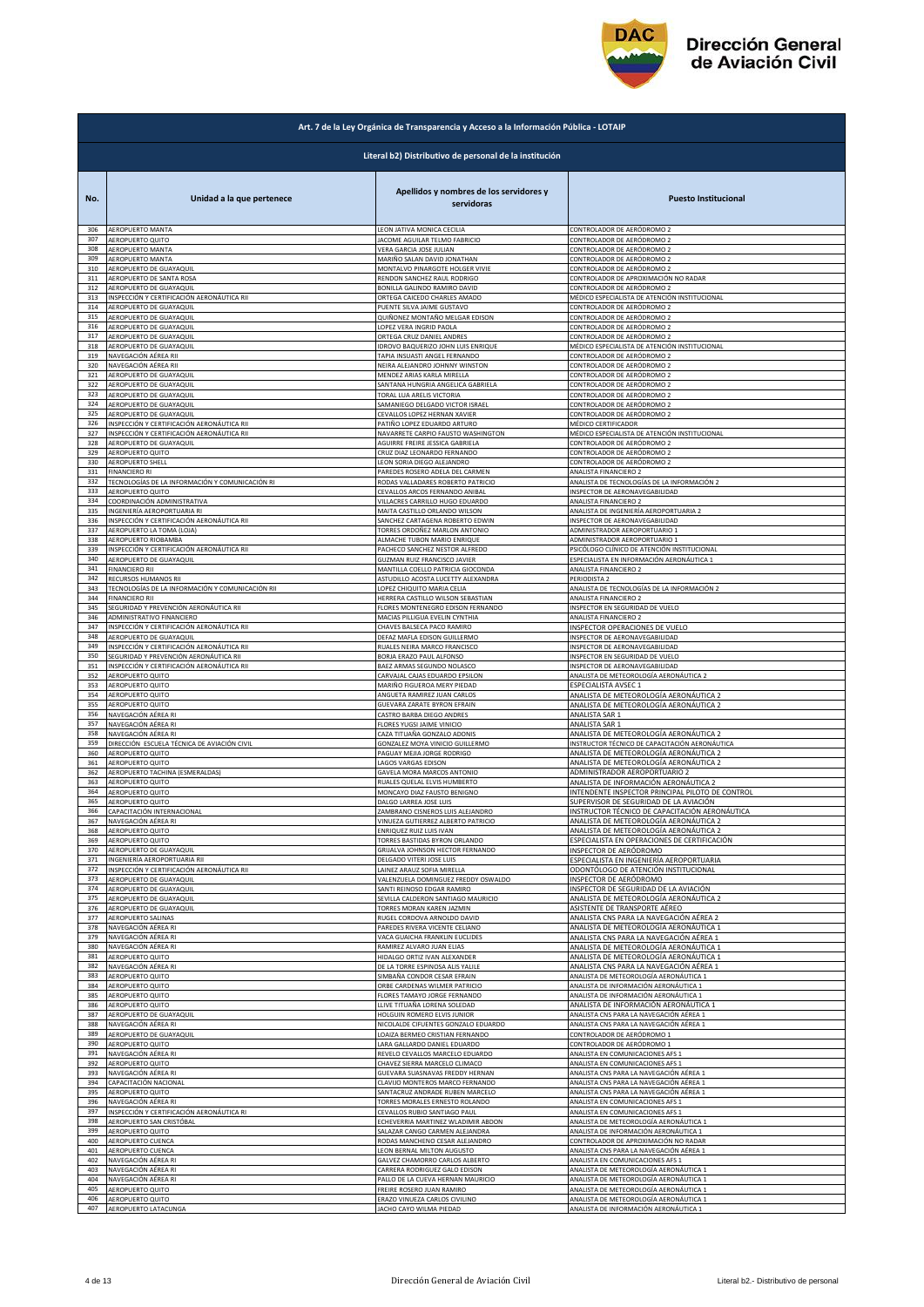

| Art. 7 de la Ley Orgánica de Transparencia y Acceso a la Información Pública - LOTAIP |                                                        |                                                                 |                                                                          |  |
|---------------------------------------------------------------------------------------|--------------------------------------------------------|-----------------------------------------------------------------|--------------------------------------------------------------------------|--|
|                                                                                       | Literal b2) Distributivo de personal de la institución |                                                                 |                                                                          |  |
| No.                                                                                   | Unidad a la que pertenece                              | Apellidos y nombres de los servidores y<br>servidoras           | <b>Puesto Institucional</b>                                              |  |
| 306                                                                                   | <b>AEROPUERTO MANTA</b>                                | LEON JATIVA MONICA CECILIA                                      | CONTROLADOR DE AERÓDROMO 2                                               |  |
| 307                                                                                   | AEROPUERTO QUITO                                       | JACOME AGUILAR TELMO FABRICIO                                   | CONTROLADOR DE AERÓDROMO 2                                               |  |
| 308                                                                                   | AEROPUERTO MANTA                                       | VERA GARCIA JOSE JULIAN                                         | CONTROLADOR DE AERÓDROMO 2                                               |  |
| 309                                                                                   | AEROPUERTO MANTA                                       | MARIÑO SALAN DAVID JONATHAN                                     | CONTROLADOR DE AERÓDROMO 2                                               |  |
| 310                                                                                   | AEROPUERTO DE GUAYAQUIL                                | MONTALVO PINARGOTE HOLGER VIVIE                                 | CONTROLADOR DE AERÓDROMO 2                                               |  |
| 311                                                                                   | AEROPUERTO DE SANTA ROSA                               | RENDON SANCHEZ RAUL RODRIGO                                     | CONTROLADOR DE APROXIMACIÓN NO RADAR                                     |  |
| 312                                                                                   | AEROPUERTO DE GUAYAQUIL                                | BONILLA GALINDO RAMIRO DAVID                                    | CONTROLADOR DE AERÓDROMO 2                                               |  |
| 313                                                                                   | INSPECCIÓN Y CERTIFICACIÓN AERONÁUTICA RII             | ORTEGA CAICEDO CHARLES AMADO                                    | MÉDICO ESPECIALISTA DE ATENCIÓN INSTITUCIONAL                            |  |
| 314                                                                                   | AEROPUERTO DE GUAYAQUII                                | PUENTE SILVA JAIME GUSTAVO                                      | CONTROLADOR DE AERÓDROMO 2                                               |  |
| 315                                                                                   | AEROPUERTO DE GUAYAQUIL                                | QUIÑONEZ MONTAÑO MELGAR EDISON                                  | CONTROLADOR DE AERÓDROMO 2                                               |  |
| 316                                                                                   | AEROPUERTO DE GUAYAQUIL                                | LOPEZ VERA INGRID PAOLA                                         | CONTROLADOR DE AERÓDROMO 2                                               |  |
| 317                                                                                   | AEROPUERTO DE GUAYAQUIL                                | ORTEGA CRUZ DANIEL ANDRES                                       | CONTROLADOR DE AERÓDROMO 2                                               |  |
| 318                                                                                   | AEROPUERTO DE GUAYAQUIL                                | IDROVO BAQUERIZO JOHN LUIS ENRIQUE                              | MÉDICO ESPECIALISTA DE ATENCIÓN INSTITUCIONAL                            |  |
| 319                                                                                   | NAVEGACIÓN AÉREA RII                                   | <b>TAPIA INSUASTI ANGEL FERNANDO</b>                            | CONTROLADOR DE AERÓDROMO 2                                               |  |
| 320                                                                                   | NAVEGACIÓN AÉREA RII                                   | NEIRA ALEJANDRO JOHNNY WINSTON                                  | CONTROLADOR DE AERÓDROMO 2                                               |  |
| 321                                                                                   | AEROPUERTO DE GUAYAQUIL                                | MENDEZ ARIAS KARLA MIRELLA                                      | CONTROLADOR DE AERÓDROMO 2                                               |  |
| 322                                                                                   | AEROPUERTO DE GUAYAQUIL                                | SANTANA HUNGRIA ANGELICA GABRIELA                               | CONTROLADOR DE AERÓDROMO 2                                               |  |
| 323                                                                                   | AEROPUERTO DE GUAYAQUIL                                | TORAL LUA ARELIS VICTORIA                                       | CONTROLADOR DE AERÓDROMO 2                                               |  |
| 324                                                                                   | AEROPUERTO DE GUAYAQUIL                                | SAMANIEGO DELGADO VICTOR ISRAEL                                 | CONTROLADOR DE AERÓDROMO 2                                               |  |
| 325                                                                                   | AEROPUERTO DE GUAYAQUIL                                | CEVALLOS LOPEZ HERNAN XAVIER                                    | CONTROLADOR DE AERÓDROMO 2                                               |  |
| 326                                                                                   | INSPECCIÓN Y CERTIFICACIÓN AERONÁUTICA RII             | PATIÑO LOPEZ EDUARDO ARTURO                                     | MÉDICO CERTIFICADOR                                                      |  |
| 327                                                                                   | INSPECCIÓN Y CERTIFICACIÓN AERONÁUTICA RII             | NAVARRETE CARPIO FAUSTO WASHINGTON                              | MÉDICO ESPECIALISTA DE ATENCIÓN INSTITUCIONAL                            |  |
| 328                                                                                   | AEROPUERTO DE GUAYAQUIL                                | AGUIRRE FREIRE JESSICA GABRIELA                                 | CONTROLADOR DE AERÓDROMO 2                                               |  |
| 329                                                                                   | AEROPUERTO QUITO                                       | CRUZ DIAZ LEONARDO FERNANDO                                     | CONTROLADOR DE AERÓDROMO 2                                               |  |
| 330                                                                                   | AEROPUERTO SHELL                                       | LEON SORIA DIEGO ALEJANDRO                                      | CONTROLADOR DE AERÓDROMO 2                                               |  |
| 331                                                                                   | <b>FINANCIERO RI</b>                                   | PAREDES ROSERO ADELA DEL CARMEN                                 | ANALISTA FINANCIERO 2                                                    |  |
| 332                                                                                   | TECNOLOGÍAS DE LA INFORMACIÓN Y COMUNICACIÓN RI        | RODAS VALLADARES ROBERTO PATRICIO                               | ANALISTA DE TECNOLOGÍAS DE LA INFORMACIÓN 2                              |  |
| 333                                                                                   | AEROPUERTO QUITO                                       | CEVALLOS ARCOS FERNANDO ANIBAL                                  | INSPECTOR DE AERONAVEGABILIDAD                                           |  |
| 334                                                                                   | COORDINACIÓN ADMINISTRATIVA                            | VILLACRES CARRILLO HUGO EDUARDO                                 | ANALISTA FINANCIERO 2                                                    |  |
| 335                                                                                   | INGENIERÍA AEROPORTUARIA RI                            | MAITA CASTILLO ORLANDO WILSON                                   | ANALISTA DE INGENIERÍA AEROPORTUARIA 2                                   |  |
| 336                                                                                   | INSPECCIÓN Y CERTIFICACIÓN AERONÁUTICA RII             | SANCHEZ CARTAGENA ROBERTO EDWIN                                 | INSPECTOR DE AERONAVEGABILIDAD                                           |  |
| 337                                                                                   | AEROPUERTO LA TOMA (LOJA)                              | TORRES ORDOÑEZ MARLON ANTONIO                                   | ADMINISTRADOR AEROPORTUARIO 1                                            |  |
| 338                                                                                   | AEROPUERTO RIOBAMBA                                    | ALMACHE TUBON MARIO ENRIQUE                                     | ADMINISTRADOR AEROPORTUARIO 1                                            |  |
| 339                                                                                   | INSPECCIÓN Y CERTIFICACIÓN AERONÁUTICA RII             | PACHECO SANCHEZ NESTOR ALFREDO                                  | PSICÓLOGO CLÍNICO DE ATENCIÓN INSTITUCIONAL                              |  |
| 340                                                                                   | AEROPUERTO DE GUAYAQUIL                                | <b>GUZMAN RUIZ FRANCISCO JAVIER</b>                             | ESPECIALISTA EN INFORMACIÓN AERONÁUTICA 1                                |  |
| 341                                                                                   | <b>FINANCIERO RII</b>                                  | MANTILLA COELLO PATRICIA GIOCONDA                               | ANALISTA FINANCIERO 2                                                    |  |
| 342                                                                                   | RECURSOS HUMANOS RII                                   | ASTUDILLO ACOSTA LUCETTY ALEXANDRA                              | PERIODISTA 2                                                             |  |
| 343                                                                                   | TECNOLOGÍAS DE LA INFORMACIÓN Y COMUNICACIÓN RII       | LOPEZ CHIQUITO MARIA CELIA                                      | ANALISTA DE TECNOLOGÍAS DE LA INFORMACIÓN 2                              |  |
| 344                                                                                   | <b>FINANCIERO RII</b>                                  | HERRERA CASTILLO WILSON SEBASTIAN                               | ANALISTA FINANCIERO 2                                                    |  |
| 345                                                                                   | SEGURIDAD Y PREVENCIÓN AERONÁUTICA RII                 | FLORES MONTENEGRO EDISON FERNANDO                               | INSPECTOR EN SEGURIDAD DE VUELO                                          |  |
| 346                                                                                   | ADMINISTRATIVO FINANCIERO                              | MACIAS PILLIGUA EVELIN CYNTHIA                                  | ANALISTA FINANCIERO 2                                                    |  |
| 347                                                                                   | INSPECCIÓN Y CERTIFICACIÓN AERONÁUTICA RII             | CHAVES BALSECA PACO RAMIRO                                      | INSPECTOR OPERACIONES DE VUELO                                           |  |
| 348                                                                                   | AEROPUERTO DE GUAYAQUIL                                | DEFAZ MAFLA EDISON GUILLERMO                                    | INSPECTOR DE AERONAVEGABILIDAD                                           |  |
| 349                                                                                   | INSPECCIÓN Y CERTIFICACIÓN AERONÁUTICA RII             | RUALES NEIRA MARCO FRANCISCO                                    | INSPECTOR DE AERONAVEGABILIDAD                                           |  |
| 350                                                                                   | SEGURIDAD Y PREVENCIÓN AERONÁUTICA RII                 | BORJA ERAZO PAUL ALFONSO                                        | INSPECTOR EN SEGURIDAD DE VUELO                                          |  |
| 351                                                                                   | INSPECCIÓN Y CERTIFICACIÓN AERONÁUTICA RII             | BAEZ ARMAS SEGUNDO NOLASCO                                      | INSPECTOR DE AERONAVEGABILIDAD                                           |  |
| 352                                                                                   | AEROPUERTO QUITO                                       | CARVAJAL CAJAS EDUARDO EPSILON                                  | ANALISTA DE METEOROLOGÍA AERONÁUTICA 2                                   |  |
| 353                                                                                   | AEROPUERTO QUITO                                       | MARIÑO FIGUEROA MERY PIEDAD                                     | ESPECIALISTA AVSEC 1                                                     |  |
| 354                                                                                   | AEROPUERTO QUITO                                       | ANGUETA RAMIREZ JUAN CARLOS                                     | ANALISTA DE METEOROLOGÍA AERONÁUTICA 2                                   |  |
| 355                                                                                   | AEROPUERTO QUITO                                       | GUEVARA ZARATE BYRON EFRAIN                                     | ANALISTA DE METEOROLOGÍA AERONÁUTICA 2                                   |  |
| 356                                                                                   | NAVEGACIÓN AÉREA RI                                    | CASTRO BARBA DIEGO ANDRES                                       | ANALISTA SAR 1                                                           |  |
| 357                                                                                   | NAVEGACIÓN AÉREA RI                                    | FLORES YUGSI JAIME VINICIO                                      | ANALISTA SAR 1                                                           |  |
| 358                                                                                   | NAVEGACIÓN AÉREA RI                                    | CAZA TITUAÑA GONZALO ADONIS                                     | ANALISTA DE METEOROLOGÍA AERONÁUTICA 2                                   |  |
| 359                                                                                   | DIRECCIÓN ESCUELA TÉCNICA DE AVIACIÓN CIVIL            | GONZALEZ MOYA VINICIO GUILLERMO                                 | INSTRUCTOR TÉCNICO DE CAPACITACIÓN AERONÁUTICA                           |  |
| 360                                                                                   | AEROPUERTO QUITO                                       | PAGUAY MEJIA JORGE RODRIGO                                      | ANALISTA DE METEOROLOGÍA AERONÁUTICA 2                                   |  |
| 361                                                                                   | AEROPUERTO QUITO                                       | <b>LAGOS VARGAS EDISON</b>                                      | ANALISTA DE METEOROLOGÍA AERONÁUTICA 2                                   |  |
| 362                                                                                   | AEROPUERTO TACHINA (ESMERALDAS)                        | <b>GAVELA MORA MARCOS ANTONIO</b>                               | ADMINISTRADOR AEROPORTUARIO 2                                            |  |
| 363                                                                                   | AEROPUERTO QUITO                                       | RUALES QUELAL ELVIS HUMBERTO                                    | ANALISTA DE INFORMACIÓN AERONÁUTICA 2                                    |  |
| 364                                                                                   | AEROPUERTO QUITO                                       | MONCAYO DIAZ FAUSTO BENIGNO                                     | INTENDENTE INSPECTOR PRINCIPAL PILOTO DE CONTROL                         |  |
| 365                                                                                   | AEROPUERTO QUITO                                       | DALGO LARREA JOSE LUIS                                          | SUPERVISOR DE SEGURIDAD DE LA AVIACIÓN                                   |  |
| 366                                                                                   | CAPACITACIÓN INTERNACIONAL                             | ZAMBRANO CISNEROS LUIS ALEJANDRO                                | NSTRUCTOR TÉCNICO DE CAPACITACIÓN AERON                                  |  |
| 367                                                                                   | NAVEGACIÓN AÉREA RI                                    | VINUEZA GUTIERREZ ALBERTO PATRICIO                              | ANALISTA DE METEOROLOGÍA AERONÁUTICA 2                                   |  |
| 368                                                                                   | AEROPUERTO QUITO                                       | ENRIQUEZ RUIZ LUIS IVAN                                         | ANALISTA DE METEOROLOGÍA AERONÁUTICA 2                                   |  |
| 369                                                                                   | AEROPUERTO QUITO                                       | <b>TORRES BASTIDAS BYRON ORLANDO</b>                            | SPECIALISTA EN OPERACIONES DE CERTIFICACIÓN                              |  |
| 370                                                                                   | AEROPUERTO DE GUAYAQUIL                                | GRIJALVA JOHNSON HECTOR FERNANDO                                | INSPECTOR DE AERÓDROMO                                                   |  |
| 371                                                                                   | INGENIERÍA AEROPORTUARIA RII                           | DELGADO VITERI JOSE LUIS                                        | ESPECIALISTA EN INGENIERÍA AEROPORTUARIA                                 |  |
| 372                                                                                   | INSPECCIÓN Y CERTIFICACIÓN AERONÁUTICA RII             | LAINEZ ARAUZ SOFIA MIRELLA                                      | ODONTÓLOGO DE ATENCIÓN INSTITUCIONAL                                     |  |
| 373                                                                                   | AEROPUERTO DE GUAYAQUIL                                | VALENZUELA DOMINGUEZ FREDDY OSWALDO                             | INSPECTOR DE AERÓDROMO                                                   |  |
| 374                                                                                   | AEROPUERTO DE GUAYAQUIL                                | SANTI REINOSO EDGAR RAMIRO                                      | INSPECTOR DE SEGURIDAD DE LA AVIACIÓN                                    |  |
| 375<br>376                                                                            | AEROPUERTO DE GUAYAQUIL<br>AEROPUERTO DE GUAYAQUIL     | SEVILLA CALDERON SANTIAGO MAURICIO                              | ANALISTA DE METEOROLOGÍA AERONÁUTICA 2                                   |  |
| 377                                                                                   | AEROPUERTO SALINAS                                     | <b>TORRES MORAN KAREN JAZMIN</b><br>RUGEL CORDOVA ARNOLDO DAVID | ASISTENTE DE TRANSPORTE AÉREO<br>ANALISTA CNS PARA LA NAVEGACIÓN AÉREA 2 |  |
| 378                                                                                   | NAVEGACIÓN AÉREA RI                                    | PAREDES RIVERA VICENTE CELIANO                                  | ANALISTA DE METEOROLOGÍA AERONÁUTICA 1                                   |  |
| 379                                                                                   | NAVEGACIÓN AÉREA RI                                    | VACA GUAICHA FRANKLIN EUCLIDES                                  | ANALISTA CNS PARA LA NAVEGACIÓN AÉREA 1                                  |  |
| 380                                                                                   | NAVEGACIÓN AÉREA RI                                    | RAMIREZ ALVARO JUAN ELIAS                                       | ANALISTA DE METEOROLOGÍA AERONÁUTICA 1                                   |  |
| 381                                                                                   | AEROPUERTO QUITO                                       | HIDALGO ORTIZ IVAN ALEXANDER                                    | ANALISTA DE METEOROLOGÍA AERONÁUTICA 1                                   |  |
| 382                                                                                   | NAVEGACIÓN AÉREA RI                                    | DE LA TORRE ESPINOSA ALIS YALILE                                | ANALISTA CNS PARA LA NAVEGACIÓN AÉREA 1                                  |  |
| 383                                                                                   | AEROPUERTO QUITO                                       | SIMBAÑA CONDOR CESAR EFRAIN                                     | ANALISTA DE METEOROLOGÍA AERONÁUTICA 1                                   |  |
| 384                                                                                   | AEROPUERTO QUITO                                       | ORBE CARDENAS WILMER PATRICIO                                   | ANALISTA DE INFORMACIÓN AERONÁUTICA 1                                    |  |
| 385                                                                                   | AEROPUERTO QUITO                                       | FLORES TAMAYO JORGE FERNANDO                                    | ANALISTA DE INFORMACIÓN AERONÁUTICA 1                                    |  |
| 386                                                                                   | AEROPUERTO QUITO                                       | LLIVE TITUAÑA LORENA SOLEDAD                                    | ANALISTA DE INFORMACIÓN AERONÁUTICA 1                                    |  |
| 387                                                                                   | AEROPUERTO DE GUAYAQUIL                                | HOLGUIN ROMERO ELVIS JUNIOR                                     | ANALISTA CNS PARA LA NAVEGACIÓN AÉREA 1                                  |  |
| 388                                                                                   | NAVEGACIÓN AÉREA RI                                    | NICOLALDE CIFUENTES GONZALO EDUARDO                             | ANALISTA CNS PARA LA NAVEGACIÓN AÉREA 1                                  |  |
| 389                                                                                   | AEROPUERTO DE GUAYAQUIL                                | LOAIZA BERMEO CRISTIAN FERNANDO                                 | CONTROLADOR DE AERÓDROMO 1                                               |  |
| 390                                                                                   | AEROPUERTO QUITO                                       | LARA GALLARDO DANIEL EDUARDO                                    | CONTROLADOR DE AERÓDROMO 1                                               |  |
| 391                                                                                   | NAVEGACIÓN AÉREA RI                                    | REVELO CEVALLOS MARCELO EDUARDO                                 | ANALISTA EN COMUNICACIONES AFS 1                                         |  |
| 392                                                                                   | AEROPUERTO QUITO                                       | CHAVEZ SIERRA MARCELO CLIMACO                                   | ANALISTA EN COMUNICACIONES AFS 1                                         |  |
| 393                                                                                   | NAVEGACIÓN AÉREA RI                                    | GUEVARA SUASNAVAS FREDDY HERNAN                                 | ANALISTA CNS PARA LA NAVEGACIÓN AÉREA 1                                  |  |
| 394                                                                                   | CAPACITACIÓN NACIONAL                                  | CLAVIJO MONTEROS MARCO FERNANDO                                 | ANALISTA CNS PARA LA NAVEGACIÓN AÉREA 1                                  |  |
| 395                                                                                   | AEROPUERTO QUITO                                       | SANTACRUZ ANDRADE RUBEN MARCELO                                 | ANALISTA CNS PARA LA NAVEGACIÓN AÉREA 1                                  |  |
| 396                                                                                   | NAVEGACIÓN AÉREA RI                                    | <b>TORRES MORALES ERNESTO ROLANDO</b>                           | ANALISTA EN COMUNICACIONES AFS 1                                         |  |
| 397                                                                                   | INSPECCIÓN Y CERTIFICACIÓN AERONÁUTICA RI              | CEVALLOS RUBIO SANTIAGO PAUL                                    | ANALISTA EN COMUNICACIONES AFS 1                                         |  |
| 398                                                                                   | AEROPUERTO SAN CRISTÓBAL                               | ECHEVERRIA MARTINEZ WLADIMIR ABDON                              | ANALISTA DE METEOROLOGÍA AERONÁUTICA 1                                   |  |
| 399                                                                                   | AEROPUERTO QUITO                                       | SALAZAR CANGO CARMEN ALEJANDRA                                  | ANALISTA DE INFORMACIÓN AERONÁUTICA 1                                    |  |
| 400                                                                                   | AEROPUERTO CUENCA                                      | RODAS MANCHENO CESAR ALEJANDRO                                  | CONTROLADOR DE APROXIMACIÓN NO RADAR                                     |  |
| 401                                                                                   | AEROPUERTO CUENCA                                      | LEON BERNAL MILTON AUGUSTO                                      | ANALISTA CNS PARA LA NAVEGACIÓN AÉREA 1                                  |  |
| 402                                                                                   | NAVEGACIÓN AÉREA RI                                    | GALVEZ CHAMORRO CARLOS ALBERTO                                  | ANALISTA EN COMUNICACIONES AFS 1                                         |  |
| 403                                                                                   | NAVEGACIÓN AÉREA RI                                    | CARRERA RODRIGUEZ GALO EDISON                                   | ANALISTA DE METEOROLOGÍA AERONÁUTICA 1                                   |  |
| 404                                                                                   | NAVEGACIÓN AÉREA RI                                    | PALLO DE LA CUEVA HERNAN MAURICIO                               | ANALISTA DE METEOROLOGÍA AERONÁUTICA 1                                   |  |
| 405                                                                                   | AEROPUERTO QUITO                                       | FREIRE ROSERO JUAN RAMIRO                                       | ANALISTA DE METEOROLOGÍA AERONÁUTICA 1                                   |  |
| 406                                                                                   | AEROPUERTO QUITO                                       | ERAZO VINUEZA CARLOS CIVILINO                                   | ANALISTA DE METEOROLOGÍA AERONÁUTICA 1                                   |  |
| 407                                                                                   | AEROPUERTO LATACUNGA                                   | JACHO CAYO WILMA PIEDAD                                         | ANALISTA DE INFORMACIÓN AERONÁUTICA 1                                    |  |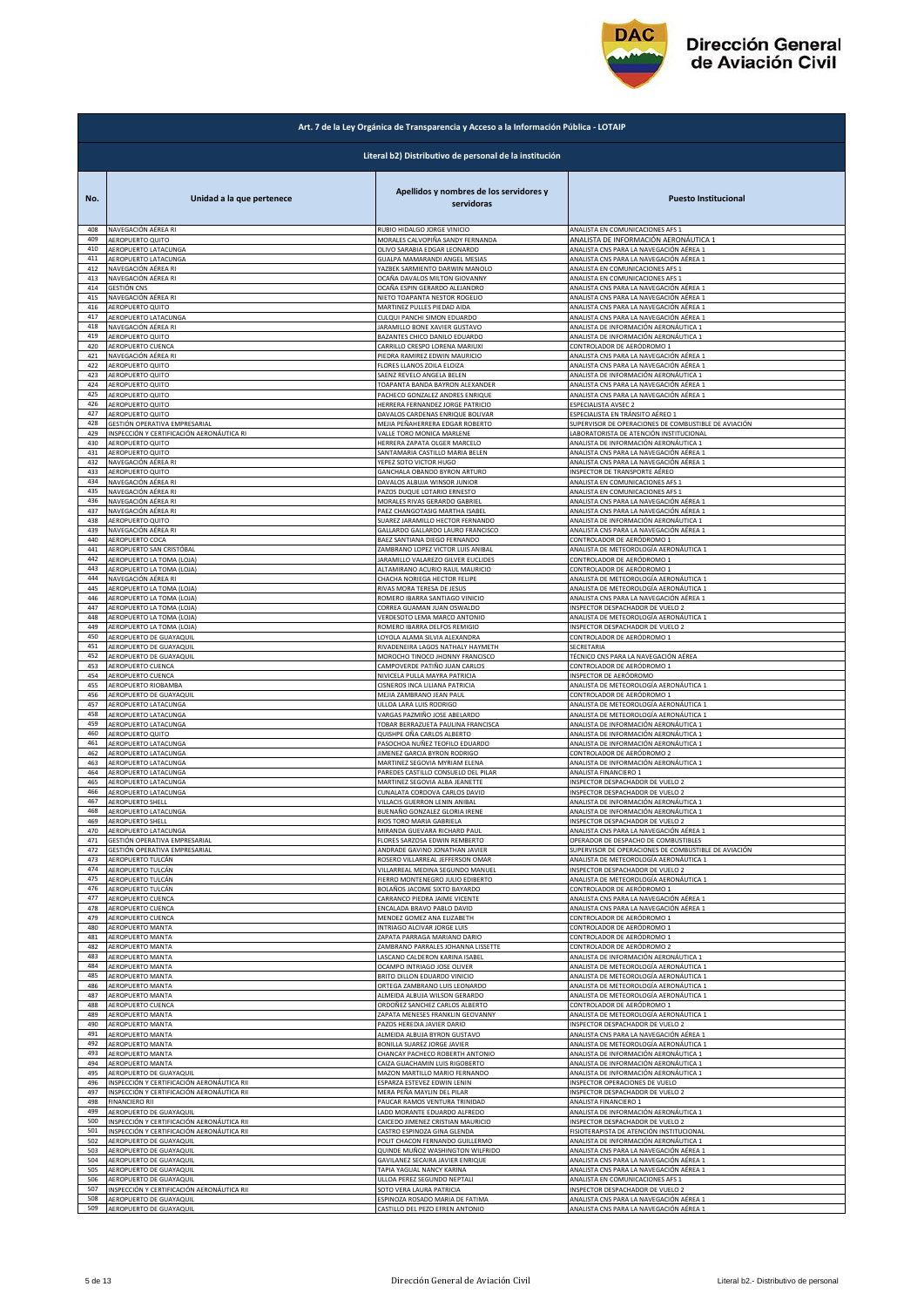

|            | Art. 7 de la Ley Orgánica de Transparencia y Acceso a la Información Pública - LOTAIP |                                                                 |                                                                                 |  |
|------------|---------------------------------------------------------------------------------------|-----------------------------------------------------------------|---------------------------------------------------------------------------------|--|
|            | Literal b2) Distributivo de personal de la institución                                |                                                                 |                                                                                 |  |
| No.        | Unidad a la que pertenece                                                             | Apellidos y nombres de los servidores y<br>servidoras           | <b>Puesto Institucional</b>                                                     |  |
| 408        | NAVEGACIÓN AÉREA RI                                                                   | RUBIO HIDALGO JORGE VINICIO                                     | ANALISTA EN COMUNICACIONES AFS 1                                                |  |
| 409        | AEROPUERTO QUITO                                                                      | MORALES CALVOPIÑA SANDY FERNANDA                                | ANALISTA DE INFORMACIÓN AERONÁUTICA 1                                           |  |
| 410        | AEROPUERTO LATACUNGA                                                                  | OLIVO SARABIA EDGAR LEONARDO                                    | ANALISTA CNS PARA LA NAVEGACIÓN AÉREA 1                                         |  |
| 411        | AEROPUERTO LATACUNGA                                                                  | GUALPA MAMARANDI ANGEL MESIAS                                   | ANALISTA CNS PARA LA NAVEGACIÓN AÉREA 1                                         |  |
| 412        | NAVEGACIÓN AÉREA RI                                                                   | YAZBEK SARMIENTO DARWIN MANOLO                                  | ANALISTA EN COMUNICACIONES AFS 1                                                |  |
| 413        | NAVEGACIÓN AÉREA RI                                                                   | OCAÑA DAVALOS MILTON GIOVANNY                                   | ANALISTA EN COMUNICACIONES AFS 1                                                |  |
| 414        | GESTIÓN CNS                                                                           | OCAÑA ESPIN GERARDO ALEJANDRO                                   | ANALISTA CNS PARA LA NAVEGACIÓN AÉREA 1                                         |  |
| 415        | NAVEGACIÓN AÉREA RI                                                                   | NIETO TOAPANTA NESTOR ROGELIO                                   | ANALISTA CNS PARA LA NAVEGACIÓN AÉREA 1                                         |  |
| 416        | <b>AEROPUERTO QUITO</b>                                                               | MARTINEZ PULLES PIEDAD AIDA                                     | ANALISTA CNS PARA LA NAVEGACIÓN AÉREA 1                                         |  |
| 417        | AEROPUERTO LATACUNGA                                                                  | CULQUI PANCHI SIMON EDUARDO                                     | ANALISTA CNS PARA LA NAVEGACIÓN AÉREA 1                                         |  |
| 418<br>419 | NAVEGACIÓN AÉREA RI                                                                   | JARAMILLO BONE XAVIER GUSTAVO                                   | ANALISTA DE INFORMACIÓN AERONÁUTICA 1                                           |  |
| 420        | AEROPUERTO QUITO                                                                      | BAZANTES CHICO DANILO EDUARDO                                   | ANALISTA DE INFORMACIÓN AERONÁUTICA 1                                           |  |
|            | AEROPUERTO CUENCA                                                                     | CARRILLO CRESPO LORENA MARIUXI                                  | CONTROLADOR DE AERÓDROMO 1                                                      |  |
| 421        | NAVEGACIÓN AÉREA RI                                                                   | PIEDRA RAMIREZ EDWIN MAURICIO                                   | ANALISTA CNS PARA LA NAVEGACIÓN AÉREA 1                                         |  |
| 422        | AEROPUERTO QUITO                                                                      | FLORES LLANOS ZOILA ELOIZA                                      | ANALISTA CNS PARA LA NAVEGACIÓN AÉREA 1                                         |  |
| 423        | AEROPUERTO QUITO                                                                      | SAENZ REVELO ANGELA BELEN                                       | ANALISTA DE INFORMACIÓN AERONÁUTICA 1                                           |  |
| 424        | AEROPUERTO QUITO                                                                      | TOAPANTA BANDA BAYRON ALEXANDER                                 | ANALISTA CNS PARA LA NAVEGACIÓN AÉREA 1                                         |  |
| 425        | AEROPUERTO QUITO                                                                      | PACHECO GONZALEZ ANDRES ENRIQUE                                 | ANALISTA CNS PARA LA NAVEGACIÓN AÉREA 1                                         |  |
| 426        | AEROPUERTO QUITO                                                                      | HERRERA FERNANDEZ JORGE PATRICIO                                | ESPECIALISTA AVSEC 2                                                            |  |
| 427        | AEROPUERTO QUITO                                                                      | DAVALOS CARDENAS ENRIQUE BOLIVAR                                | ESPECIALISTA EN TRÁNSITO AÉREO 1                                                |  |
| 428        | GESTIÓN OPERATIVA EMPRESARIAL                                                         | MEJIA PEÑAHERRERA EDGAR ROBERTO                                 | SUPERVISOR DE OPERACIONES DE COMBUSTIBLE DE AVIACIÓN                            |  |
| 429        | INSPECCIÓN Y CERTIFICACIÓN AERONÁUTICA RI                                             | VALLE TORO MONICA MARLENE                                       | LABORATORISTA DE ATENCIÓN INSTITUCIONAL                                         |  |
| 430        | AEROPUERTO QUITO                                                                      | HERRERA ZAPATA OLGER MARCELO                                    | ANALISTA DE INFORMACIÓN AERONÁUTICA 1                                           |  |
| 431        | AEROPUERTO QUITO                                                                      | SANTAMARIA CASTILLO MARIA BELEN                                 | ANALISTA CNS PARA LA NAVEGACIÓN AÉREA 1                                         |  |
| 432        | NAVEGACIÓN AÉREA RI                                                                   | YEPEZ SOTO VICTOR HUGO                                          | ANALISTA CNS PARA LA NAVEGACIÓN AÉREA 1                                         |  |
| 433        | AEROPUERTO QUITO                                                                      | GANCHALA OBANDO BYRON ARTURO                                    | INSPECTOR DE TRANSPORTE AÉREO                                                   |  |
| 434        | NAVEGACIÓN AÉREA RI                                                                   | DAVALOS ALBUJA WINSOR JUNIOR                                    | ANALISTA EN COMUNICACIONES AFS 1                                                |  |
| 435        | NAVEGACIÓN AÉREA RI                                                                   | PAZOS DUQUE LOTARIO ERNESTO                                     | ANALISTA EN COMUNICACIONES AFS 1                                                |  |
| 436        | NAVEGACIÓN AÉREA RI                                                                   | MORALES RIVAS GERARDO GABRIEI                                   | ANALISTA CNS PARA LA NAVEGACIÓN AÉREA 1                                         |  |
| 437        | NAVEGACIÓN AÉREA RI                                                                   | PAEZ CHANGOTASIG MARTHA ISABEL                                  | ANALISTA CNS PARA LA NAVEGACIÓN AÉREA 1                                         |  |
| 438        | AEROPUERTO QUITO                                                                      | SUAREZ JARAMILLO HECTOR FERNANDO                                | ANALISTA DE INFORMACIÓN AERONÁUTICA 1                                           |  |
| 439        | NAVEGACIÓN AÉREA RI                                                                   | GALLARDO GALLARDO LAURO FRANCISCO                               | ANALISTA CNS PARA LA NAVEGACIÓN AÉREA 1                                         |  |
| 440        | AEROPUERTO COCA                                                                       | BAEZ SANTIANA DIEGO FERNANDO                                    | CONTROLADOR DE AERÓDROMO 1                                                      |  |
| 441        | AEROPUERTO SAN CRISTÓBAL                                                              | ZAMBRANO LOPEZ VICTOR LUIS ANIBAL                               | ANALISTA DE METEOROLOGÍA AERONÁUTICA 1                                          |  |
| 442        | AEROPUERTO LA TOMA (LOJA)                                                             | ARAMILLO VALAREZO GILVER EUCLIDES                               | CONTROLADOR DE AERÓDROMO 1                                                      |  |
| 443        | AEROPUERTO LA TOMA (LOJA)                                                             | ALTAMIRANO ACURIO RAUL MAURICIO                                 | CONTROLADOR DE AERÓDROMO 1                                                      |  |
| 444        | NAVEGACIÓN AÉREA RI                                                                   | CHACHA NORIEGA HECTOR FELIPE                                    | ANALISTA DE METEOROLOGÍA AERONÁUTICA 1                                          |  |
| 445        | AEROPUERTO LA TOMA (LOJA)                                                             | RIVAS MORA TERESA DE JESUS                                      | ANALISTA DE METEOROLOGÍA AERONÁUTICA 1                                          |  |
| 446        | AEROPUERTO LA TOMA (LOJA)                                                             | ROMERO IBARRA SANTIAGO VINICIO                                  | ANALISTA CNS PARA LA NAVEGACIÓN AÉREA 1                                         |  |
| 447        | AEROPUERTO LA TOMA (LOJA)                                                             | CORREA GUAMAN JUAN OSWALDO                                      | INSPECTOR DESPACHADOR DE VUELO 2                                                |  |
| 448        | AEROPUERTO LA TOMA (LOJA)                                                             | VERDESOTO LEMA MARCO ANTONIO                                    | ANALISTA DE METEOROLOGÍA AERONÁUTICA 1                                          |  |
| 449        | AEROPUERTO LA TOMA (LOJA)                                                             | ROMERO IBARRA DELFOS REMIGIO                                    | <b>INSPECTOR DESPACHADOR DE VUELO 2</b>                                         |  |
| 450        | AEROPUERTO DE GUAYAQUIL                                                               | LOYOLA ALAMA SILVIA ALEXANDRA                                   | CONTROLADOR DE AERÓDROMO 1                                                      |  |
| 451        | AEROPUERTO DE GUAYAQUIL                                                               | RIVADENEIRA LAGOS NATHALY HAYMETH                               | SECRETARIA                                                                      |  |
| 452        | AEROPUERTO DE GUAYAQUIL                                                               | MOROCHO TINOCO JHONNY FRANCISCO                                 | TÉCNICO CNS PARA LA NAVEGACIÓN AÉREA                                            |  |
| 453        | AEROPUERTO CUENCA                                                                     | CAMPOVERDE PATIÑO JUAN CARLOS                                   | CONTROLADOR DE AERÓDROMO 1                                                      |  |
| 454        | AEROPUERTO CUENCA                                                                     | NIVICELA PULLA MAYRA PATRICIA                                   | INSPECTOR DE AERÓDROMO                                                          |  |
| 455        | AEROPUERTO RIOBAMBA                                                                   | CISNEROS INCA LILIANA PATRICIA                                  | ANALISTA DE METEOROLOGÍA AERONÁUTICA 1                                          |  |
| 456        | AEROPUERTO DE GUAYAQUI                                                                | MEJIA ZAMBRANO JEAN PAUI                                        | CONTROLADOR DE AERÓDROMO 1                                                      |  |
| 457        | AEROPUERTO LATACUNGA                                                                  | ULLOA LARA LUIS RODRIGO                                         | ANALISTA DE METEOROLOGÍA AERONÁUTICA 1                                          |  |
| 458        | AEROPUERTO LATACUNGA                                                                  | VARGAS PAZMIÑO JOSE ABELARDO                                    | ANALISTA DE METEOROLOGÍA AERONÁUTICA :                                          |  |
| 459        | AEROPUERTO LATACUNGA                                                                  | TOBAR BERRAZUETA PAULINA FRANCISCA                              | ANALISTA DE INFORMACIÓN AERONÁUTICA 1                                           |  |
| 460        | AEROPUERTO QUITO                                                                      | QUISHPE OÑA CARLOS ALBERTO                                      | ANALISTA DE INFORMACIÓN AERONÁUTICA 1                                           |  |
| 461        | AEROPUERTO LATACUNGA                                                                  | PASOCHOA NUÑEZ TEOFILO EDUARDO                                  | ANALISTA DE INFORMACIÓN AERONÁUTICA 1                                           |  |
| 462        | AEROPUERTO LATACUNGA                                                                  | JIMENEZ GARCIA BYRON RODRIGO                                    | CONTROLADOR DE AERÓDROMO 2                                                      |  |
| 463        | AEROPUERTO LATACUNGA                                                                  | MARTINEZ SEGOVIA MYRIAM ELENA                                   | ANALISTA DE INFORMACIÓN AERONÁUTICA 1                                           |  |
| 464        | AEROPUERTO LATACUNGA                                                                  | PAREDES CASTILLO CONSUELO DEL PILAR                             | ANALISTA FINANCIERO 1                                                           |  |
| 465        | AEROPUERTO LATACUNGA                                                                  | MARTINEZ SEGOVIA ALBA JEANETTE                                  | INSPECTOR DESPACHADOR DE VUELO 2                                                |  |
| 466        | AEROPUERTO LATACUNGA                                                                  | CUNALATA CORDOVA CARLOS DAVID                                   | INSPECTOR DESPACHADOR DE VUELO 2                                                |  |
| 467        | AEROPUERTO SHELL                                                                      | VILLACIS GUERRON LENIN ANIBAL                                   | ANALISTA DE INFORMACIÓN AERONÁUTICA 1                                           |  |
| 468        | <b>AFROPLIFRTO LATACLING</b>                                                          | <b>BUENAÑO GONZALEZ GLORIA IREN</b>                             | ANALISTA DE INFORMACIÓN AERONÁLITICI                                            |  |
| 469        | AEROPUERTO SHELL                                                                      | RIOS TORO MARIA GABRIELA                                        | INSPECTOR DESPACHADOR DE VUELO 2                                                |  |
| 470        | AEROPUERTO LATACUNGA<br>GESTIÓN OPERATIVA EMPRESARIAL                                 | MIRANDA GUEVARA RICHARD PAUL                                    | ANALISTA CNS PARA LA NAVEGACIÓN AÉREA 1<br>OPERADOR DE DESPACHO DE COMBUSTIBLES |  |
| 471<br>472 | <b>GESTIÓN OPERATIVA EMPRESARIAL</b>                                                  | FLORES SARZOSA EDWIN REMBERTO<br>ANDRADE GAVINO JONATHAN JAVIER | SUPERVISOR DE OPERACIONES DE COMBUSTIBLE DE AVIACIÓN                            |  |
| 473        | AEROPUERTO TULCÁN                                                                     | ROSERO VILLARREAL JEFFERSON OMAR                                | ANALISTA DE METEOROLOGÍA AERONÁUTICA 1                                          |  |
| 474        | AEROPUERTO TULCÁN                                                                     | VILLARREAL MEDINA SEGUNDO MANUEL                                | INSPECTOR DESPACHADOR DE VUELO 2                                                |  |
| 475        | AEROPUERTO TULCÁN                                                                     | FIERRO MONTENEGRO JULIO EDIBERTO                                | ANALISTA DE METEOROLOGÍA AERONÁUTICA 1                                          |  |
| 476        | AEROPUERTO TULCÁN                                                                     | BOLAÑOS JACOME SIXTO BAYARDO                                    | CONTROLADOR DE AERÓDROMO 1                                                      |  |
| 477        | AEROPUERTO CUENCA                                                                     | CARRANCO PIEDRA JAIME VICENTE                                   | ANALISTA CNS PARA LA NAVEGACIÓN AÉREA 1                                         |  |
| 478        | AEROPUERTO CUENCA                                                                     | ENCALADA BRAVO PABLO DAVID                                      | ANALISTA CNS PARA LA NAVEGACIÓN AÉREA 1                                         |  |
| 479        | AEROPUERTO CUENCA                                                                     | MENDEZ GOMEZ ANA ELIZABETH                                      | CONTROLADOR DE AERÓDROMO 1                                                      |  |
| 480        | AEROPUERTO MANTA                                                                      | INTRIAGO ALCIVAR JORGE LUIS                                     | CONTROLADOR DE AERÓDROMO 1                                                      |  |
| 481        | AEROPUERTO MANTA                                                                      | ZAPATA PARRAGA MARIANO DARIO                                    | CONTROLADOR DE AERÓDROMO 1                                                      |  |
| 482        | AEROPUERTO MANTA                                                                      | ZAMBRANO PARRALES JOHANNA LISSETTE                              | CONTROLADOR DE AERÓDROMO 2                                                      |  |
| 483<br>484 | AEROPUERTO MANTA                                                                      | LASCANO CALDERON KARINA ISABEL                                  | ANALISTA DE INFORMACIÓN AERONÁUTICA 1                                           |  |
| 485        | AEROPUERTO MANTA                                                                      | OCAMPO INTRIAGO JOSE OLIVER                                     | ANALISTA DE METEOROLOGÍA AERONÁUTICA 1                                          |  |
|            | AEROPUERTO MANTA                                                                      | BRITO DILLON EDUARDO VINICIO                                    | ANALISTA DE METEOROLOGÍA AERONÁUTICA 1                                          |  |
| 486        | AEROPUERTO MANTA                                                                      | ORTEGA ZAMBRANO LUIS LEONARDO                                   | ANALISTA DE METEOROLOGÍA AERONÁUTICA 1                                          |  |
| 487        | <b>AEROPUERTO MANTA</b>                                                               | ALMEIDA ALBUJA WILSON GERARDO                                   | ANALISTA DE METEOROLOGÍA AERONÁUTICA 1                                          |  |
| 488        | AEROPUERTO CUENCA                                                                     | ORDOÑEZ SANCHEZ CARLOS ALBERTO                                  | CONTROLADOR DE AERÓDROMO 1                                                      |  |
| 489        | AEROPUERTO MANTA                                                                      | ZAPATA MENESES FRANKLIN GEOVANNY                                | ANALISTA DE METEOROLOGÍA AERONÁUTICA 1                                          |  |
| 490        | AEROPUERTO MANTA                                                                      | PAZOS HEREDIA JAVIER DARIO                                      | INSPECTOR DESPACHADOR DE VUELO 2                                                |  |
| 491        | <b>AEROPUERTO MANTA</b>                                                               | ALMEIDA ALBUJA BYRON GUSTAVO                                    | ANALISTA CNS PARA LA NAVEGACIÓN AÉREA 1                                         |  |
| 492        | AEROPUERTO MANTA                                                                      | BONILLA SUAREZ JORGE JAVIER                                     | ANALISTA DE METEOROLOGÍA AERONÁUTICA 1                                          |  |
| 493        | AEROPUERTO MANTA                                                                      | CHANCAY PACHECO ROBERTH ANTONIO                                 | ANALISTA DE INFORMACIÓN AERONÁUTICA 1                                           |  |
| 494        | AEROPUERTO MANTA                                                                      | CAIZA GUACHAMIN LUIS RIGOBERTO                                  | ANALISTA DE INFORMACIÓN AERONÁUTICA 1                                           |  |
| 495        | AEROPUERTO DE GUAYAQUIL                                                               | MAZON MARTILLO MARIO FERNANDO                                   | ANALISTA DE INFORMACIÓN AERONÁUTICA 1                                           |  |
| 496        | INSPECCIÓN Y CERTIFICACIÓN AERONÁUTICA RII                                            | ESPARZA ESTEVEZ EDWIN LENIN                                     | INSPECTOR OPERACIONES DE VUELO                                                  |  |
| 497        | INSPECCIÓN Y CERTIFICACIÓN AERONÁUTICA RII                                            | MERA PEÑA MAYLIN DEL PILAR                                      | INSPECTOR DESPACHADOR DE VUELO 2                                                |  |
| 498        | <b>FINANCIERO RII</b>                                                                 | PAUCAR RAMOS VENTURA TRINIDAD                                   | ANALISTA FINANCIERO 1                                                           |  |
| 499        | AEROPUERTO DE GUAYAQUIL                                                               | LADD MORANTE EDUARDO ALFREDO                                    | ANALISTA DE INFORMACIÓN AERONÁUTICA 1                                           |  |
| 500        | INSPECCIÓN Y CERTIFICACIÓN AERONÁUTICA RII                                            | CAICEDO JIMENEZ CRISTIAN MAURICIO                               | INSPECTOR DESPACHADOR DE VUELO 2                                                |  |
| 501        | INSPECCIÓN Y CERTIFICACIÓN AERONÁUTICA RII                                            | CASTRO ESPINOZA GINA GLENDA                                     | FISIOTERAPISTA DE ATENCIÓN INSTITUCIONAL                                        |  |
| 502        | AEROPUERTO DE GUAYAQUIL                                                               | POLIT CHACON FERNANDO GUILLERMO                                 | ANALISTA DE INFORMACIÓN AERONÁUTICA 1                                           |  |
| 503        | AEROPUERTO DE GUAYAQUIL                                                               | QUINDE MUÑOZ WASHINGTON WILFRIDO                                | ANALISTA CNS PARA LA NAVEGACIÓN AÉREA 1                                         |  |
| 504        | AEROPUERTO DE GUAYAQUIL                                                               | GAVILANEZ SECAIRA JAVIER ENRIQUE                                | ANALISTA CNS PARA LA NAVEGACIÓN AÉREA 1                                         |  |
| 505        | AEROPUERTO DE GUAYAQUIL                                                               | TAPIA YAGUAL NANCY KARINA                                       | ANALISTA CNS PARA LA NAVEGACIÓN AÉREA 1                                         |  |
| 506        | AEROPUERTO DE GUAYAQUIL                                                               | ULLOA PEREZ SEGUNDO NEPTALI                                     | ANALISTA EN COMUNICACIONES AFS 1                                                |  |
| 507        | INSPECCIÓN Y CERTIFICACIÓN AERONÁUTICA RII                                            | SOTO VERA LAURA PATRICIA                                        | INSPECTOR DESPACHADOR DE VUELO 2                                                |  |
| 508        | AEROPUERTO DE GUAYAQUIL                                                               | ESPINOZA ROSADO MARIA DE FATIMA                                 | ANALISTA CNS PARA LA NAVEGACIÓN AÉREA 1                                         |  |
| 509        | AEROPUERTO DE GUAYAQUIL                                                               | CASTILLO DEL PEZO EFREN ANTONIO                                 | ANALISTA CNS PARA LA NAVEGACIÓN AÉREA 1                                         |  |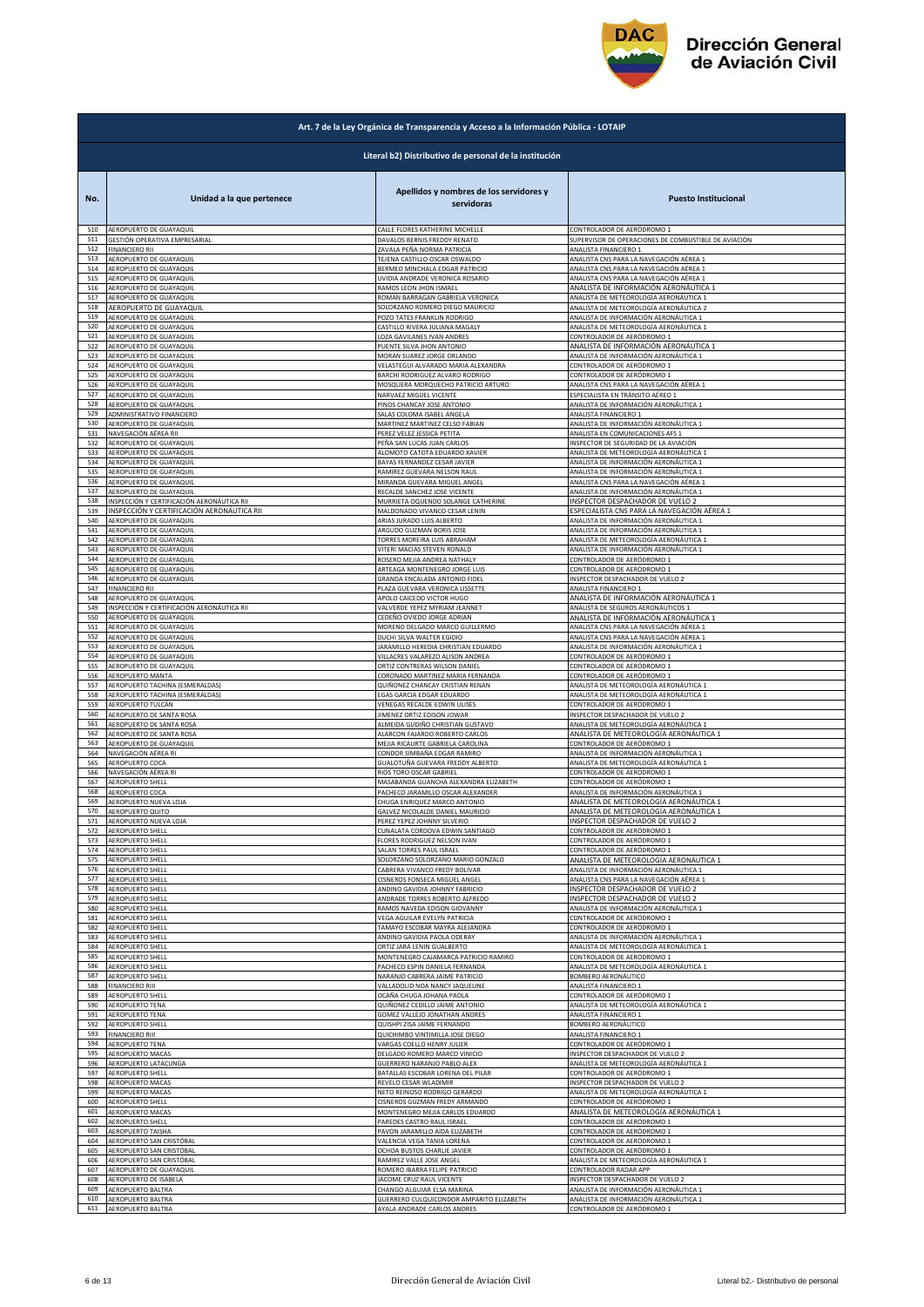

|            | Art. 7 de la Ley Orgánica de Transparencia y Acceso a la Información Pública - LOTAIP |                                                                     |                                                                                      |  |
|------------|---------------------------------------------------------------------------------------|---------------------------------------------------------------------|--------------------------------------------------------------------------------------|--|
|            | Literal b2) Distributivo de personal de la institución                                |                                                                     |                                                                                      |  |
| No.        | Unidad a la que pertenece                                                             | Apellidos y nombres de los servidores y<br>servidoras               | <b>Puesto Institucional</b>                                                          |  |
| 510        | AEROPUERTO DE GUAYAQUIL                                                               | CALLE FLORES KATHERINE MICHELLE                                     | CONTROLADOR DE AERÓDROMO 1                                                           |  |
| 511        | GESTIÓN OPERATIVA EMPRESARIAL                                                         | DAVALOS BERNIS FREDDY RENATO                                        | SUPERVISOR DE OPERACIONES DE COMBUSTIBLE DE AVIACIÓN                                 |  |
| 512        | <b>FINANCIERO RII</b>                                                                 | ZAVALA PEÑA NORMA PATRICIA                                          | ANALISTA FINANCIERO 1                                                                |  |
| 513        | AEROPUERTO DE GUAYAQUIL                                                               | TEJENA CASTILLO OSCAR OSWALDO                                       | ANALISTA CNS PARA LA NAVEGACIÓN AÉREA 1                                              |  |
| 514        | AEROPUERTO DE GUAYAQUIL                                                               | BERMEO MINCHALA EDGAR PATRICIO                                      | ANALISTA CNS PARA LA NAVEGACIÓN AÉREA 1                                              |  |
| 515        | AEROPUERTO DE GUAYAQUIL                                                               | UVIDIA ANDRADE VERONICA ROSARIO                                     | ANALISTA CNS PARA LA NAVEGACIÓN AÉREA 1                                              |  |
| 516        | AEROPUERTO DE GUAYAQUIL                                                               | RAMOS LEON JHON ISMAEL                                              | ANALISTA DE INFORMACIÓN AERONÁUTICA 1                                                |  |
| 517        | AEROPUERTO DE GUAYAQUIL                                                               | ROMAN BARRAGAN GABRIELA VERONICA                                    | ANALISTA DE METEOROLOGÍA AERONÁUTICA 1                                               |  |
| 518        | AEROPUERTO DE GUAYAQUIL                                                               | SOLORZANO ROMERO DIEGO MAURICIO                                     | ANALISTA DE METEOROLOGÍA AERONÁUTICA 2                                               |  |
| 519        | AEROPUERTO DE GUAYAQUIL                                                               | POZO TATES FRANKLIN RODRIGO                                         | ANALISTA DE INFORMACIÓN AERONÁUTICA 1                                                |  |
| 520        | AEROPUERTO DE GUAYAQUIL                                                               | CASTILLO RIVERA JULIANA MAGALY                                      | ANALISTA DE METEOROLOGÍA AERONÁUTICA 1                                               |  |
| 521        | AEROPUERTO DE GUAYAQUIL                                                               | LOZA GAVILANES IVAN ANDRES                                          | CONTROLADOR DE AERÓDROMO 1                                                           |  |
| 522        | AEROPUERTO DE GUAYAQUIL                                                               | PUENTE SILVA JHON ANTONIO                                           | ANALISTA DE INFORMACIÓN AERONÁUTICA 1                                                |  |
| 523        | AEROPUERTO DE GUAYAQUIL                                                               | MORAN SUAREZ JORGE ORLANDO                                          | ANALISTA DE INFORMACIÓN AERONÁUTICA 1                                                |  |
| 524        | AEROPUERTO DE GUAYAQUIL                                                               | VELASTEGUI ALVARADO MARIA ALEXANDRA                                 | CONTROLADOR DE AERÓDROMO 1                                                           |  |
| 525        | AEROPUERTO DE GUAYAQUIL                                                               | BARCHI RODRIGUEZ ALVARO RODRIGO                                     | CONTROLADOR DE AERÓDROMO 1                                                           |  |
| 526<br>527 | AEROPUERTO DE GUAYAQUIL<br>AEROPUERTO DE GUAYAQUIL                                    | MOSQUERA MORQUECHO PATRICIO ARTURO                                  | ANALISTA CNS PARA LA NAVEGACIÓN AÉREA 1                                              |  |
| 528        | AEROPUERTO DE GUAYAQUIL                                                               | NARVAEZ MIGUEL VICENTE<br>PINOS CHANCAY JOSE ANTONIO                | ESPECIALISTA EN TRÁNSITO AÉREO 1<br>ANALISTA DE INFORMACIÓN AERONÁUTICA 1            |  |
| 529        | ADMINISTRATIVO FINANCIERO                                                             | SALAS COLOMA ISABEL ANGELA                                          | ANALISTA FINANCIERO 1                                                                |  |
| 530        | AEROPUERTO DE GUAYAQUIL                                                               | MARTINEZ MARTINEZ CELSO FABIAN                                      | ANALISTA DE INFORMACIÓN AERONÁUTICA 1                                                |  |
| 531        | NAVEGACIÓN AÉREA RII                                                                  | PEREZ VELEZ JESSICA PETITA                                          | ANALISTA EN COMUNICACIONES AFS 1                                                     |  |
| 532        | <b>LEROPUERTO DE GUAYAQUIL</b>                                                        | PEÑA SAN LUCAS JUAN CARLOS                                          | NSPECTOR DE SEGURIDAD DE LA AVIACIÓN                                                 |  |
| 533        | AEROPUERTO DE GUAYAQUIL                                                               | ALOMOTO CATOTA EDUARDO XAVIER                                       | ANALISTA DE METEOROLOGÍA AERONÁUTICA 1                                               |  |
| 534        | <b>LEROPUERTO DE GUAYAQUIL</b>                                                        | BAYAS FERNANDEZ CESAR JAVIER                                        | ANALISTA DE INFORMACIÓN AERONÁUTICA 1                                                |  |
| 535        | AEROPUERTO DE GUAYAQUIL                                                               | RAMIREZ GUEVARA NELSON RAUL                                         | ANALISTA DE INFORMACIÓN AERONÁUTICA 1                                                |  |
| 536        | AEROPUERTO DE GUAYAQUIL                                                               | MIRANDA GUEVARA MIGUEL ANGEL                                        | ANALISTA CNS PARA LA NAVEGACIÓN AÉREA 1                                              |  |
| 537        | AEROPUERTO DE GUAYAQUIL                                                               | RECALDE SANCHEZ JOSE VICENTE                                        | ANALISTA DE INFORMACIÓN AERONÁUTICA 1                                                |  |
| 538<br>539 | INSPECCIÓN Y CERTIFICACIÓN AERONÁUTICA RII                                            | MURRIETA OQUENDO SOLANGE CATHERINE<br>MALDONADO VIVANCO CESAR LENIN | INSPECTOR DESPACHADOR DE VUELO 2                                                     |  |
| 540        | INSPECCIÓN Y CERTIFICACIÓN AERONÁUTICA RII<br>AEROPUERTO DE GUAYAQUIL                 | ARIAS JURADO LUIS ALBERTO                                           | ESPECIALISTA CNS PARA LA NAVEGACIÓN AÉREA 1<br>ANALISTA DE INFORMACIÓN AERONÁUTICA 1 |  |
| 541        | AEROPUERTO DE GUAYAQUIL                                                               | ARGUDO GUZMAN BORIS JOSE                                            | ANALISTA DE INFORMACIÓN AERONÁUTICA 1                                                |  |
| 542        | AEROPUERTO DE GUAYAQUIL                                                               | TORRES MOREIRA LUIS ABRAHAM                                         | ANALISTA DE METEOROLOGÍA AERONÁUTICA 1                                               |  |
| 543        | AEROPUERTO DE GUAYAQUIL                                                               | VITERI MACIAS STEVEN RONALD                                         | ANALISTA DE INFORMACIÓN AERONÁUTICA 1                                                |  |
| 544        | AEROPUERTO DE GUAYAQUIL                                                               | ROSERO MEJIA ANDREA NATHALY                                         | CONTROLADOR DE AERÓDROMO 1                                                           |  |
| 545        | AEROPUERTO DE GUAYAQUIL                                                               | ARTEAGA MONTENEGRO JORGE LUIS                                       | CONTROLADOR DE AERÓDROMO 1                                                           |  |
| 546        | AEROPUERTO DE GUAYAQUIL                                                               | GRANDA ENCALADA ANTONIO FIDEL                                       | INSPECTOR DESPACHADOR DE VUELO 2                                                     |  |
| 547        | FINANCIERO RII                                                                        | PLAZA GUEVARA VERONICA LISSETTE                                     | ANALISTA FINANCIERO 1                                                                |  |
| 548        | AEROPUERTO DE GUAYAQUIL                                                               | APOLO CAICEDO VICTOR HUGO                                           | ANALISTA DE INFORMACIÓN AERONÁUTICA 1                                                |  |
| 549        | INSPECCIÓN Y CERTIFICACIÓN AERONÁUTICA RII                                            | VALVERDE YEPEZ MYRIAM JEANNET                                       | ANALISTA DE SEGUROS AERONÁUTICOS 1                                                   |  |
| 550        | AEROPUERTO DE GUAYAQUIL                                                               | CEDEÑO OVIEDO JORGE ADRIAN                                          | ANALISTA DE INFORMACIÓN AERONÁUTICA 1                                                |  |
| 551        | AEROPUERTO DE GUAYAQUIL                                                               | MORENO DELGADO MARCO GUILLERMO                                      | ANALISTA CNS PARA LA NAVEGACIÓN AÉREA 1                                              |  |
| 552        | AEROPUERTO DE GUAYAQUIL                                                               | DUCHI SILVA WALTER EGIDIO                                           | ANALISTA CNS PARA LA NAVEGACIÓN AÉREA 1                                              |  |
| 553        | AEROPUERTO DE GUAYAQUIL                                                               | JARAMILLO HEREDIA CHRISTIAN EDUARDO                                 | ANALISTA DE INFORMACIÓN AERONÁUTICA 1                                                |  |
| 554        | AEROPUERTO DE GUAYAQUIL                                                               | VILLACRES VALAREZO ALISON ANDREA                                    | CONTROLADOR DE AERÓDROMO 1                                                           |  |
| 555        | AEROPUERTO DE GUAYAQUIL                                                               | ORTIZ CONTRERAS WILSON DANIEL                                       | CONTROLADOR DE AERÓDROMO 1                                                           |  |
| 556        | AEROPUERTO MANTA                                                                      | CORONADO MARTINEZ MARIA FERNANDA                                    | CONTROLADOR DE AERÓDROMO 1                                                           |  |
| 557        | <b>AEROPUERTO TACHINA (ESMERALDAS)</b>                                                | QUIÑONEZ CHANCAY CRISTIAN RENAN                                     | ANALISTA DE METEOROLOGÍA AERONÁUTICA 1                                               |  |
| 558        | AEROPUERTO TACHINA (ESMERALDAS)                                                       | EGAS GARCIA EDGAR EDUARDO                                           | ANALISTA DE METEOROLOGÍA AERONÁUTICA 1                                               |  |
| 559        | AEROPUERTO TULCÁN                                                                     | VENEGAS RECALDE EDWIN ULISES                                        | CONTROLADOR DE AERÓDROMO 1                                                           |  |
| 560        | AEROPUERTO DE SANTA ROSA                                                              | JIMENEZ ORTIZ EDISON JOWAR                                          | INSPECTOR DESPACHADOR DE VUELO 2                                                     |  |
| 561        | AEROPUERTO DE SANTA ROSA                                                              | ALMEIDA GUDIÑO CHRISTIAN GUSTAVO                                    | ANALISTA DE METEOROLOGÍA AERONÁUTICA 1                                               |  |
| 562        | AEROPUERTO DE SANTA ROSA                                                              | ALARCON FAJARDO ROBERTO CARLOS                                      | ANALISTA DE METEOROLOGÍA AERONÁUTICA 1                                               |  |
| 563        | AEROPUERTO DE GUAYAQUIL                                                               | MEJIA RICAURTE GABRIELA CAROLINA                                    | CONTROLADOR DE AERÓDROMO 1                                                           |  |
| 564        | NAVEGACIÓN AÉREA RI                                                                   | CONDOR SIMBAÑA EDGAR RAMIRO                                         | ANALISTA DE INFORMACIÓN AERONÁUTICA 1                                                |  |
| 565        | AEROPUERTO COCA                                                                       | GUALOTUÑA GUEVARA FREDDY ALBERTO                                    | ANALISTA DE METEOROLOGÍA AERONÁUTICA 1                                               |  |
| 566        | NAVEGACIÓN AÉREA RI                                                                   | RIOS TORO OSCAR GABRIEL                                             | CONTROLADOR DE AERÓDROMO 1                                                           |  |
| 567        | AEROPUERTO SHELL                                                                      | MASABANDA GUANCHA ALEXANDRA ELIZABETH                               | CONTROLADOR DE AERÓDROMO 1                                                           |  |
| 568        | AEROPUERTO COCA                                                                       | PACHECO JARAMILLO OSCAR ALEXANDER                                   | ANALISTA DE INFORMACIÓN AERONÁUTICA 1                                                |  |
| 569<br>570 | AEROPUERTO NUEVA LOJA                                                                 | CHUGA ENRIQUEZ MARCO ANTONIO<br>GALVEZ NICOLALDE DANIEL MAURICIC    | ANALISTA DE METEOROLOGÍA AERONÁUTICA 1                                               |  |
| 571        | AEROPUERTO QUITO<br>AEROPUERTO NUEVA LOJA                                             | PEREZ YEPEZ JOHNNY SILVERIO                                         | ANALISTA DE METEOROLOGIA AERONAUTICA 1<br>INSPECTOR DESPACHADOR DE VUELO 2           |  |
| 572        | AEROPUERTO SHELL                                                                      | CUNALATA CORDOVA EDWIN SANTIAGO                                     | CONTROLADOR DE AERÓDROMO 1                                                           |  |
| 573        | AEROPUERTO SHELL                                                                      | FLORES RODRIGUEZ NELSON IVAN                                        | CONTROLADOR DE AERÓDROMO 1                                                           |  |
| 574        | AEROPUERTO SHELL                                                                      | SALAN TORRES PAUL ISRAEL                                            | CONTROLADOR DE AERÓDROMO 1                                                           |  |
| 575        | AEROPUERTO SHELL                                                                      | SOLORZANO SOLORZANO MARIO GONZALO                                   | ANALISTA DE METEOROLOGÍA AERONÁUTICA 1                                               |  |
| 576        | AEROPUERTO SHELL                                                                      | CABRERA VIVANCO FREDY BOLIVAR                                       | ANALISTA DE INFORMACIÓN AERONÁUTICA 1                                                |  |
| 577        | AEROPUERTO SHELL                                                                      | CISNEROS FONSECA MIGUEL ANGEL                                       | ANALISTA CNS PARA LA NAVEGACIÓN AÉREA 1                                              |  |
| 578        | AEROPUERTO SHELL                                                                      | ANDINO GAVIDIA JOHNNY FABRICIO                                      | INSPECTOR DESPACHADOR DE VUELO 2                                                     |  |
| 579        | AEROPUERTO SHELL                                                                      | ANDRADE TORRES ROBERTO ALFREDO                                      | INSPECTOR DESPACHADOR DE VUELO 2                                                     |  |
| 580        | AEROPUERTO SHELL                                                                      | RAMOS NAVEDA EDISON GIOVANNY                                        | ANALISTA DE INFORMACIÓN AERONÁUTICA 1                                                |  |
| 581        | AEROPUERTO SHELL                                                                      | VEGA AGUILAR EVELYN PATRICIA                                        | CONTROLADOR DE AERÓDROMO 1                                                           |  |
| 582        | AEROPUERTO SHELL                                                                      | TAMAYO ESCOBAR MAYRA ALEJANDRA                                      | CONTROLADOR DE AERÓDROMO 1                                                           |  |
| 583        | AEROPUERTO SHELL                                                                      | ANDINO GAVIDIA PAOLA ODERAY                                         | ANALISTA DE INFORMACIÓN AERONÁUTICA 1                                                |  |
| 584        | AEROPUERTO SHELL                                                                      | ORTIZ JARA LENIN GUALBERTO                                          | ANALISTA DE METEOROLOGÍA AERONÁUTICA 1                                               |  |
| 585        | AEROPUERTO SHELL                                                                      | MONTENEGRO CAJAMARCA PATRICIO RAMIRO                                | CONTROLADOR DE AERÓDROMO 1                                                           |  |
| 586        | AEROPUERTO SHELL                                                                      | PACHECO ESPIN DANIELA FERNANDA                                      | ANALISTA DE METEOROLOGÍA AERONÁUTICA 1                                               |  |
| 587        | AEROPUERTO SHELL                                                                      | NARANJO CABRERA JAIME PATRICIO                                      | BOMBERO AERONÁUTICO                                                                  |  |
| 588        | FINANCIERO RIII                                                                       | VALLADOLID NOA NANCY JAQUELINE                                      | ANALISTA FINANCIERO 1                                                                |  |
| 589        | AEROPUERTO SHELL                                                                      | OCAÑA CHUGA JOHANA PAOLA                                            | CONTROLADOR DE AERÓDROMO 1                                                           |  |
| 590<br>591 | AEROPUERTO TENA                                                                       | QUIÑONEZ CEDILLO JAIME ANTONIO                                      | ANALISTA DE METEOROLOGÍA AERONÁUTICA 1                                               |  |
| 592        | AEROPUERTO TENA                                                                       | GOMEZ VALLEJO JONATHAN ANDRES                                       | ANALISTA FINANCIERO 1                                                                |  |
|            | AEROPUERTO SHELL                                                                      | QUISHPI ZISA JAIME FERNANDO                                         | BOMBERO AERONÁUTICO                                                                  |  |
| 593        | FINANCIERO RIII                                                                       | QUICHIMBO VINTIMILLA JOSE DIEGO                                     | ANALISTA FINANCIERO 1                                                                |  |
| 594        | <b>AEROPUERTO TENA</b>                                                                | VARGAS COELLO HENRY JULIER                                          | CONTROLADOR DE AERÓDROMO 1                                                           |  |
| 595        | AEROPUERTO MACAS                                                                      | DELGADO ROMERO MARCO VINICIO                                        | NSPECTOR DESPACHADOR DE VUELO 2                                                      |  |
| 596        | AEROPUERTO LATACUNGA                                                                  | <b>GUERRERO NARANJO PABLO ALEX</b>                                  | ANALISTA DE METEOROLOGÍA AERONÁUTICA 1                                               |  |
| 597        | AEROPUERTO SHELL                                                                      | BATALLAS ESCOBAR LORENA DEL PILAR                                   | CONTROLADOR DE AERÓDROMO 1                                                           |  |
| 598        | AEROPUERTO MACAS                                                                      | REVELO CESAR WLADIMIR                                               | INSPECTOR DESPACHADOR DE VUELO 2                                                     |  |
| 599        | AEROPUERTO MACAS                                                                      | NETO REINOSO RODRIGO GERARDO                                        | ANALISTA DE METEOROLOGÍA AERONÁUTICA 1                                               |  |
| 600        | <b>AEROPUERTO SHELL</b>                                                               | CISNEROS GUZMAN FREDY ARMANDO                                       | CONTROLADOR DE AERÓDROMO 1                                                           |  |
| 601        | AEROPUERTO MACAS                                                                      | MONTENEGRO MEJIA CARLOS EDUARDO                                     | ANALISTA DE METEOROLOGÍA AERONÁUTICA 1                                               |  |
| 602        | AEROPUERTO SHELL                                                                      | PAREDES CASTRO RAUL ISRAEL                                          | CONTROLADOR DE AERÓDROMO 1                                                           |  |
| 603        | <b>AEROPUERTO TAISHA</b>                                                              | PAVON JARAMILLO AIDA ELIZABETH                                      | CONTROLADOR DE AERÓDROMO 1                                                           |  |
| 604        | AEROPUERTO SAN CRISTÓBAL                                                              | VALENCIA VEGA TANIA LORENA                                          | CONTROLADOR DE AERÓDROMO 1                                                           |  |
| 605        | AEROPUERTO SAN CRISTÓBAL                                                              | OCHOA BUSTOS CHARLIE JAVIER                                         | CONTROLADOR DE AERÓDROMO 1                                                           |  |
| 606        | AEROPUERTO SAN CRISTÓBAL                                                              | RAMIREZ VALLE JOSE ANGEL                                            | ANALISTA DE METEOROLOGÍA AERONÁUTICA 1                                               |  |
| 607        | AEROPUERTO DE GUAYAQUIL                                                               | ROMERO IBARRA FELIPE PATRICIO                                       | CONTROLADOR RADAR APP                                                                |  |
| 608        | AEROPUERTO DE ISABELA                                                                 | JACOME CRUZ RAUL VICENTE                                            | INSPECTOR DESPACHADOR DE VUELO 2                                                     |  |
| 609        | AEROPUERTO BALTRA                                                                     | CHANGO ALGUIAR ELSA MARINA                                          | ANALISTA DE INFORMACIÓN AERONÁUTICA 1                                                |  |
| 610        | AEROPUERTO BALTRA                                                                     | GUERRERO CULQUICONDOR AMPARITO ELIZABETH                            | ANALISTA DE INFORMACIÓN AERONÁUTICA 1                                                |  |
| 611        | AEROPUERTO BALTRA                                                                     | AYALA ANDRADE CARLOS ANDRES                                         | CONTROLADOR DE AERÓDROMO 1                                                           |  |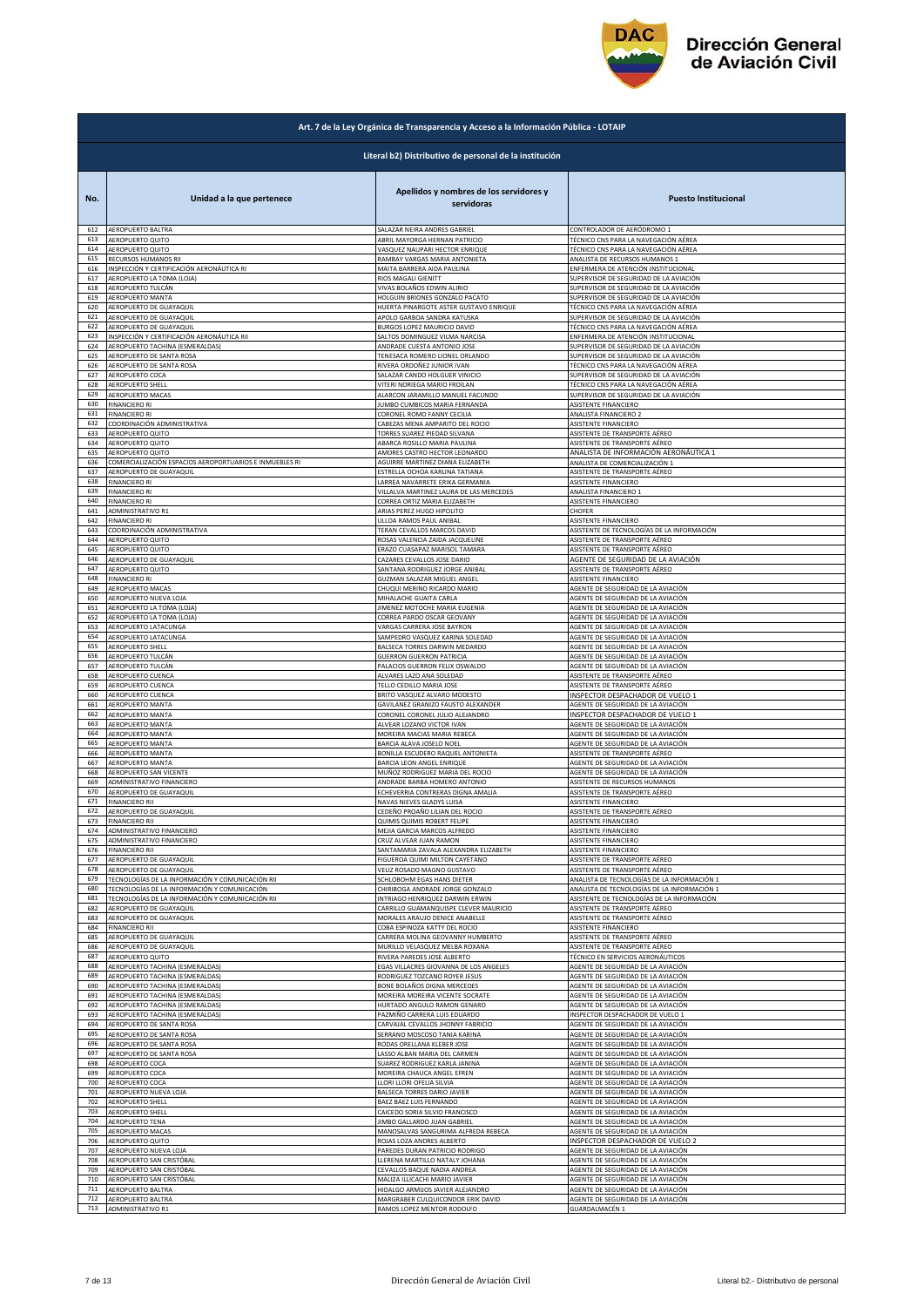

|            | Art. 7 de la Ley Orgánica de Transparencia y Acceso a la Información Pública - LOTAIP |                                                       |                                                                          |  |
|------------|---------------------------------------------------------------------------------------|-------------------------------------------------------|--------------------------------------------------------------------------|--|
|            | Literal b2) Distributivo de personal de la institución                                |                                                       |                                                                          |  |
| No.        | Unidad a la que pertenece                                                             | Apellidos y nombres de los servidores y<br>servidoras | <b>Puesto Institucional</b>                                              |  |
| 612        | AEROPUERTO BALTRA                                                                     | SALAZAR NEIRA ANDRES GABRIEL                          | CONTROLADOR DE AERÓDROMO 1                                               |  |
| 613        | AEROPUERTO QUITO                                                                      | ABRIL MAYORGA HERNAN PATRICIO                         | TÉCNICO CNS PARA LA NAVEGACIÓN AÉREA                                     |  |
| 614        | AEROPUERTO QUITO                                                                      | VASQUEZ NAUPARI HECTOR ENRIQUE                        | TÉCNICO CNS PARA LA NAVEGACIÓN AÉREA                                     |  |
| 615        | RECURSOS HUMANOS RII                                                                  | RAMBAY VARGAS MARIA ANTONIETA                         | ANALISTA DE RECURSOS HUMANOS 1                                           |  |
| 616        | INSPECCIÓN Y CERTIFICACIÓN AERONÁUTICA RI                                             | MAITA BARRERA AIDA PAULINA                            | ENFERMERA DE ATENCIÓN INSTITUCIONAL                                      |  |
| 617        | AEROPUERTO LA TOMA (LOJA)                                                             | RIOS MAGALI GIENITT                                   | SUPERVISOR DE SEGURIDAD DE LA AVIACIÓN                                   |  |
| 618        | AEROPUERTO TULCÁN                                                                     | VIVAS BOLAÑOS EDWIN ALIRIO                            | SUPERVISOR DE SEGURIDAD DE LA AVIACIÓN                                   |  |
| 619        | AEROPUERTO MANTA                                                                      | HOLGUIN BRIONES GONZALO PACATO                        | SUPERVISOR DE SEGURIDAD DE LA AVIACIÓN                                   |  |
| 620        | AEROPUERTO DE GUAYAQUIL                                                               | HUERTA PINARGOTE ASTER GUSTAVO ENRIQUE                | TÉCNICO CNS PARA LA NAVEGACIÓN AÉREA                                     |  |
| 621        | AEROPUERTO DE GUAYAQUIL                                                               | APOLO GARBOA SANDRA KATUSKA                           | SUPERVISOR DE SEGURIDAD DE LA AVIACIÓN                                   |  |
| 622        | AEROPUERTO DE GUAYAQUIL                                                               | <b>BURGOS LOPEZ MAURICIO DAVID</b>                    | TÉCNICO CNS PARA LA NAVEGACIÓN AÉREA                                     |  |
| 623        | INSPECCIÓN Y CERTIFICACIÓN AERONÁUTICA RII                                            | SALTOS DOMINGUEZ VILMA NARCISA                        | ENFERMERA DE ATENCIÓN INSTITUCIONAL                                      |  |
| 624        | AEROPUERTO TACHINA (ESMERALDAS)                                                       | ANDRADE CUESTA ANTONIO JOSE                           | SUPERVISOR DE SEGURIDAD DE LA AVIACIÓN                                   |  |
| 625        | AEROPUERTO DE SANTA ROSA                                                              | <b>TENESACA ROMERO LIONEL ORLANDO</b>                 | SUPERVISOR DE SEGURIDAD DE LA AVIACIÓN                                   |  |
| 626        | AEROPUERTO DE SANTA ROSA                                                              | RIVERA ORDOÑEZ JUNIOR IVAN                            | TÉCNICO CNS PARA LA NAVEGACIÓN AÉREA                                     |  |
| 627        | AEROPUERTO COCA                                                                       | SALAZAR CANDO HOLGUER VINICIO                         | SUPERVISOR DE SEGURIDAD DE LA AVIACIÓN                                   |  |
| 628<br>629 | AEROPUERTO SHELL                                                                      | VITERI NORIEGA MARIO FROILAN                          | TÉCNICO CNS PARA LA NAVEGACIÓN AÉREA                                     |  |
| 630        | AEROPUERTO MACAS                                                                      | ALARCON JARAMILLO MANUEL FACUNDO                      | SUPERVISOR DE SEGURIDAD DE LA AVIACIÓN                                   |  |
|            | <b>FINANCIERO RI</b>                                                                  | JUMBO CUMBICOS MARIA FERNANDA                         | ASISTENTE FINANCIERO                                                     |  |
| 631        | <b>FINANCIERO RI</b>                                                                  | CORONEL ROMO FANNY CECILIA                            | ANALISTA FINANCIERO 2                                                    |  |
| 632        | COORDINACIÓN ADMINISTRATIVA                                                           | CABEZAS MENA AMPARITO DEL ROCIO                       | ASISTENTE FINANCIERO                                                     |  |
| 633        | AEROPUERTO QUITO                                                                      | <b>TORRES SUAREZ PIEDAD SILVANA</b>                   | ASISTENTE DE TRANSPORTE AÉREO                                            |  |
| 634        | AEROPUERTO QUITO                                                                      | ABARCA ROSILLO MARIA PAULINA                          | ASISTENTE DE TRANSPORTE AÉREO                                            |  |
| 635        | AEROPUERTO QUITO                                                                      | AMORES CASTRO HECTOR LEONARDO                         | ANALISTA DE INFORMACIÓN AERONÁUTICA 1                                    |  |
| 636        | COMERCIALIZACIÓN ESPACIOS AEROPORTUARIOS E INMUEBLES RI                               | AGUIRRE MARTINEZ DIANA ELIZABETH                      | ANALISTA DE COMERCIALIZACIÓN 1                                           |  |
| 637        | AEROPUERTO DE GUAYAQUIL                                                               | ESTRELLA OCHOA KARLINA TATIANA                        | ASISTENTE DE TRANSPORTE AÉREO                                            |  |
| 638        | <b>FINANCIERO RI</b>                                                                  | ARREA NAVARRETE ERIKA GERMANIA                        | ASISTENTE FINANCIERO                                                     |  |
| 639        | <b>FINANCIERO RI</b>                                                                  | VILLALVA MARTINEZ LAURA DE LAS MERCEDES               | ANALISTA FINANCIERO 1                                                    |  |
| 640        | <b>FINANCIERO RI</b>                                                                  | CORREA ORTIZ MARIA ELIZABETH                          | ASISTENTE FINANCIERO                                                     |  |
| 641        | ADMINISTRATIVO R1                                                                     | ARIAS PEREZ HUGO HIPOLITO                             | CHOFER                                                                   |  |
| 642        | <b>FINANCIERO RI</b>                                                                  | ULLOA RAMOS PAUL ANIBAL                               | ASISTENTE FINANCIERO                                                     |  |
| 643        | COORDINACIÓN ADMINISTRATIVA                                                           | TERAN CEVALLOS MARCOS DAVID                           | ASISTENTE DE TECNOLOGÍAS DE LA INFORMACIÓN                               |  |
| 644        | AEROPUERTO QUITO                                                                      | ROSAS VALENCIA ZAIDA JACQUELINE                       | ASISTENTE DE TRANSPORTE AÉREO                                            |  |
| 645        | AEROPUERTO QUITO                                                                      | ERAZO CUASAPAZ MARISOL TAMARA                         | ASISTENTE DE TRANSPORTE AÉREO                                            |  |
| 646        | AEROPUERTO DE GUAYAQUIL                                                               | CAZARES CEVALLOS JOSE DARIO                           | AGENTE DE SEGURIDAD DE LA AVIACIÓN                                       |  |
| 647        | AEROPUERTO QUITO                                                                      | SANTANA RODRIGUEZ JORGE ANIBAL                        | ASISTENTE DE TRANSPORTE AÉREO                                            |  |
| 648        | <b>FINANCIERO RI</b>                                                                  | GUZMAN SALAZAR MIGUEL ANGEL                           | ASISTENTE FINANCIERO                                                     |  |
| 649        | AEROPUERTO MACAS                                                                      | CHUQUI MERINO RICARDO MARIO                           | AGENTE DE SEGURIDAD DE LA AVIACIÓN                                       |  |
| 650        | AEROPUERTO NUEVA LOJA                                                                 | MIHALACHE GUAITA CARLA                                | AGENTE DE SEGURIDAD DE LA AVIACIÓN                                       |  |
| 651        | AEROPUERTO LA TOMA (LOJA)                                                             | <b>IIMENEZ MOTOCHE MARIA EUGENIA</b>                  | AGENTE DE SEGURIDAD DE LA AVIACIÓN                                       |  |
| 652        | AEROPUERTO LA TOMA (LOJA)                                                             | CORREA PARDO OSCAR GEOVANY                            | AGENTE DE SEGURIDAD DE LA AVIACIÓN                                       |  |
| 653        | AEROPUERTO LATACUNGA                                                                  | VARGAS CARRERA JOSE BAYRON                            | AGENTE DE SEGURIDAD DE LA AVIACIÓN                                       |  |
| 654        | AEROPUERTO LATACUNGA                                                                  | SAMPEDRO VASQUEZ KARINA SOLEDAD                       | AGENTE DE SEGURIDAD DE LA AVIACIÓN                                       |  |
| 655        | AEROPUERTO SHELL                                                                      | BALSECA TORRES DARWIN MEDARDO                         | AGENTE DE SEGURIDAD DE LA AVIACIÓN                                       |  |
| 656        | AEROPUERTO TULCÁN                                                                     | <b>GUERRON GUERRON PATRICIA</b>                       | AGENTE DE SEGURIDAD DE LA AVIACIÓN                                       |  |
| 657        | AEROPUERTO TULCÁN                                                                     | PALACIOS GUERRON FELIX OSWALDO                        | AGENTE DE SEGURIDAD DE LA AVIACIÓN                                       |  |
| 658        | AEROPUERTO CUENCA                                                                     | ALVARES LAZO ANA SOLEDAD                              | ASISTENTE DE TRANSPORTE AÉREO                                            |  |
| 659        | AEROPUERTO CUENCA                                                                     | TELLO CEDILLO MARIA JOSE                              | ASISTENTE DE TRANSPORTE AÉREO                                            |  |
| 660        | AEROPUERTO CUENCA                                                                     | BRITO VASQUEZ ALVARO MODESTO                          | INSPECTOR DESPACHADOR DE VUELO 1                                         |  |
| 661        | AEROPUERTO MANTA                                                                      | GAVILANEZ GRANIZO FAUSTO ALEXANDER                    | AGENTE DE SEGURIDAD DE LA AVIACIÓN                                       |  |
| 662        | AEROPUERTO MANTA                                                                      | CORONEL CORONEL JULIO ALEJANDRO                       | INSPECTOR DESPACHADOR DE VUELO 1                                         |  |
| 663        | <b>AEROPUERTO MANTA</b>                                                               | ALVEAR LOZANO VICTOR IVAN                             | AGENTE DE SEGURIDAD DE LA AVIACIÓN                                       |  |
| 664        | <b>AEROPUERTO MANTA</b>                                                               | MOREIRA MACIAS MARIA REBECA                           |                                                                          |  |
| 665        | AEROPUERTO MANTA                                                                      | BARCIA ALAVA JOSELO NOEL                              | AGENTE DE SEGURIDAD DE LA AVIACIÓN<br>AGENTE DE SEGURIDAD DE LA AVIACIÓN |  |
| 666        | AEROPUERTO MANTA                                                                      | BONILLA ESCUDERO RAQUEL ANTONIETA                     | ASISTENTE DE TRANSPORTE AÉREO                                            |  |
| 667        | AEROPUERTO MANTA                                                                      | BARCIA LEON ANGEL ENRIQUE                             | AGENTE DE SEGURIDAD DE LA AVIACIÓN                                       |  |
| 668        | <b>AEROPUERTO SAN VICENTE</b>                                                         | MUÑOZ RODRIGUEZ MARIA DEL ROCIO                       | AGENTE DE SEGURIDAD DE LA AVIACIÓN                                       |  |
| 669        | ADMINISTRATIVO FINANCIERO                                                             | ANDRADE BARBA HOMERO ANTONIO                          | ASISTENTE DE RECURSOS HUMANOS                                            |  |
| 670<br>671 | AEROPUERTO DE GUAYAQUIL                                                               | ECHEVERRIA CONTRERAS DIGNA AMALIA                     | ASISTENTE DE TRANSPORTE AÉREO                                            |  |
| 672        | <b>FINANCIERO RII</b>                                                                 | NAVAS NIEVES GLADYS LUISA                             | ASISTENTE FINANCIERO                                                     |  |
|            | AEROPUERTO DE GUAYAQUII                                                               | CEDEÑO PROAÑO LILIAN DEL ROCIO                        | ASISTENTE DE TRANSPOI                                                    |  |
| 673        | <b>FINANCIERO RII</b>                                                                 | QUIMIS QUIMIS ROBERT FELIPE                           | ASISTENTE FINANCIERO                                                     |  |
| 674        | ADMINISTRATIVO FINANCIERO                                                             | <b>MEJIA GARCIA MARCOS ALFREDO</b>                    | ASISTENTE FINANCIERO                                                     |  |
| 675        | ADMINISTRATIVO FINANCIERO                                                             | CRUZ ALVEAR JUAN RAMON                                | ASISTENTE FINANCIERO                                                     |  |
| 676        | <b>FINANCIERO RII</b>                                                                 | SANTAMARIA ZAVALA ALEXANDRA ELIZABETH                 | ASISTENTE FINANCIERO                                                     |  |
| 677        | AEROPUERTO DE GUAYAQUIL                                                               | <b>IGUEROA QUIMI MILTON CAYETANO</b>                  | ASISTENTE DE TRANSPORTE AÉREO                                            |  |
| 678        | AEROPUERTO DE GUAYAQUIL                                                               | VELIZ ROSADO MAGNO GUSTAVO                            | ASISTENTE DE TRANSPORTE AÉREO                                            |  |
| 679        | TECNOLOGÍAS DE LA INFORMACIÓN Y COMUNICACIÓN RII                                      | SCHLOBOHM EGAS HANS DIETER                            | ANALISTA DE TECNOLOGÍAS DE LA INFORMACIÓN 1                              |  |
| 680        | TECNOLOGÍAS DE LA INFORMACIÓN Y COMUNICACIÓN                                          | CHIRIBOGA ANDRADE JORGE GONZALO                       | ANALISTA DE TECNOLOGÍAS DE LA INFORMACIÓN 1                              |  |
| 681        | TECNOLOGÍAS DE LA INFORMACIÓN Y COMUNICACIÓN RII                                      | INTRIAGO HENRIQUEZ DARWIN ERWIN                       | ASISTENTE DE TECNOLOGÍAS DE LA INFORMACIÓN                               |  |
| 682        | AEROPUERTO DE GUAYAQUII                                                               | CARRILLO GUAMANQUISPE CLEVER MAURICIO                 | ASISTENTE DE TRANSPORTE AÉREO                                            |  |
| 683        | AEROPUERTO DE GUAYAQUIL                                                               | MORALES ARAUJO DENICE ANABELLE                        | ASISTENTE DE TRANSPORTE AÉREO                                            |  |
| 684        | <b>FINANCIERO RII</b>                                                                 | COBA ESPINOZA KATTY DEL ROCIO                         | ASISTENTE FINANCIERO                                                     |  |
| 685        | AEROPUERTO DE GUAYAQUIL                                                               | CARRERA MOLINA GEOVANNY HUMBERTO                      | ASISTENTE DE TRANSPORTE AÉREO                                            |  |
| 686        | AEROPUERTO DE GUAYAQUIL                                                               | MURILLO VELASQUEZ MELBA ROXANA                        | ASISTENTE DE TRANSPORTE AÉREO                                            |  |
| 687        | AEROPUERTO QUITO                                                                      | RIVERA PAREDES JOSE ALBERTO                           | TÉCNICO EN SERVICIOS AERONÁUTICOS                                        |  |
| 688        | AEROPUERTO TACHINA (ESMERALDAS)                                                       | EGAS VILLACRES GIOVANNA DE LOS ANGELES                | AGENTE DE SEGURIDAD DE LA AVIACIÓN                                       |  |
| 689        | AEROPUERTO TACHINA (ESMERALDAS)                                                       | RODRIGUEZ TOZCANO ROYER JESUS                         | AGENTE DE SEGURIDAD DE LA AVIACIÓN                                       |  |
| 690        | AEROPUERTO TACHINA (ESMERALDAS)                                                       | BONE BOLAÑOS DIGNA MERCEDES                           | AGENTE DE SEGURIDAD DE LA AVIACIÓN                                       |  |
| 691        | AEROPUERTO TACHINA (ESMERALDAS)                                                       | MOREIRA MOREIRA VICENTE SOCRATE                       | AGENTE DE SEGURIDAD DE LA AVIACIÓN                                       |  |
| 692        | AEROPUERTO TACHINA (ESMERALDAS)                                                       | HURTADO ANGULO RAMON GENARO                           | AGENTE DE SEGURIDAD DE LA AVIACIÓN                                       |  |
| 693        | AEROPUERTO TACHINA (ESMERALDAS)                                                       | PAZMIÑO CARRERA LUIS EDUARDO                          | INSPECTOR DESPACHADOR DE VUELO 1                                         |  |
| 694        | AEROPUERTO DE SANTA ROSA                                                              | CARVAJAL CEVALLOS JHONNY FABRICIO                     | AGENTE DE SEGURIDAD DE LA AVIACIÓN                                       |  |
| 695        | AEROPUERTO DE SANTA ROSA                                                              | SERRANO MOSCOSO TANIA KARINA                          | AGENTE DE SEGURIDAD DE LA AVIACIÓN                                       |  |
| 696        | AEROPUERTO DE SANTA ROSA                                                              | RODAS ORELLANA KLEBER JOSE                            | AGENTE DE SEGURIDAD DE LA AVIACIÓN                                       |  |
| 697        | AEROPUERTO DE SANTA ROSA                                                              | ASSO ALBAN MARIA DEL CARMEN                           | AGENTE DE SEGURIDAD DE LA AVIACIÓN                                       |  |
| 698        | AEROPUERTO COCA                                                                       | SUAREZ RODRIGUEZ KARLA JANINA                         | AGENTE DE SEGURIDAD DE LA AVIACIÓN                                       |  |
| 699        | AEROPUERTO COCA                                                                       | MOREIRA CHAUCA ANGEL EFREN                            | AGENTE DE SEGURIDAD DE LA AVIACIÓN                                       |  |
| 700        | AEROPUERTO COCA                                                                       | LLORI LLORI OFELIA SILVIA                             | AGENTE DE SEGURIDAD DE LA AVIACIÓN                                       |  |
| 701        | AEROPUERTO NUEVA LOJA                                                                 | BALSECA TORRES DARIO JAVIER                           | AGENTE DE SEGURIDAD DE LA AVIACIÓN                                       |  |
| 702        | AEROPUERTO SHELL                                                                      | BAEZ BAEZ LUIS FERNANDO                               | AGENTE DE SEGURIDAD DE LA AVIACIÓN                                       |  |
| 703        | AEROPUERTO SHELL                                                                      | CAICEDO SORIA SILVIO FRANCISCO                        | AGENTE DE SEGURIDAD DE LA AVIACIÓN                                       |  |
| 704        | AEROPUERTO TENA                                                                       | JIMBO GALLARDO JUAN GABRIEL                           | AGENTE DE SEGURIDAD DE LA AVIACIÓN                                       |  |
| 705        | AEROPUERTO MACAS                                                                      | MANOSALVAS SANGURIMA ALFREDA REBECA                   | AGENTE DE SEGURIDAD DE LA AVIACIÓN                                       |  |
| 706        | AEROPUERTO QUITO                                                                      | ROJAS LOZA ANDRES ALBERTO                             | INSPECTOR DESPACHADOR DE VUELO 2                                         |  |
| 707        | AEROPUERTO NUEVA LOJA                                                                 | PAREDES DURAN PATRICIO RODRIGO                        | AGENTE DE SEGURIDAD DE LA AVIACIÓN                                       |  |
| 708        | AEROPUERTO SAN CRISTÓBAL                                                              | LERENA MARTILLO NATALY JOHANA                         | AGENTE DE SEGURIDAD DE LA AVIACIÓN                                       |  |
| 709        | AEROPUERTO SAN CRISTÓBAL                                                              | CEVALLOS BAQUE NADIA ANDREA                           | AGENTE DE SEGURIDAD DE LA AVIACIÓN                                       |  |
| 710        | AEROPUERTO SAN CRISTÓBAL                                                              | MALIZA ILLICACHI MARIO JAVIER                         | AGENTE DE SEGURIDAD DE LA AVIACIÓN                                       |  |
| 711        | AEROPUERTO BALTRA                                                                     | HIDALGO ARMIJOS JAVIER ALEJANDRO                      | AGENTE DE SEGURIDAD DE LA AVIACIÓN                                       |  |
| 712        | AEROPUERTO BALTRA                                                                     | MARGRABER CULQUICONDOR ERIK DAVID                     | AGENTE DE SEGURIDAD DE LA AVIACIÓN                                       |  |
| 713        | ADMINISTRATIVO R1                                                                     | RAMOS LOPEZ MENTOR RODOLFO                            | GUARDALMACÉN 1                                                           |  |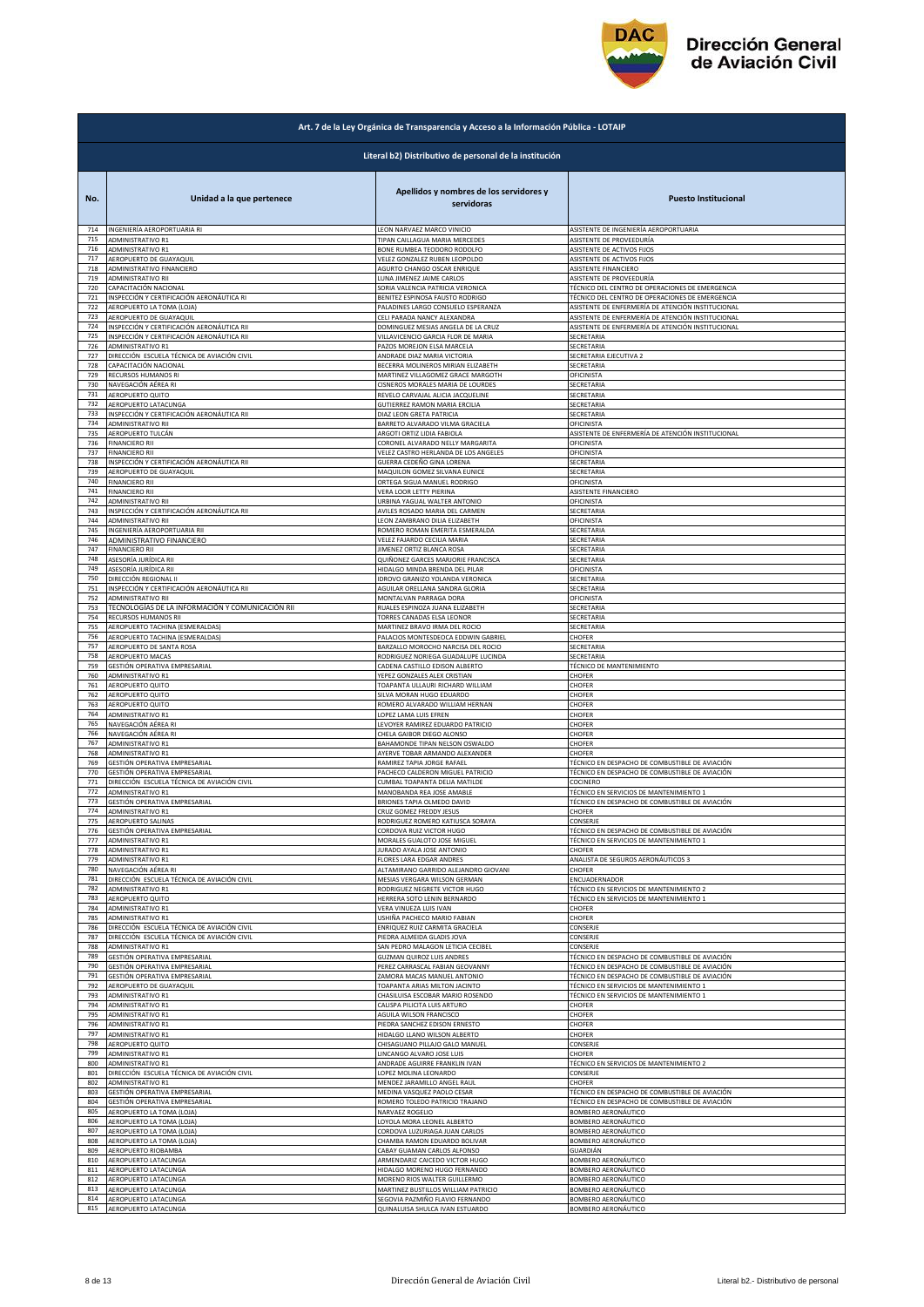

| Art. 7 de la Ley Orgánica de Transparencia y Acceso a la Información Pública - LOTAIP |                                                        |                                                                 |                                                   |  |
|---------------------------------------------------------------------------------------|--------------------------------------------------------|-----------------------------------------------------------------|---------------------------------------------------|--|
|                                                                                       | Literal b2) Distributivo de personal de la institución |                                                                 |                                                   |  |
| No.                                                                                   | Unidad a la que pertenece                              | Apellidos y nombres de los servidores y<br>servidoras           | <b>Puesto Institucional</b>                       |  |
| 714                                                                                   | INGENIERÍA AEROPORTUARIA RI                            | LEON NARVAEZ MARCO VINICIO                                      | ASISTENTE DE INGENIERÍA AEROPORTUARIA             |  |
| 715                                                                                   | ADMINISTRATIVO R1                                      | TIPAN CAILLAGUA MARIA MERCEDES                                  | ASISTENTE DE PROVEEDURÍA                          |  |
| 716                                                                                   | <b>ADMINISTRATIVO R1</b>                               | BONE RUMBEA TEODORO RODOLFO                                     | ASISTENTE DE ACTIVOS FIJOS                        |  |
| 717                                                                                   | AEROPUERTO DE GUAYAQUIL                                | VELEZ GONZALEZ RUBEN LEOPOLDO                                   | ASISTENTE DE ACTIVOS FIJOS                        |  |
| 718                                                                                   | ADMINISTRATIVO FINANCIERO                              | AGURTO CHANGO OSCAR ENRIQUE                                     | ASISTENTE FINANCIERO                              |  |
| 719                                                                                   | ADMINISTRATIVO RII                                     | LUNA JIMENEZ JAIME CARLOS                                       | ASISTENTE DE PROVEEDURÍA                          |  |
| 720                                                                                   | CAPACITACIÓN NACIONAL                                  | SORIA VALENCIA PATRICIA VERONICA                                | TÉCNICO DEL CENTRO DE OPERACIONES DE EMERGENCIA   |  |
| 721                                                                                   | INSPECCIÓN Y CERTIFICACIÓN AERONÁUTICA RI              | BENITEZ ESPINOSA FAUSTO RODRIGO                                 | TÉCNICO DEL CENTRO DE OPERACIONES DE EMERGENCIA   |  |
| 722                                                                                   | AEROPUERTO LA TOMA (LOJA)                              | PALADINES LARGO CONSUELO ESPERANZA                              | ASISTENTE DE ENFERMERÍA DE ATENCIÓN INSTITUCIONAL |  |
| 723                                                                                   | AEROPUERTO DE GUAYAQUIL                                | CELI PARADA NANCY ALEXANDRA                                     | ASISTENTE DE ENFERMERÍA DE ATENCIÓN INSTITUCIONAL |  |
| 724                                                                                   | INSPECCIÓN Y CERTIFICACIÓN AERONÁUTICA RII             | DOMINGUEZ MESIAS ANGELA DE LA CRUZ                              | ASISTENTE DE ENFERMERÍA DE ATENCIÓN INSTITUCIONAL |  |
| 725                                                                                   | INSPECCIÓN Y CERTIFICACIÓN AERONÁUTICA RII             | VILLAVICENCIO GARCIA FLOR DE MARIA                              | SECRETARIA                                        |  |
| 726                                                                                   | ADMINISTRATIVO R1                                      | PAZOS MOREJON ELSA MARCELA                                      | SECRETARIA                                        |  |
| 727                                                                                   | DIRECCIÓN ESCUELA TÉCNICA DE AVIACIÓN CIVIL            | ANDRADE DIAZ MARIA VICTORIA                                     | SECRETARIA EJECUTIVA 2                            |  |
| 728                                                                                   | CAPACITACIÓN NACIONAL                                  | BECERRA MOLINEROS MIRIAN ELIZABETH                              | SECRETARIA                                        |  |
| 729                                                                                   | RECURSOS HUMANOS RI                                    | MARTINEZ VILLAGOMEZ GRACE MARGOTH                               | OFICINISTA                                        |  |
| 730<br>731                                                                            | NAVEGACIÓN AÉREA RI                                    | CISNEROS MORALES MARIA DE LOURDES                               | SECRETARIA                                        |  |
| 732                                                                                   | AEROPUERTO QUITO                                       | REVELO CARVAJAL ALICIA JACQUELINE                               | SECRETARIA                                        |  |
|                                                                                       | AEROPUERTO LATACUNGA                                   | GUTIERREZ RAMON MARIA ERCILIA                                   | SECRETARIA                                        |  |
| 733                                                                                   | INSPECCIÓN Y CERTIFICACIÓN AERONÁUTICA RII             | DIAZ LEON GRETA PATRICIA                                        | SECRETARIA                                        |  |
| 734                                                                                   | ADMINISTRATIVO RII                                     | BARRETO ALVARADO VILMA GRACIELA                                 | OFICINISTA                                        |  |
| 735                                                                                   | AEROPUERTO TULCÁN                                      | ARGOTI ORTIZ LIDIA FABIOLA                                      | ASISTENTE DE ENFERMERÍA DE ATENCIÓN INSTITUCIONAL |  |
| 736                                                                                   | <b>FINANCIERO RII</b>                                  | CORONEL ALVARADO NELLY MARGARITA                                | OFICINISTA                                        |  |
| 737                                                                                   | <b>FINANCIERO RII</b>                                  | VELEZ CASTRO HERLANDA DE LOS ANGELES                            | OFICINISTA                                        |  |
| 738                                                                                   | INSPECCIÓN Y CERTIFICACIÓN AERONÁUTICA RII             | GUERRA CEDEÑO GINA LORENA                                       | SECRETARIA                                        |  |
| 739                                                                                   | AEROPUERTO DE GUAYAQUIL                                | MAQUILON GOMEZ SILVANA EUNICE                                   | SECRETARIA                                        |  |
| 740                                                                                   | <b>FINANCIERO RII</b>                                  | ORTEGA SIGUA MANUEL RODRIGO                                     | OFICINISTA                                        |  |
| 741                                                                                   | <b>FINANCIERO RII</b>                                  | <b>VERA LOOR LETTY PIERINA</b>                                  | ASISTENTE FINANCIERO                              |  |
| 742                                                                                   | <b>ADMINISTRATIVO RII</b>                              | URBINA YAGUAL WALTER ANTONIO                                    | OFICINISTA                                        |  |
| 743                                                                                   | INSPECCIÓN Y CERTIFICACIÓN AERONÁUTICA RII             |                                                                 | SECRETARIA                                        |  |
| 744                                                                                   | ADMINISTRATIVO RII                                     | AVILES ROSADO MARIA DEL CARMEN<br>LEON ZAMBRANO DILIA ELIZABETH | OFICINISTA                                        |  |
| 745                                                                                   | INGENIERÍA AEROPORTUARIA RII                           | ROMERO ROMAN EMERITA ESMERALDA                                  | SECRETARIA                                        |  |
| 746                                                                                   | ADMINISTRATIVO FINANCIERO                              | VELEZ FAJARDO CECILIA MARIA                                     | SECRETARIA                                        |  |
| 747                                                                                   | <b>FINANCIERO RII</b>                                  | <b>JIMENEZ ORTIZ BLANCA ROSA</b>                                | ECRETARIA                                         |  |
| 748                                                                                   | ASESORÍA JURÍDICA RII                                  | QUIÑONEZ GARCES MARJORIE FRANCISCA                              | SECRETARIA                                        |  |
| 749                                                                                   | ASESORÍA JURÍDICA RII                                  | HIDALGO MINDA BRENDA DEL PILAR                                  | OFICINISTA                                        |  |
| 750                                                                                   | DIRECCIÓN REGIONAL II                                  | IDROVO GRANIZO YOLANDA VERONICA                                 | SECRETARIA                                        |  |
| 751                                                                                   | INSPECCIÓN Y CERTIFICACIÓN AERONÁUTICA RII             | AGUILAR ORELLANA SANDRA GLORIA                                  | SECRETARIA                                        |  |
| 752                                                                                   | ADMINISTRATIVO RII                                     | MONTALVAN PARRAGA DORA                                          | OFICINISTA                                        |  |
| 753                                                                                   | TECNOLOGÍAS DE LA INFORMACIÓN Y COMUNICACIÓN RII       | RUALES ESPINOZA JUANA ELIZABETH                                 | SECRETARIA                                        |  |
| 754                                                                                   | RECURSOS HUMANOS RII                                   | TORRES CANADAS ELSA LEONOR                                      | SECRETARIA                                        |  |
| 755                                                                                   | AEROPUERTO TACHINA (ESMERALDAS)                        | MARTINEZ BRAVO IRMA DEL ROCIO                                   | SECRETARIA                                        |  |
| 756                                                                                   | AEROPUERTO TACHINA (ESMERALDAS)                        | PALACIOS MONTESDEOCA EDDWIN GABRIEL                             | CHOFER                                            |  |
| 757                                                                                   | AEROPUERTO DE SANTA ROSA                               | BARZALLO MOROCHO NARCISA DEL ROCIO                              | SECRETARIA                                        |  |
| 758                                                                                   | AEROPUERTO MACAS                                       | RODRIGUEZ NORIEGA GUADALUPE LUCINDA                             | SECRETARIA                                        |  |
| 759                                                                                   | GESTIÓN OPERATIVA EMPRESARIAL                          | CADENA CASTILLO EDISON ALBERTO                                  | TÉCNICO DE MANTENIMIENTO                          |  |
| 760                                                                                   | ADMINISTRATIVO R1                                      | YEPEZ GONZALES ALEX CRISTIAN                                    | CHOFER                                            |  |
| 761                                                                                   | AEROPUERTO QUITO                                       | TOAPANTA ULLAURI RICHARD WILLIAM                                | CHOFER                                            |  |
| 762                                                                                   | AEROPUERTO QUITO                                       | SILVA MORAN HUGO EDUARDO                                        | CHOFER                                            |  |
| 763                                                                                   | AEROPUERTO QUITO                                       | ROMERO ALVARADO WILLIAM HERNAN                                  | CHOFER                                            |  |
| 764                                                                                   | ADMINISTRATIVO R1                                      | LOPEZ LAMA LUIS EFREN                                           | CHOFER                                            |  |
| 765                                                                                   | NAVEGACIÓN AÉREA RI                                    | LEVOYER RAMIREZ EDUARDO PATRICIO                                | CHOFER                                            |  |
| 766                                                                                   | NAVEGACIÓN AÉREA RI                                    | CHELA GAIBOR DIEGO ALONSO                                       | CHOFER                                            |  |
| 767                                                                                   | ADMINISTRATIVO R1                                      | BAHAMONDE TIPAN NELSON OSWALDO                                  | CHOFER                                            |  |
| 768                                                                                   | ADMINISTRATIVO R1                                      | AYERVE TOBAR ARMANDO ALEXANDER                                  | CHOFER                                            |  |
| 769                                                                                   | GESTIÓN OPERATIVA EMPRESARIAL                          | RAMIREZ TAPIA JORGE RAFAEL                                      | TÉCNICO EN DESPACHO DE COMBUSTIBLE DE AVIACIÓN    |  |
| 770                                                                                   | GESTIÓN OPERATIVA EMPRESARIAL                          | PACHECO CALDERON MIGUEL PATRICIO                                | TÉCNICO EN DESPACHO DE COMBUSTIBLE DE AVIACIÓN    |  |
| 771                                                                                   | DIRECCIÓN ESCUELA TÉCNICA DE AVIACIÓN CIVIL            | CUMBAL TOAPANTA DELIA MATILDE                                   | COCINERO                                          |  |
| 772                                                                                   | ADMINISTRATIVO R1                                      | MANOBANDA REA JOSE AMABLE                                       | ÉCNICO EN SERVICIOS DE MANTENIMIENTO 1            |  |
| 773                                                                                   | GESTIÓN OPERATIVA EMPRESARIAL                          | BRIONES TAPIA OLMEDO DAVID                                      | FÉCNICO EN DESPACHO DE COMBUSTIBLE DE AVIACIÓN    |  |
| 774                                                                                   | ADMINISTRATIVO R1                                      | CRUZ GOMEZ FREDDY JESUS                                         | CHOFER                                            |  |
| 775                                                                                   | AEROPUERTO SALINAS                                     | RODRIGUEZ ROMERO KATIUSCA SORAYA                                | CONSERJE                                          |  |
| 776                                                                                   | GESTIÓN OPERATIVA EMPRESARIAL                          | CORDOVA RUIZ VICTOR HUGO                                        | TÉCNICO EN DESPACHO DE COMBUSTIBLE DE AVIACIÓN    |  |
| 777                                                                                   | ADMINISTRATIVO R1                                      | MORALES GUALOTO JOSE MIGUEL                                     | TÉCNICO EN SERVICIOS DE MANTENIMIENTO 1           |  |
| 778                                                                                   | ADMINISTRATIVO R1                                      | JURADO AYALA JOSE ANTONIO                                       | CHOFER                                            |  |
| 779                                                                                   | <b>ADMINISTRATIVO R1</b>                               | <b>FLORES LARA EDGAR ANDRES</b>                                 | ANALISTA DE SEGUROS AERONÁUTICOS 3                |  |
| 780                                                                                   | NAVEGACIÓN AÉREA RI                                    | ALTAMIRANO GARRIDO ALEJANDRO GIOVANI                            | CHOFER                                            |  |
| 781                                                                                   | DIRECCIÓN ESCUELA TÉCNICA DE AVIACIÓN CIVIL            | MESIAS VERGARA WILSON GERMAN                                    | ENCUADERNADOR                                     |  |
| 782                                                                                   | <b>ADMINISTRATIVO R1</b>                               | RODRIGUEZ NEGRETE VICTOR HUGO                                   | TÉCNICO EN SERVICIOS DE MANTENIMIENTO 2           |  |
| 783                                                                                   | AEROPUERTO QUITO                                       | HERRERA SOTO LENIN BERNARDO                                     | TÉCNICO EN SERVICIOS DE MANTENIMIENTO 1           |  |
| 784                                                                                   | <b>ADMINISTRATIVO R1</b>                               | VERA VINUEZA LUIS IVAN                                          | CHOFER                                            |  |
| 785                                                                                   | ADMINISTRATIVO R1                                      | USHIÑA PACHECO MARIO FABIAN                                     | CHOFER                                            |  |
| 786                                                                                   | DIRECCIÓN ESCUELA TÉCNICA DE AVIACIÓN CIVIL            | ENRIQUEZ RUIZ CARMITA GRACIELA                                  | CONSERJE                                          |  |
| 787                                                                                   | DIRECCIÓN ESCUELA TÉCNICA DE AVIACIÓN CIVIL            | PIEDRA ALMEIDA GLADIS JOVA                                      | CONSERJE                                          |  |
| 788                                                                                   | ADMINISTRATIVO R1                                      | SAN PEDRO MALAGON LETICIA CECIBEL                               | CONSERJE                                          |  |
| 789                                                                                   | GESTIÓN OPERATIVA EMPRESARIAL                          | <b>GUZMAN QUIROZ LUIS ANDRES</b>                                | TÉCNICO EN DESPACHO DE COMBUSTIBLE DE AVIACIÓN    |  |
| 790                                                                                   | GESTIÓN OPERATIVA EMPRESARIAL                          | PEREZ CARRASCAL FABIAN GEOVANNY                                 | TÉCNICO EN DESPACHO DE COMBUSTIBLE DE AVIACIÓN    |  |
| 791                                                                                   | GESTIÓN OPERATIVA EMPRESARIAL                          | ZAMORA MACAS MANUEL ANTONIO                                     | TÉCNICO EN DESPACHO DE COMBUSTIBLE DE AVIACIÓN    |  |
| 792                                                                                   | AEROPUERTO DE GUAYAQUI                                 | TOAPANTA ARIAS MILTON JACINTO                                   | TÉCNICO EN SERVICIOS DE MANTENIMIENTO 1           |  |
| 793                                                                                   | ADMINISTRATIVO R1                                      | CHASILUISA ESCOBAR MARIO ROSENDO                                | TÉCNICO EN SERVICIOS DE MANTENIMIENTO 1           |  |
| 794                                                                                   | ADMINISTRATIVO R1                                      | CALISPA PILICITA LUIS ARTURO                                    | CHOFER                                            |  |
| 795                                                                                   | ADMINISTRATIVO R1                                      | AGUILA WILSON FRANCISCO                                         | CHOFER                                            |  |
| 796                                                                                   | ADMINISTRATIVO R1                                      | PIEDRA SANCHEZ EDISON ERNESTO                                   | CHOFER                                            |  |
| 797                                                                                   | ADMINISTRATIVO R1                                      | HIDALGO LLANO WILSON ALBERTO                                    | CHOFER                                            |  |
| 798                                                                                   | AEROPUERTO QUITO                                       | CHISAGUANO PILLAJO GALO MANUEL                                  | CONSERJE                                          |  |
| 799                                                                                   | ADMINISTRATIVO R1                                      | LINCANGO ALVARO JOSE LUIS                                       | CHOFER                                            |  |
| 800                                                                                   | ADMINISTRATIVO R1                                      | ANDRADE AGUIRRE FRANKLIN IVAN                                   | TÉCNICO EN SERVICIOS DE MANTENIMIENTO 2           |  |
| 801                                                                                   | DIRECCIÓN ESCUELA TÉCNICA DE AVIACIÓN CIVIL            | LOPEZ MOLINA LEONARDO                                           | CONSERJE                                          |  |
| 802                                                                                   | ADMINISTRATIVO R1                                      | MENDEZ JARAMILLO ANGEL RAUL                                     | CHOFER                                            |  |
| 803                                                                                   | GESTIÓN OPERATIVA EMPRESARIAL                          | MEDINA VASQUEZ PAOLO CESAR                                      | TÉCNICO EN DESPACHO DE COMBUSTIBLE DE AVIACIÓN    |  |
| 804                                                                                   | GESTIÓN OPERATIVA EMPRESARIAL                          | ROMERO TOLEDO PATRICIO TRAJANO                                  | TÉCNICO EN DESPACHO DE COMBUSTIBLE DE AVIACIÓN    |  |
| 805                                                                                   | AEROPUERTO LA TOMA (LOJA)                              | NARVAEZ ROGELIO                                                 | BOMBERO AERONÁUTICO                               |  |
| 806                                                                                   | AEROPUERTO LA TOMA (LOJA)                              | LOYOLA MORA LEONEL ALBERTO                                      | BOMBERO AERONÁUTICO                               |  |
| 807                                                                                   | AEROPUERTO LA TOMA (LOJA)                              | CORDOVA LUZURIAGA JUAN CARLOS                                   | BOMBERO AERONÁUTICO                               |  |
| 808                                                                                   | AEROPUERTO LA TOMA (LOJA)                              | CHAMBA RAMON EDUARDO BOLIVAR                                    | BOMBERO AERONÁUTICO                               |  |
| 809                                                                                   | AEROPUERTO RIOBAMBA                                    | CABAY GUAMAN CARLOS ALFONSO                                     | GUARDIÁN                                          |  |
| 810                                                                                   | AEROPUERTO LATACUNGA                                   | ARMENDARIZ CAICEDO VICTOR HUGO                                  | <b>3OMBERO AERONÁUTICO</b>                        |  |
| 811                                                                                   | AEROPUERTO LATACUNGA                                   | HIDALGO MORENO HUGO FERNANDO                                    | BOMBERO AERONÁUTICO                               |  |
| 812                                                                                   | AEROPUERTO LATACUNGA                                   | MORENO RIOS WALTER GUILLERMO                                    | BOMBERO AERONÁUTICO                               |  |
| 813                                                                                   | AEROPUERTO LATACUNGA                                   | MARTINEZ BUSTILLOS WILLIAM PATRICIO                             | BOMBERO AERONÁUTICO                               |  |
| 814                                                                                   | AEROPUERTO LATACUNGA                                   | SEGOVIA PAZMIÑO FLAVIO FERNANDO                                 | BOMBERO AERONÁUTICO                               |  |
| 815                                                                                   | AEROPUERTO LATACUNGA                                   | QUINALUISA SHULCA IVAN ESTUARDO                                 | BOMBERO AERONÁUTICO                               |  |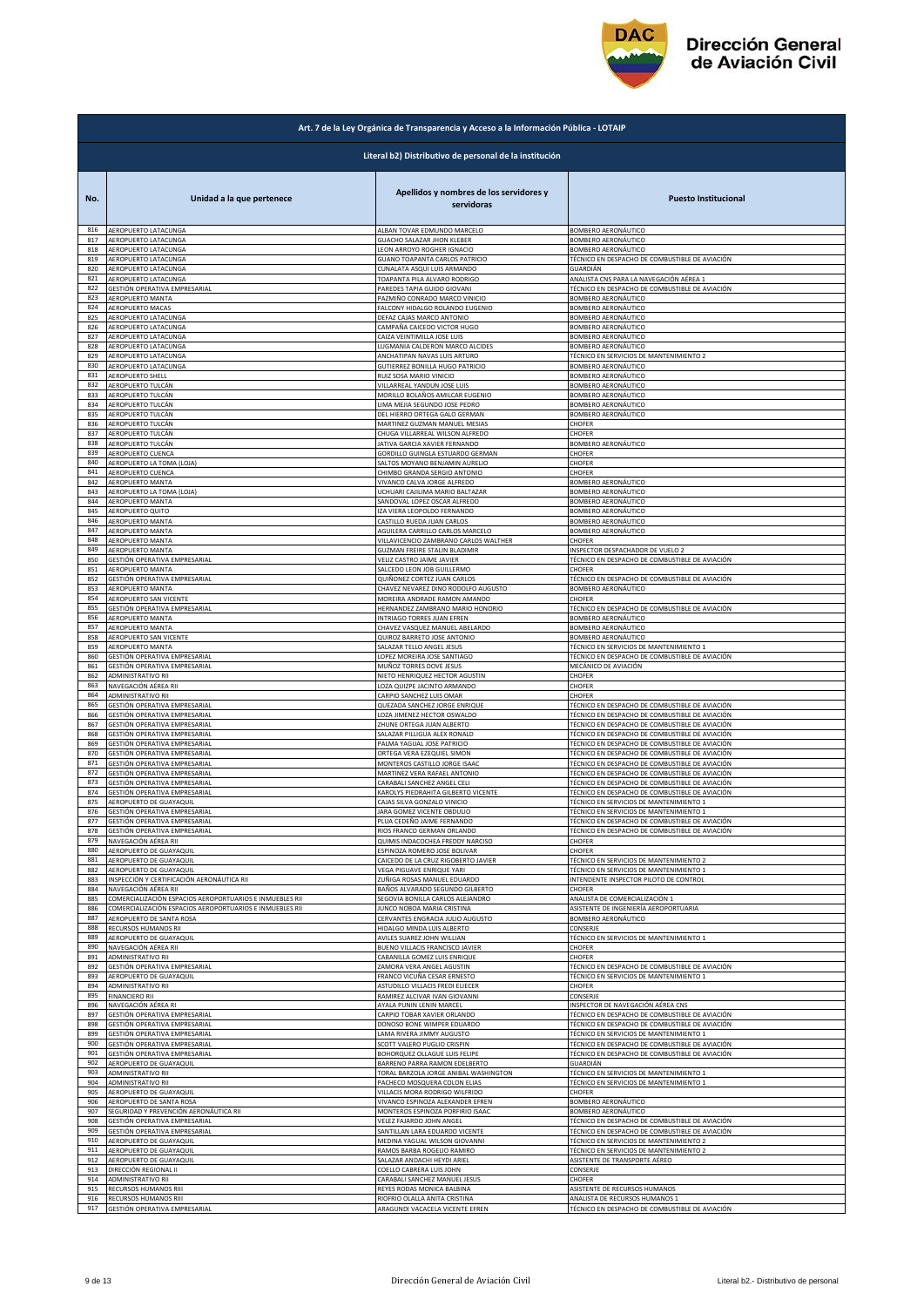

| Art. 7 de la Ley Orgánica de Transparencia y Acceso a la Información Pública - LOTAIP |                                                          |                                                           |                                                |  |
|---------------------------------------------------------------------------------------|----------------------------------------------------------|-----------------------------------------------------------|------------------------------------------------|--|
|                                                                                       | Literal b2) Distributivo de personal de la institución   |                                                           |                                                |  |
| No.                                                                                   | Unidad a la que pertenece                                | Apellidos y nombres de los servidores y<br>servidoras     | <b>Puesto Institucional</b>                    |  |
| 816                                                                                   | AEROPUERTO LATACUNGA                                     | ALBAN TOVAR EDMUNDO MARCELO                               | BOMBERO AERONÁUTICO                            |  |
| 817                                                                                   | AEROPUERTO LATACUNGA                                     | <b>GUACHO SALAZAR JHON KLEBER</b>                         | BOMBERO AERONÁUTICO                            |  |
| 818                                                                                   | AEROPUERTO LATACUNGA                                     | LEON ARROYO ROGHER IGNACIO                                | BOMBERO AERONÁUTICO                            |  |
| 819                                                                                   | AEROPUERTO LATACUNGA                                     | GUANO TOAPANTA CARLOS PATRICIO                            | TÉCNICO EN DESPACHO DE COMBUSTIBLE DE AVIACIÓN |  |
| 820                                                                                   | AEROPUERTO LATACUNGA                                     | CUNALATA ASQUI LUIS ARMANDO                               | GUARDIÁN                                       |  |
| 821                                                                                   | AEROPUERTO LATACUNGA                                     | TOAPANTA PILA ALVARO RODRIGO                              | ANALISTA CNS PARA LA NAVEGACIÓN AÉREA 1        |  |
| 822                                                                                   | GESTIÓN OPERATIVA EMPRESARIAL                            | PAREDES TAPIA GUIDO GIOVANI                               | TÉCNICO EN DESPACHO DE COMBUSTIBLE DE AVIACIÓN |  |
| 823                                                                                   | AEROPUERTO MANTA                                         | PAZMIÑO CONRADO MARCO VINICIO                             | BOMBERO AERONÁUTICO                            |  |
| 824<br>825                                                                            | AEROPUERTO MACAS                                         | FALCONY HIDALGO ROLANDO EUGENIO                           | BOMBERO AERONÁUTICO                            |  |
| 826                                                                                   | AEROPUERTO LATACUNGA                                     | DEFAZ CAJAS MARCO ANTONIO                                 | BOMBERO AERONÁUTICO                            |  |
|                                                                                       | AEROPUERTO LATACUNGA                                     | CAMPAÑA CAICEDO VICTOR HUGO                               | BOMBERO AERONÁUTICO                            |  |
| 827                                                                                   | AEROPUERTO LATACUNGA                                     | CAIZA VEINTIMILLA JOSE LUIS                               | BOMBERO AERONÁUTICO                            |  |
| 828                                                                                   | AEROPUERTO LATACUNGA                                     | LUGMANIA CALDERON MARCO ALCIDES                           | BOMBERO AERONÁUTICO                            |  |
| 829                                                                                   | AEROPUERTO LATACUNGA                                     | ANCHATIPAN NAVAS LUIS ARTURO                              | TÉCNICO EN SERVICIOS DE MANTENIMIENTO 2        |  |
| 830                                                                                   | AEROPUERTO LATACUNGA                                     | GUTIERREZ BONILLA HUGO PATRICIO                           | BOMBERO AERONÁUTICO                            |  |
| 831                                                                                   | AEROPUERTO SHELL                                         | RUIZ SOSA MARIO VINICIO                                   | BOMBERO AERONÁUTICO                            |  |
| 832                                                                                   | AEROPUERTO TULCÁN                                        | VILLARREAL YANDUN JOSE LUIS                               | BOMBERO AERONÁUTICO                            |  |
| 833                                                                                   | AEROPUERTO TULCÁN                                        | MORILLO BOLAÑOS AMILCAR EUGENIO                           | BOMBERO AERONÁUTICO                            |  |
| 834                                                                                   | AEROPUERTO TULCÁN                                        | LIMA MEJIA SEGUNDO JOSE PEDRO                             | BOMBERO AERONÁUTICO                            |  |
| 835<br>836                                                                            | AEROPUERTO TULCÁN                                        | DEL HIERRO ORTEGA GALO GERMAN                             | BOMBERO AERONÁUTICO                            |  |
| 837                                                                                   | AEROPUERTO TULCÁN                                        | MARTINEZ GUZMAN MANUEL MESIAS                             | CHOFER                                         |  |
|                                                                                       | AEROPUERTO TULCÁN                                        | CHUGA VILLARREAL WILSON ALFREDO                           | CHOFER                                         |  |
| 838                                                                                   | AEROPUERTO TULCÁN                                        | JATIVA GARCIA XAVIER FERNANDO                             | BOMBERO AERONÁUTICO                            |  |
| 839                                                                                   | AEROPUERTO CUENCA                                        | GORDILLO GUINGLA ESTUARDO GERMAN                          | CHOFER                                         |  |
| 840                                                                                   | AEROPUERTO LA TOMA (LOJA)                                | SALTOS MOYANO BENJAMIN AURELIO                            | CHOFER                                         |  |
| 841                                                                                   | AEROPUERTO CUENCA                                        | CHIMBO GRANDA SERGIO ANTONIO                              | CHOFER                                         |  |
| 842                                                                                   | AEROPUERTO MANTA                                         | VIVANCO CALVA JORGE ALFREDO                               | BOMBERO AERONÁUTICO                            |  |
| 843                                                                                   | AEROPUERTO LA TOMA (LOJA)                                | UCHUARI CAJILIMA MARIO BALTAZAR                           | BOMBERO AERONÁUTICO                            |  |
| 844<br>845                                                                            | <b>AEROPUERTO MANTA</b>                                  | SANDOVAL LOPEZ OSCAR ALFREDO                              | BOMBERO AERONÁUTICO<br>BOMBERO AERONÁUTICO     |  |
| 846                                                                                   | AEROPUERTO QUITO<br>AEROPUERTO MANTA                     | IZA VIERA LEOPOLDO FERNANDO<br>CASTILLO RUEDA JUAN CARLOS | BOMBERO AERONÁUTICO                            |  |
| 847                                                                                   | <b>AEROPUERTO MANTA</b>                                  | AGUILERA CARRILLO CARLOS MARCELO                          | BOMBERO AERONÁUTICO                            |  |
| 848                                                                                   | <b>AEROPUERTO MANTA</b>                                  | VILLAVICENCIO ZAMBRANO CARLOS WALTHER                     | CHOFER                                         |  |
| 849                                                                                   | AEROPUERTO MANTA                                         | GUZMAN FREIRE STALIN BLADIMIR                             | INSPECTOR DESPACHADOR DE VUELO 2               |  |
| 850                                                                                   | GESTIÓN OPERATIVA EMPRESARIAL                            | VELIZ CASTRO JAIME JAVIER                                 | TÉCNICO EN DESPACHO DE COMBUSTIBLE DE AVIACIÓN |  |
| 851                                                                                   | AEROPUERTO MANTA                                         | SALCEDO LEON JOB GUILLERMO                                | CHOFER                                         |  |
| 852                                                                                   | GESTIÓN OPERATIVA EMPRESARIAL                            | QUIÑONEZ CORTEZ JUAN CARLOS                               | TÉCNICO EN DESPACHO DE COMBUSTIBLE DE AVIACIÓN |  |
| 853                                                                                   | AEROPUERTO MANTA                                         | CHAVEZ NEVAREZ DINO RODOLFO AUGUSTO                       | BOMBERO AERONÁUTICO                            |  |
| 854                                                                                   | AEROPUERTO SAN VICENTE                                   | MOREIRA ANDRADE RAMON AMANDO                              | CHOFER                                         |  |
| 855                                                                                   | GESTIÓN OPERATIVA EMPRESARIAL                            | HERNANDEZ ZAMBRANO MARIO HONORIO                          | TÉCNICO EN DESPACHO DE COMBUSTIBLE DE AVIACIÓN |  |
| 856                                                                                   |                                                          | INTRIAGO TORRES JUAN EFREN                                | BOMBERO AERONÁUTICO                            |  |
| 857                                                                                   | AEROPUERTO MANTA<br>AEROPUERTO MANTA                     | CHAVEZ VASQUEZ MANUEL ABELARDO                            | BOMBERO AERONÁUTICO                            |  |
| 858                                                                                   | AEROPUERTO SAN VICENTE                                   | QUIROZ BARRETO JOSE ANTONIO                               | BOMBERO AERONÁUTICO                            |  |
| 859                                                                                   | AEROPUERTO MANTA                                         | SALAZAR TELLO ANGEL JESUS                                 | TÉCNICO EN SERVICIOS DE MANTENIMIENTO 1        |  |
| 860                                                                                   | GESTIÓN OPERATIVA EMPRESARIAL                            | LOPEZ MOREIRA JOSE SANTIAGO                               | TÉCNICO EN DESPACHO DE COMBUSTIBLE DE AVIACIÓN |  |
| 861                                                                                   | GESTIÓN OPERATIVA EMPRESARIAL                            | MUÑOZ TORRES DOVE JESUS                                   | MECÁNICO DE AVIACIÓN                           |  |
| 862                                                                                   | ADMINISTRATIVO RII                                       | NIETO HENRIQUEZ HECTOR AGUSTIN                            | CHOFER                                         |  |
| 863                                                                                   | NAVEGACIÓN AÉREA RII                                     | LOZA QUIZPE JACINTO ARMANDO                               | CHOFER                                         |  |
| 864                                                                                   | ADMINISTRATIVO RII                                       | CARPIO SANCHEZ LUIS OMAR                                  | CHOFER                                         |  |
| 865                                                                                   | GESTIÓN OPERATIVA EMPRESARIAL                            | QUEZADA SANCHEZ JORGE ENRIQUE                             | TÉCNICO EN DESPACHO DE COMBUSTIBLE DE AVIACIÓN |  |
| 866                                                                                   | GESTIÓN OPERATIVA EMPRESARIAL                            | LOZA JIMENEZ HECTOR OSWALDO                               | TÉCNICO EN DESPACHO DE COMBUSTIBLE DE AVIACIÓN |  |
| 867                                                                                   | GESTIÓN OPERATIVA EMPRESARIAL                            | ZHUNE ORTEGA JUAN ALBERTO                                 | TÉCNICO EN DESPACHO DE COMBUSTIBLE DE AVIACIÓN |  |
| 868                                                                                   | GESTIÓN OPERATIVA EMPRESARIAL                            | SALAZAR PILLIGUA ALEX RONALD                              | TÉCNICO EN DESPACHO DE COMBUSTIBLE DE AVIACIÓN |  |
| 869                                                                                   | GESTIÓN OPERATIVA EMPRESARIAL                            | PALMA YAGUAL JOSE PATRICIO                                | TÉCNICO EN DESPACHO DE COMBUSTIBLE DE AVIACIÓN |  |
| 870                                                                                   | GESTIÓN OPERATIVA EMPRESARIAL                            | ORTEGA VERA EZEQUIEL SIMON                                | TÉCNICO EN DESPACHO DE COMBUSTIBLE DE AVIACIÓN |  |
| 871                                                                                   | GESTIÓN OPERATIVA EMPRESARIAL                            | MONTEROS CASTILLO JORGE ISAAC                             | TÉCNICO EN DESPACHO DE COMBUSTIBLE DE AVIACIÓN |  |
| 872                                                                                   | GESTIÓN OPERATIVA EMPRESARIAL                            | MARTINEZ VERA RAFAEL ANTONIO                              | TÉCNICO EN DESPACHO DE COMBUSTIBLE DE AVIACIÓN |  |
| 873                                                                                   | GESTIÓN OPERATIVA EMPRESARIAL                            | CARABALI SANCHEZ ANGEL CELI                               | TÉCNICO EN DESPACHO DE COMBUSTIBLE DE AVIACIÓN |  |
| 874                                                                                   | GESTIÓN OPERATIVA EMPRESARIAL                            | KAROLYS PIEDRAHITA GILBERTO VICENTE                       | TÉCNICO EN DESPACHO DE COMBUSTIBLE DE AVIACIÓN |  |
| 875                                                                                   | AEROPUERTO DE GUAYAQUIL                                  | CAJAS SILVA GONZALO VINICIO                               | TÉCNICO EN SERVICIOS DE MANTENIMIENTO 1        |  |
| 876                                                                                   | GESTIÓN OPERATIVA EMPRESARIAL                            | JARA GOMEZ VICENTE OBDULIO                                | TÉCNICO EN SERVICIOS DE MANTENIMIENTO 1        |  |
| 877                                                                                   | GESTIÓN OPERATIVA EMPRESARIAL                            | PLUA CEDEÑO JAIME FERNANDO                                | TÉCNICO EN DESPACHO DE COMBUSTIBLE DE AVIACIÓN |  |
| 878                                                                                   | GESTIÓN OPERATIVA EMPRESARIAL                            | RIOS FRANCO GERMAN ORLANDO                                | TÉCNICO EN DESPACHO DE COMBUSTIBLE DE AVIACIÓN |  |
| 879<br>880                                                                            | NAVEGACIÓN AÉREA RII                                     | QUIMIS INDACOCHEA FREDDY NARCISO                          | CHOFER                                         |  |
| 881                                                                                   | AEROPUERTO DE GUAYAQUIL                                  | ESPINOZA ROMERO JOSE BOLIVAR                              | CHOFER                                         |  |
|                                                                                       | AEROPUERTO DE GUAYAQUIL                                  | CAICEDO DE LA CRUZ RIGOBERTO JAVIER                       | TÉCNICO EN SERVICIOS DE MANTENIMIENTO 2        |  |
| 882                                                                                   | AEROPUERTO DE GUAYAQUIL                                  | VEGA PIGUAVE ENRIQUE YARI                                 | TÉCNICO EN SERVICIOS DE MANTENIMIENTO 1        |  |
| 883                                                                                   | INSPECCIÓN Y CERTIFICACIÓN AERONÁUTICA RII               | ZUÑIGA ROSAS MANUEL EDUARDO                               | INTENDENTE INSPECTOR PILOTO DE CONTROL         |  |
| 884                                                                                   | NAVEGACIÓN AÉREA RII                                     | BAÑOS ALVARADO SEGUNDO GILBERTO                           | CHOFER                                         |  |
| 885                                                                                   | COMERCIALIZACIÓN ESPACIOS AEROPORTUARIOS E INMUEBLES RII | SEGOVIA BONILLA CARLOS ALEJANDRO                          | ANALISTA DE COMERCIALIZACIÓN 1                 |  |
| 886                                                                                   | COMERCIALIZACIÓN ESPACIOS AEROPORTUARIOS E INMUEBLES RII | IUNCO NOBOA MARIA CRISTINA                                | ASISTENTE DE INGENIERÍA AEROPORTUARIA          |  |
| 887                                                                                   | AEROPUERTO DE SANTA ROSA                                 | CERVANTES ENGRACIA JULIO AUGUSTO                          | BOMBERO AERONÁUTICO                            |  |
| 888                                                                                   | RECURSOS HUMANOS RII                                     | HIDALGO MINDA LUIS ALBERTO                                | CONSERJE                                       |  |
| 889                                                                                   | AEROPUERTO DE GUAYAQUIL                                  | AVILES SUAREZ JOHN WILLIAN                                | TÉCNICO EN SERVICIOS DE MANTENIMIENTO 1        |  |
| 890                                                                                   | NAVEGACIÓN AÉREA RII                                     | BUENO VILLACIS FRANCISCO JAVIER                           | CHOFER                                         |  |
| 891                                                                                   | <b>ADMINISTRATIVO RII</b>                                | CABANILLA GOMEZ LUIS ENRIQUE                              | CHOFER                                         |  |
| 892                                                                                   | GESTIÓN OPERATIVA EMPRESARIAL                            | ZAMORA VERA ANGEL AGUSTIN                                 | TÉCNICO EN DESPACHO DE COMBUSTIBLE DE AVIACIÓN |  |
| 893                                                                                   | AEROPUERTO DE GUAYAQUIL                                  | FRANCO VICUÑA CESAR ERNESTO                               | TÉCNICO EN SERVICIOS DE MANTENIMIENTO 1        |  |
| 894                                                                                   | ADMINISTRATIVO RII                                       | ASTUDILLO VILLACIS FREDI ELIECER                          | CHOFER                                         |  |
| 895                                                                                   | <b>FINANCIERO RII</b>                                    | RAMIREZ ALCIVAR IVAN GIOVANNI                             | CONSERJE                                       |  |
| 896                                                                                   | NAVEGACIÓN AÉREA RI                                      | <b>AYALA PUNIN LENIN MARCEL</b>                           | NSPECTOR DE NAVEGACIÓN AÉREA CNS               |  |
| 897                                                                                   | GESTIÓN OPERATIVA EMPRESARIAL                            | CARPIO TOBAR XAVIER ORLANDO                               | TÉCNICO EN DESPACHO DE COMBUSTIBLE DE AVIACIÓN |  |
| 898                                                                                   | GESTIÓN OPERATIVA EMPRESARIAL                            | DONOSO BONE WIMPER EDUARDO                                | TÉCNICO EN DESPACHO DE COMBUSTIBLE DE AVIACIÓN |  |
| 899                                                                                   | GESTIÓN OPERATIVA EMPRESARIAL                            | AMA RIVERA JIMMY AUGUSTO                                  | TÉCNICO EN SERVICIOS DE MANTENIMIENTO 1        |  |
| 900                                                                                   | GESTIÓN OPERATIVA EMPRESARIAL                            | <b>SCOTT VALERO PUGLIO CRISPIN</b>                        | TÉCNICO EN DESPACHO DE COMBUSTIBLE DE AVIACIÓN |  |
| 901                                                                                   | GESTIÓN OPERATIVA EMPRESARIAL                            | BOHORQUEZ OLLAGUE LUIS FELIPE                             | TÉCNICO EN DESPACHO DE COMBUSTIBLE DE AVIACIÓN |  |
| 902                                                                                   | AEROPUERTO DE GUAYAQUIL                                  | BARRENO PARRA RAMON EDELBERTO                             | GUARDIÁN                                       |  |
| 903                                                                                   | ADMINISTRATIVO RII                                       | TORAL BARZOLA JORGE ANIBAL WASHINGTON                     | TÉCNICO EN SERVICIOS DE MANTENIMIENTO 1        |  |
| 904                                                                                   | <b>ADMINISTRATIVO RII</b>                                | PACHECO MOSQUERA COLON ELIAS                              | TÉCNICO EN SERVICIOS DE MANTENIMIENTO 1        |  |
| 905                                                                                   | AEROPUERTO DE GUAYAQUIL                                  | VILLACIS MORA RODRIGO WILFRIDO                            | CHOFFR                                         |  |
| 906                                                                                   | AEROPUERTO DE SANTA ROSA                                 | VIVANCO ESPINOZA ALEXANDER EFREN                          | BOMBERO AERONÁUTICO                            |  |
| 907                                                                                   | SEGURIDAD Y PREVENCIÓN AERONÁUTICA RII                   | MONTEROS ESPINOZA PORFIRIO ISAAC                          | BOMBERO AERONÁUTICO                            |  |
| 908                                                                                   | GESTIÓN OPERATIVA EMPRESARIAL                            | VELEZ FAJARDO JOHN ANGEL                                  | TÉCNICO EN DESPACHO DE COMBUSTIBLE DE AVIACIÓN |  |
| 909                                                                                   | GESTIÓN OPERATIVA EMPRESARIAL                            | SANTILLAN LARA EDUARDO VICENTE                            | TÉCNICO EN DESPACHO DE COMBUSTIBLE DE AVIACIÓN |  |
| 910                                                                                   | AEROPUERTO DE GUAYAQUIL                                  | MEDINA YAGUAL WILSON GIOVANNI                             | TÉCNICO EN SERVICIOS DE MANTENIMIENTO 2        |  |
| 911                                                                                   | AEROPUERTO DE GUAYAQUIL                                  | RAMOS BARBA ROGELIO RAMIRO                                | TÉCNICO EN SERVICIOS DE MANTENIMIENTO 2        |  |
| 912                                                                                   | AEROPUERTO DE GUAYAQUIL                                  | SALAZAR ANDACHI HEYDI ARIEL                               | ASISTENTE DE TRANSPORTE AÉREO                  |  |
| 913                                                                                   | DIRECCIÓN REGIONAL II                                    | COELLO CABRERA LUIS JOHN                                  | CONSERJE                                       |  |
| 914                                                                                   | <b>ADMINISTRATIVO RII</b>                                | CARABALI SANCHEZ MANUEL JESUS                             | CHOFER                                         |  |
| 915                                                                                   | RECURSOS HUMANOS RIII                                    | REYES RODAS MONICA BALBINA                                | ASISTENTE DE RECURSOS HUMANOS                  |  |
| 916                                                                                   | RECURSOS HUMANOS RIII                                    | RIOFRIO OLALLA ANITA CRISTINA                             | ANALISTA DE RECURSOS HUMANOS 1                 |  |
| 917                                                                                   | GESTIÓN OPERATIVA EMPRESARIAL                            | ARAGUNDI VACACELA VICENTE EFREN                           | TÉCNICO EN DESPACHO DE COMBUSTIBLE DE AVIACIÓN |  |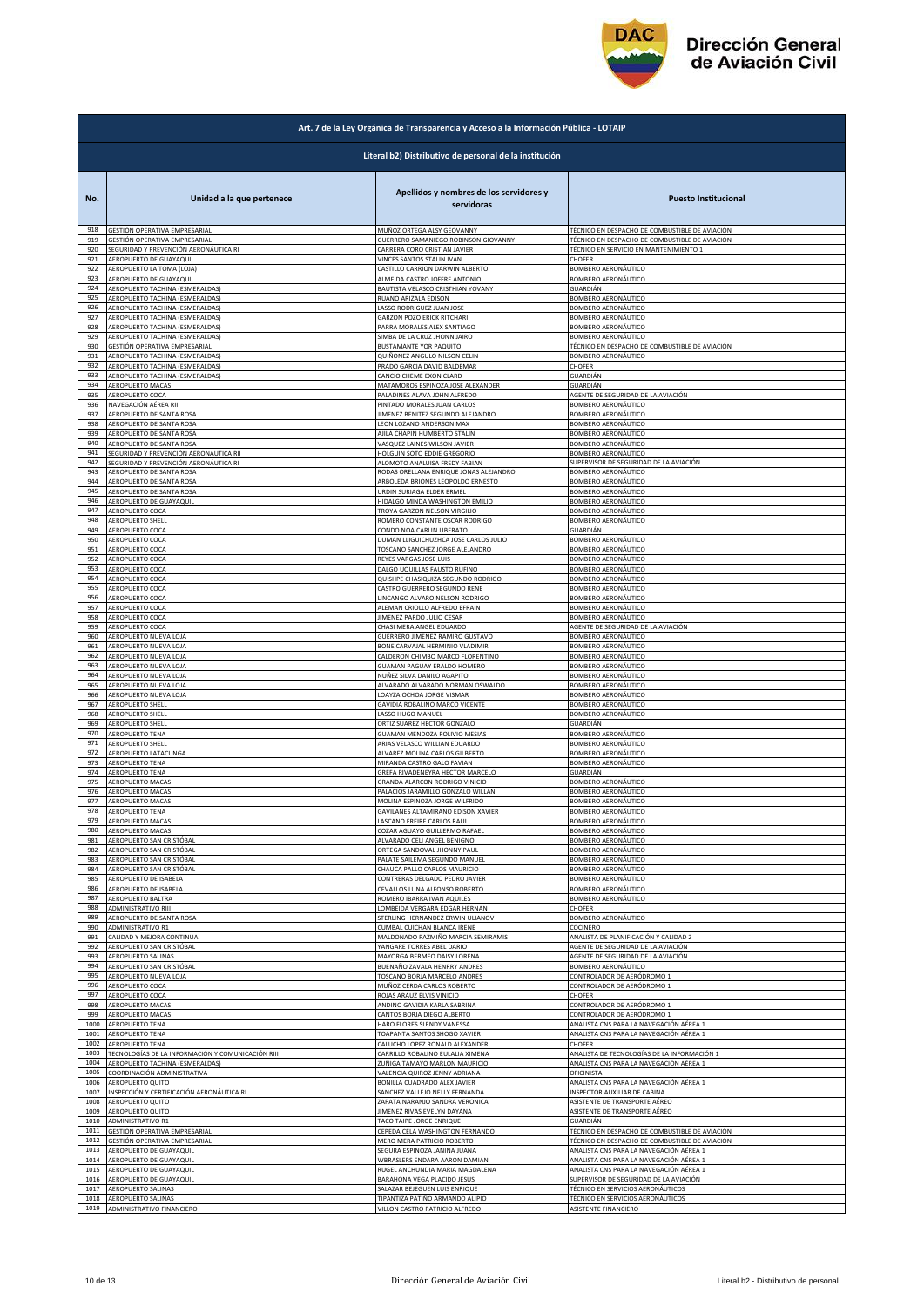

| Art. 7 de la Ley Orgánica de Transparencia y Acceso a la Información Pública - LOTAIP |                                                                      |                                                                    |                                                                          |  |
|---------------------------------------------------------------------------------------|----------------------------------------------------------------------|--------------------------------------------------------------------|--------------------------------------------------------------------------|--|
|                                                                                       | Literal b2) Distributivo de personal de la institución               |                                                                    |                                                                          |  |
| No.                                                                                   | Unidad a la que pertenece                                            | Apellidos y nombres de los servidores y<br>servidoras              | <b>Puesto Institucional</b>                                              |  |
| 918                                                                                   | GESTIÓN OPERATIVA EMPRESARIAL                                        | MUÑOZ ORTEGA ALSY GEOVANNY                                         | TÉCNICO EN DESPACHO DE COMBUSTIBLE DE AVIACIÓN                           |  |
| 919                                                                                   | GESTIÓN OPERATIVA EMPRESARIAL                                        | GUERRERO SAMANIEGO ROBINSON GIOVANNY                               | TÉCNICO EN DESPACHO DE COMBUSTIBLE DE AVIACIÓN                           |  |
| 920                                                                                   | SEGURIDAD Y PREVENCIÓN AERONÁUTICA RI                                | CARRERA CORO CRISTIAN JAVIER                                       | TÉCNICO EN SERVICIO EN MANTENIMIENTO 1                                   |  |
| 921                                                                                   | AEROPUERTO DE GUAYAQUIL                                              | VINCES SANTOS STALIN IVAN                                          | CHOFFR                                                                   |  |
| 922                                                                                   | AEROPUERTO LA TOMA (LOJA)                                            | CASTILLO CARRION DARWIN ALBERTO                                    | BOMBERO AERONÁUTICO                                                      |  |
| 923                                                                                   | AEROPUERTO DE GUAYAQUIL                                              | ALMEIDA CASTRO JOFFRE ANTONIO                                      | BOMBERO AERONÁUTICO                                                      |  |
| 924                                                                                   | AEROPUERTO TACHINA (ESMERALDAS)                                      | BAUTISTA VELASCO CRISTHIAN YOVANY                                  | GUARDIÁN                                                                 |  |
| 925                                                                                   | AEROPUERTO TACHINA (ESMERALDAS)                                      | RUANO ARIZALA EDISON                                               | <b>3OMBERO AERONÁUTICO</b>                                               |  |
| 926                                                                                   | AEROPUERTO TACHINA (ESMERALDAS)                                      | LASSO RODRIGUEZ JUAN JOSE                                          | BOMBERO AERONÁUTICO                                                      |  |
| 927                                                                                   | AEROPUERTO TACHINA (ESMERALDAS)                                      | GARZON POZO ERICK RITCHARI                                         | BOMBERO AERONÁUTICO                                                      |  |
| 928                                                                                   | AEROPUERTO TACHINA (ESMERALDAS)                                      | PARRA MORALES ALEX SANTIAGO                                        | BOMBERO AERONÁUTICO                                                      |  |
| 929<br>930                                                                            | AEROPUERTO TACHINA (ESMERALDAS)                                      | SIMBA DE LA CRUZ JHONN JAIRO                                       | BOMBERO AERONÁUTICO                                                      |  |
| 931                                                                                   | GESTIÓN OPERATIVA EMPRESARIAL                                        | BUSTAMANTE YOR PAQUITO                                             | TÉCNICO EN DESPACHO DE COMBUSTIBLE DE AVIACIÓN                           |  |
|                                                                                       | AEROPUERTO TACHINA (ESMERALDAS)                                      | QUIÑONEZ ANGULO NILSON CELIN                                       | BOMBERO AERONÁUTICO                                                      |  |
| 932                                                                                   | AEROPUERTO TACHINA (ESMERALDAS)                                      | PRADO GARCIA DAVID BALDEMAR                                        | CHOFER                                                                   |  |
| 933                                                                                   | AEROPUERTO TACHINA (ESMERALDAS)                                      | CANCIO CHEME EXON CLARD                                            | GUARDIÁN                                                                 |  |
| 934                                                                                   | <b>AEROPUERTO MACAS</b>                                              | MATAMOROS ESPINOZA JOSE ALEXANDER                                  | GUARDIÁN                                                                 |  |
| 935                                                                                   | AEROPUERTO COCA                                                      | PALADINES ALAVA JOHN ALFREDO                                       | AGENTE DE SEGURIDAD DE LA AVIACIÓN                                       |  |
| 936                                                                                   | NAVEGACIÓN AÉREA RII                                                 | PINTADO MORALES JUAN CARLOS                                        | BOMBERO AERONÁUTICO                                                      |  |
| 937                                                                                   | AEROPUERTO DE SANTA ROSA                                             | IIMENEZ BENITEZ SEGUNDO ALEJANDRO                                  | BOMBERO AERONÁUTICO                                                      |  |
| 938                                                                                   | AEROPUERTO DE SANTA ROSA                                             | LEON LOZANO ANDERSON MAX                                           | BOMBERO AERONÁUTICO                                                      |  |
| 939                                                                                   | AEROPUERTO DE SANTA ROSA                                             | AJILA CHAPIN HUMBERTO STALIN                                       | BOMBERO AERONÁUTICO                                                      |  |
| 940                                                                                   | AEROPUERTO DE SANTA ROSA                                             | VASQUEZ LAINES WILSON JAVIER                                       | BOMBERO AERONÁUTICO                                                      |  |
| 941                                                                                   | SEGURIDAD Y PREVENCIÓN AERONÁUTICA RII                               | HOLGUIN SOTO EDDIE GREGORIO                                        | BOMBERO AERONÁUTICO                                                      |  |
| 942                                                                                   | SEGURIDAD Y PREVENCIÓN AERONÁUTICA RI                                | ALOMOTO ANALUISA FREDY FABIAN                                      | SUPERVISOR DE SEGURIDAD DE LA AVIACIÓN                                   |  |
| 943                                                                                   | AEROPUERTO DE SANTA ROSA                                             | RODAS ORELLANA ENRIQUE JONAS ALEJANDRO                             | BOMBERO AERONÁUTICO                                                      |  |
| 944                                                                                   | AEROPUERTO DE SANTA ROSA                                             | ARBOLEDA BRIONES LEOPOLDO ERNESTO                                  | BOMBERO AERONÁUTICO                                                      |  |
| 945                                                                                   | AEROPUERTO DE SANTA ROSA                                             | URDIN SURIAGA ELDER ERMEL                                          | <b>BOMBERO AERONÁUTICO</b>                                               |  |
| 946                                                                                   | AEROPUERTO DE GUAYAQUIL                                              | HIDALGO MINDA WASHINGTON EMILIO                                    | BOMBERO AERONÁUTICO                                                      |  |
| 947<br>948                                                                            | AEROPUERTO COCA                                                      | TROYA GARZON NELSON VIRGILIO                                       | <b>BOMBERO AERONÁUTICO</b>                                               |  |
| 949                                                                                   | AEROPUERTO SHELL                                                     | ROMERO CONSTANTE OSCAR RODRIGO                                     | BOMBERO AERONÁUTICO                                                      |  |
|                                                                                       | AEROPUERTO COCA                                                      | CONDO NOA CARLIN LIBERATO                                          | GUARDIÁN                                                                 |  |
| 950                                                                                   | AEROPUERTO COCA                                                      | DUMAN LLIGUICHUZHCA JOSE CARLOS JULIO                              | BOMBERO AERONÁUTICO                                                      |  |
| 951                                                                                   | AEROPUERTO COCA                                                      | TOSCANO SANCHEZ JORGE ALEJANDRO                                    | BOMBERO AERONÁUTICO                                                      |  |
| 952                                                                                   | AEROPUERTO COCA                                                      | REYES VARGAS JOSE LUIS                                             | BOMBERO AERONÁUTICO                                                      |  |
| 953                                                                                   | AEROPUERTO COCA                                                      | DALGO UQUILLAS FAUSTO RUFINO                                       | BOMBERO AERONÁUTICO                                                      |  |
| 954                                                                                   | AEROPUERTO COCA                                                      | QUISHPE CHASIQUIZA SEGUNDO RODRIGO                                 | BOMBERO AERONÁUTICO                                                      |  |
| 955                                                                                   | AEROPUERTO COCA                                                      | CASTRO GUERRERO SEGUNDO RENE                                       | BOMBERO AERONÁUTICO                                                      |  |
| 956                                                                                   | AEROPUERTO COCA                                                      | LINCANGO ALVARO NELSON RODRIGO                                     | BOMBERO AERONÁUTICO                                                      |  |
| 957                                                                                   | AEROPUERTO COCA                                                      | ALEMAN CRIOLLO ALFREDO EFRAIN                                      | BOMBERO AERONÁUTICO                                                      |  |
| 958                                                                                   | AEROPUERTO COCA                                                      | <b>IIMENEZ PARDO JULIO CESAR</b>                                   | BOMBERO AERONÁUTICO                                                      |  |
| 959                                                                                   | AEROPUERTO COCA                                                      | CHASI MERA ANGEL EDUARDO                                           | AGENTE DE SEGURIDAD DE LA AVIACIÓN                                       |  |
| 960                                                                                   | AEROPUERTO NUEVA LOJA                                                | GUERRERO JIMENEZ RAMIRO GUSTAVO                                    | BOMBERO AERONÁUTICO                                                      |  |
| 961                                                                                   | AEROPUERTO NUEVA LOJA                                                | BONE CARVAJAL HERMINIO VLADIMIR                                    | BOMBERO AERONÁUTICO                                                      |  |
| 962                                                                                   | AEROPUERTO NUEVA LOJA                                                | CALDERON CHIMBO MARCO FLORENTINO                                   | BOMBERO AERONÁUTICO                                                      |  |
| 963                                                                                   | AEROPUERTO NUEVA LOJA                                                | GUAMAN PAGUAY ERALDO HOMERO                                        | BOMBERO AERONÁUTICO                                                      |  |
| 964                                                                                   | AEROPUERTO NUEVA LOJA                                                | NUÑEZ SILVA DANILO AGAPITO                                         | BOMBERO AERONÁUTICO                                                      |  |
| 965                                                                                   | AEROPUERTO NUEVA LOJA                                                | ALVARADO ALVARADO NORMAN OSWALDO                                   | BOMBERO AERONÁUTICO                                                      |  |
| 966                                                                                   | AEROPUERTO NUEVA LOJA                                                | LOAYZA OCHOA JORGE VISMAR                                          | BOMBERO AERONÁUTICO                                                      |  |
| 967                                                                                   | AEROPUERTO SHELL                                                     | GAVIDIA ROBALINO MARCO VICENTE                                     | BOMBERO AERONÁUTICO                                                      |  |
| 968                                                                                   | <b>AEROPUERTO SHELL</b>                                              | LASSO HUGO MANUEL                                                  | BOMBERO AERONÁUTICO                                                      |  |
| 969                                                                                   | AEROPUERTO SHELL                                                     | ORTIZ SUAREZ HECTOR GONZALO                                        | GUARDIÁN                                                                 |  |
| 970                                                                                   | <b>AEROPUERTO TENA</b>                                               | GUAMAN MENDOZA POLIVIO MESIAS                                      | <b>BOMBERO AERONÁUTICO</b>                                               |  |
| 971                                                                                   | AEROPUERTO SHELL                                                     | ARIAS VELASCO WILLIAN EDUARDO                                      | BOMBERO AERONÁUTICO                                                      |  |
| 972                                                                                   | AEROPUERTO LATACUNGA                                                 | ALVAREZ MOLINA CARLOS GILBERTO                                     | BOMBERO AERONÁUTICO                                                      |  |
| 973                                                                                   | AEROPUERTO TENA                                                      | MIRANDA CASTRO GALO FAVIAN                                         | BOMBERO AERONÁUTICO                                                      |  |
| 974                                                                                   | <b>AEROPUERTO TENA</b>                                               | GREFA RIVADENEYRA HECTOR MARCELO                                   | GUARDIÁN                                                                 |  |
| 975                                                                                   | AEROPUERTO MACAS                                                     | GRANDA ALARCON RODRIGO VINICIO                                     | BOMBERO AERONÁUTICO                                                      |  |
| 976                                                                                   | AEROPUERTO MACAS                                                     | PALACIOS JARAMILLO GONZALO WILLAN                                  | 3OMBERO AERONÁUTICO                                                      |  |
| 977                                                                                   | AEROPUERTO MACAS                                                     | MOLINA ESPINOZA JORGE WILFRIDO                                     | BOMBERO AERONÁUTICO                                                      |  |
| 978                                                                                   | <b>AEROPUERTO TENA</b>                                               | GAVILANES ALTAMIRANO EDISON XAVIER                                 | BOMBERO AERONAUTICO                                                      |  |
| 979                                                                                   | AEROPUERTO MACAS                                                     | LASCANO FREIRE CARLOS RAUL                                         | BOMBERO AERONÁUTICO                                                      |  |
| 980                                                                                   | AEROPUERTO MACAS                                                     | COZAR AGUAYO GUILLERMO RAFAEL                                      | BOMBERO AERONÁUTICO                                                      |  |
| 981                                                                                   | AEROPUERTO SAN CRISTÓBAL                                             | ALVARADO CELI ANGEL BENIGNO                                        | BOMBERO AERONÁUTICO                                                      |  |
| 982                                                                                   | AEROPUERTO SAN CRISTÓBAL                                             | ORTEGA SANDOVAL JHONNY PAUL                                        | BOMBERO AERONÁUTICO                                                      |  |
| 983<br>984                                                                            | AEROPUERTO SAN CRISTÓBAL                                             | PALATE SAILEMA SEGUNDO MANUEL                                      | <b>BOMBERO AERONÁUTICO</b>                                               |  |
| 985                                                                                   | AEROPUERTO SAN CRISTÓBAL                                             | CHAUCA PALLO CARLOS MAURICIO                                       | BOMBERO AERONÁUTICO                                                      |  |
|                                                                                       | AEROPUERTO DE ISABELA                                                | CONTRERAS DELGADO PEDRO JAVIER                                     | BOMBERO AERONÁUTICO                                                      |  |
| 986                                                                                   | AEROPUERTO DE ISABELA                                                | CEVALLOS LUNA ALFONSO ROBERTO                                      | BOMBERO AERONÁUTICO                                                      |  |
| 987                                                                                   | AEROPUERTO BALTRA                                                    | ROMERO IBARRA IVAN AQUILES                                         | BOMBERO AERONÁUTICO                                                      |  |
| 988                                                                                   | ADMINISTRATIVO RIII                                                  | LOMBEIDA VERGARA EDGAR HERNAN                                      | CHOFER                                                                   |  |
| 989                                                                                   | AEROPUERTO DE SANTA ROSA                                             | STERLING HERNANDEZ ERWIN ULIANOV                                   | <b>BOMBERO AERONÁUTICO</b>                                               |  |
| 990                                                                                   | <b>ADMINISTRATIVO R1</b>                                             | CUMBAL CUICHAN BLANCA IRENE                                        | COCINERO                                                                 |  |
| 991                                                                                   | CALIDAD Y MEJORA CONTINUA                                            | MALDONADO PAZMIÑO MARCIA SEMIRAMIS                                 | ANALISTA DE PLANIFICACIÓN Y CALIDAD 2                                    |  |
| 992<br>993                                                                            | AEROPUERTO SAN CRISTÓBAL                                             | YANGARE TORRES ABEL DARIO                                          | AGENTE DE SEGURIDAD DE LA AVIACIÓN<br>AGENTE DE SEGURIDAD DE LA AVIACIÓN |  |
| 994                                                                                   | AEROPUERTO SALINAS<br>AEROPUERTO SAN CRISTÓBAL                       | MAYORGA BERMEO DAISY LORENA<br>BUENAÑO ZAVALA HENRRY ANDRES        | BOMBERO AERONÁUTICO                                                      |  |
| 995                                                                                   | AEROPUERTO NUEVA LOJA                                                | TOSCANO BORJA MARCELO ANDRES                                       | CONTROLADOR DE AERÓDROMO 1                                               |  |
| 996                                                                                   | AEROPUERTO COCA                                                      | MUÑOZ CERDA CARLOS ROBERTO                                         | CONTROLADOR DE AERÓDROMO 1                                               |  |
| 997                                                                                   | AEROPUERTO COCA                                                      | ROJAS ARAUZ ELVIS VINICIO                                          | CHOFER                                                                   |  |
| 998                                                                                   | AEROPUERTO MACAS                                                     | ANDINO GAVIDIA KARLA SABRINA                                       | CONTROLADOR DE AERÓDROMO 1                                               |  |
| 999                                                                                   | AEROPUERTO MACAS                                                     | CANTOS BORJA DIEGO ALBERTO                                         | CONTROLADOR DE AERÓDROMO 1                                               |  |
| 1000                                                                                  | AEROPUERTO TENA                                                      | HARO FLORES SLENDY VANESSA                                         | ANALISTA CNS PARA LA NAVEGACIÓN AÉREA 1                                  |  |
| 1001<br>1002                                                                          | AEROPUERTO TENA                                                      | <b>TOAPANTA SANTOS SHOGO XAVIER</b>                                | ANALISTA CNS PARA LA NAVEGACIÓN AÉREA 1<br>CHOFER                        |  |
| 1003                                                                                  | AEROPUERTO TENA<br>TECNOLOGÍAS DE LA INFORMACIÓN Y COMUNICACIÓN RIII | CALUCHO LOPEZ RONALD ALEXANDER<br>CARRILLO ROBALINO EULALIA XIMENA | ANALISTA DE TECNOLOGÍAS DE LA INFORMACIÓN 1                              |  |
| 1004                                                                                  | AEROPUERTO TACHINA (ESMERALDAS)                                      | ZUÑIGA TAMAYO MARLON MAURICIO                                      | ANALISTA CNS PARA LA NAVEGACIÓN AÉREA 1                                  |  |
| 1005                                                                                  | COORDINACIÓN ADMINISTRATIVA                                          | VALENCIA QUIROZ JENNY ADRIANA                                      | OFICINISTA                                                               |  |
| 1006                                                                                  | AEROPUERTO QUITO                                                     | BONILLA CUADRADO ALEX JAVIER                                       | ANALISTA CNS PARA LA NAVEGACIÓN AÉREA 1                                  |  |
| 1007                                                                                  | INSPECCIÓN Y CERTIFICACIÓN AERONÁUTICA RI                            | SANCHEZ VALLEJO NELLY FERNANDA                                     | <b>NSPECTOR AUXILIAR DE CABINA</b>                                       |  |
| 1008                                                                                  | AEROPUERTO QUITO                                                     | ZAPATA NARANJO SANDRA VERONICA                                     | ASISTENTE DE TRANSPORTE AÉREO                                            |  |
| 1009                                                                                  | AEROPUERTO QUITO                                                     | <b>IMENEZ RIVAS EVELYN DAYANA</b>                                  | ASISTENTE DE TRANSPORTE AÉREO                                            |  |
| 1010                                                                                  | ADMINISTRATIVO R1                                                    | TACO TAIPE JORGE ENRIQUE                                           | GUARDIÁN                                                                 |  |
| 1011                                                                                  | GESTIÓN OPERATIVA EMPRESARIAL                                        | CEPEDA CELA WASHINGTON FERNANDO                                    | TÉCNICO EN DESPACHO DE COMBUSTIBLE DE AVIACIÓN                           |  |
| 1012                                                                                  | GESTIÓN OPERATIVA EMPRESARIAL                                        | MERO MERA PATRICIO ROBERTO                                         | TÉCNICO EN DESPACHO DE COMBUSTIBLE DE AVIACIÓN                           |  |
| 1013                                                                                  | AEROPUERTO DE GUAYAQUIL                                              | SEGURA ESPINOZA JANINA JUANA                                       | ANALISTA CNS PARA LA NAVEGACIÓN AÉREA 1                                  |  |
| 1014                                                                                  | AEROPUERTO DE GUAYAQUIL                                              | WBRASLERS ENDARA AARON DAMIAN                                      | ANALISTA CNS PARA LA NAVEGACIÓN AÉREA 1                                  |  |
| 1015                                                                                  | AEROPUERTO DE GUAYAQUIL                                              | RUGEL ANCHUNDIA MARIA MAGDALENA                                    | ANALISTA CNS PARA LA NAVEGACIÓN AÉREA 1                                  |  |
| 1016                                                                                  | AEROPUERTO DE GUAYAQUIL                                              | BARAHONA VEGA PLACIDO JESUS                                        | SUPERVISOR DE SEGURIDAD DE LA AVIACIÓN                                   |  |
| 1017                                                                                  | AEROPUERTO SALINAS                                                   | SALAZAR BEJEGUEN LUIS ENRIQUE                                      | TÉCNICO EN SERVICIOS AERONÁUTICOS                                        |  |
| 1018                                                                                  | AEROPUERTO SALINAS                                                   | TIPANTIZA PATIÑO ARMANDO ALIPIO                                    | TÉCNICO EN SERVICIOS AERONÁUTICOS                                        |  |
| 1019                                                                                  | ADMINISTRATIVO FINANCIERO                                            | VILLON CASTRO PATRICIO ALFREDO                                     | ASISTENTE FINANCIERO                                                     |  |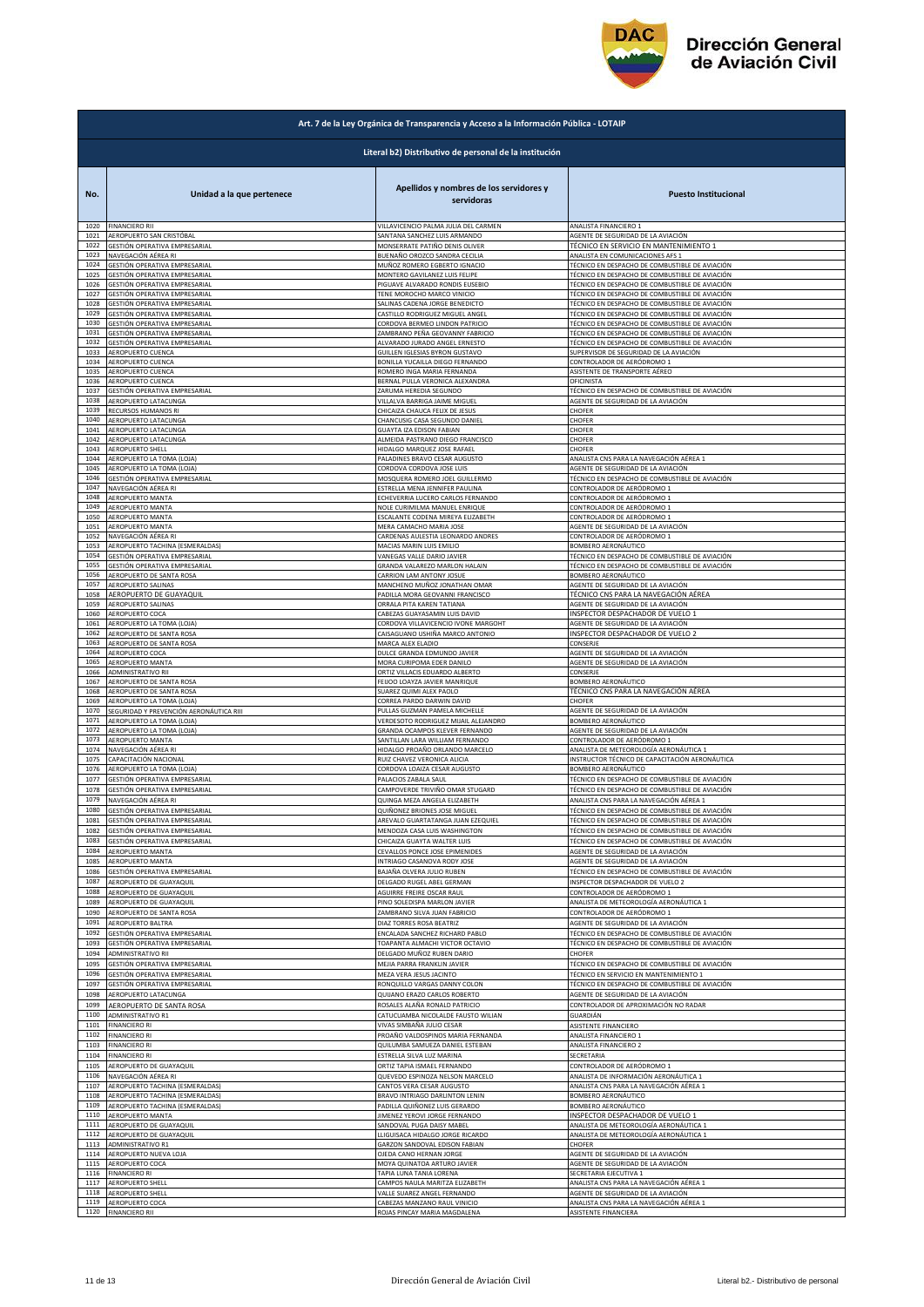

|              | Art. 7 de la Ley Orgánica de Transparencia y Acceso a la Información Pública - LOTAIP |                                                                                               |                                                                                                                          |  |
|--------------|---------------------------------------------------------------------------------------|-----------------------------------------------------------------------------------------------|--------------------------------------------------------------------------------------------------------------------------|--|
|              | Literal b2) Distributivo de personal de la institución                                |                                                                                               |                                                                                                                          |  |
| No.<br>1020  | Unidad a la que pertenece<br><b>FINANCIERO RII</b>                                    | Apellidos y nombres de los servidores y<br>servidoras<br>VILLAVICENCIO PALMA JULIA DEL CARMEN | <b>Puesto Institucional</b><br>ANALISTA FINANCIERO 1                                                                     |  |
| 1021         | AEROPUERTO SAN CRISTÓBAL                                                              | SANTANA SANCHEZ LUIS ARMANDO                                                                  | AGENTE DE SEGURIDAD DE LA AVIACIÓN                                                                                       |  |
| 1022<br>1023 | <b>GESTIÓN OPERATIVA EMPRESARIAL</b><br>NAVEGACIÓN AÉREA RI                           | MONSERRATE PATIÑO DENIS OLIVER<br>BUENAÑO OROZCO SANDRA CECILIA                               | TÉCNICO EN SERVICIO EN MANTENIMIENTO 1<br>ANALISTA EN COMUNICACIONES AFS 1                                               |  |
| 1024         | GESTIÓN OPERATIVA EMPRESARIAL                                                         | MUÑOZ ROMERO EGBERTO IGNACIO                                                                  | TÉCNICO EN DESPACHO DE COMBUSTIBLE DE AVIACIÓN                                                                           |  |
| 1025<br>1026 | GESTIÓN OPERATIVA EMPRESARIAL<br>GESTIÓN OPERATIVA EMPRESARIAL                        | MONTERO GAVILANEZ LUIS FELIPE<br>PIGUAVE ALVARADO RONDIS EUSEBIO                              | TÉCNICO EN DESPACHO DE COMBUSTIBLE DE AVIACIÓN<br>TÉCNICO EN DESPACHO DE COMBUSTIBLE DE AVIACIÓN                         |  |
| 1027         | GESTIÓN OPERATIVA EMPRESARIAL                                                         | TENE MOROCHO MARCO VINICIO                                                                    | TÉCNICO EN DESPACHO DE COMBUSTIBLE DE AVIACIÓN                                                                           |  |
| 1028<br>1029 | GESTIÓN OPERATIVA EMPRESARIAL<br>GESTIÓN OPERATIVA EMPRESARIAL                        | SALINAS CADENA JORGE BENEDICTO<br>CASTILLO RODRIGUEZ MIGUEL ANGEL                             | TÉCNICO EN DESPACHO DE COMBUSTIBLE DE AVIACIÓN<br>TÉCNICO EN DESPACHO DE COMBUSTIBLE DE AVIACIÓN                         |  |
| 1030         | GESTIÓN OPERATIVA EMPRESARIAL                                                         | CORDOVA BERMEO LINDON PATRICIO                                                                | TÉCNICO EN DESPACHO DE COMBUSTIBLE DE AVIACIÓN                                                                           |  |
| 1031<br>1032 | GESTIÓN OPERATIVA EMPRESARIAL<br>SESTIÓN OPERATIVA EMPRESARIAL                        | ZAMBRANO PEÑA GEOVANNY FABRICIO<br>ALVARADO JURADO ANGEL ERNESTO                              | TÉCNICO EN DESPACHO DE COMBUSTIBLE DE AVIACIÓN<br>TÉCNICO EN DESPACHO DE COMBUSTIBLE DE AVIACIÓN                         |  |
| 1033         | <b>AEROPUERTO CUENCA</b>                                                              | <b>GUILLEN IGLESIAS BYRON GUSTAVO</b>                                                         | SUPERVISOR DE SEGURIDAD DE LA AVIACIÓN                                                                                   |  |
| 1034<br>1035 | AEROPUERTO CUENCA<br>AEROPUERTO CUENCA                                                | BONILLA YUCAILLA DIEGO FERNANDO<br>ROMERO INGA MARIA FERNANDA                                 | CONTROLADOR DE AERÓDROMO 1<br>ASISTENTE DE TRANSPORTE AÉREO                                                              |  |
| 1036         | AEROPUERTO CUENCA                                                                     | BERNAL PULLA VERONICA ALEXANDRA                                                               | OFICINISTA                                                                                                               |  |
| 1037<br>1038 | GESTIÓN OPERATIVA EMPRESARIAL<br>AEROPUERTO LATACUNGA                                 | ZARUMA HEREDIA SEGUNDO<br>VILLALVA BARRIGA JAIME MIGUEL                                       | TÉCNICO EN DESPACHO DE COMBUSTIBLE DE AVIACIÓN<br>AGENTE DE SEGURIDAD DE LA AVIACIÓN                                     |  |
| 1039         | RECURSOS HUMANOS RI                                                                   | CHICAIZA CHAUCA FELIX DE JESUS                                                                | CHOFER                                                                                                                   |  |
| 1040<br>1041 | AEROPUERTO LATACUNGA<br>AEROPUERTO LATACUNGA                                          | CHANCUSIG CASA SEGUNDO DANIEL<br>GUAYTA IZA EDISON FABIAN                                     | CHOFER<br>CHOFER                                                                                                         |  |
| 1042         | AEROPUERTO LATACUNGA                                                                  | ALMEIDA PASTRANO DIEGO FRANCISCO                                                              | CHOFER                                                                                                                   |  |
| 1043<br>1044 | AEROPUERTO SHELL<br>AEROPUERTO LA TOMA (LOJA)                                         | HIDALGO MARQUEZ JOSE RAFAEL<br>PALADINES BRAVO CESAR AUGUSTO                                  | CHOFER<br>ANALISTA CNS PARA LA NAVEGACIÓN AÉREA 1                                                                        |  |
| 1045         | AEROPUERTO LA TOMA (LOJA)                                                             | CORDOVA CORDOVA JOSE LUIS                                                                     | AGENTE DE SEGURIDAD DE LA AVIACIÓN                                                                                       |  |
| 1046<br>1047 | GESTIÓN OPERATIVA EMPRESARIAL<br>NAVEGACIÓN AÉREA RI                                  | MOSQUERA ROMERO JOEL GUILLERMO<br>ESTRELLA MENA JENNIFER PAULINA                              | TÉCNICO EN DESPACHO DE COMBUSTIBLE DE AVIACIÓN<br>CONTROLADOR DE AERÓDROMO 1                                             |  |
| 1048         | AEROPUERTO MANTA                                                                      | ECHEVERRIA LUCERO CARLOS FERNANDO                                                             | CONTROLADOR DE AERÓDROMO 1                                                                                               |  |
| 1049<br>1050 | AEROPUERTO MANTA<br><b>AEROPUERTO MANTA</b>                                           | NOLE CURIMILMA MANUEL ENRIQUE<br>ESCALANTE CODENA MIREYA ELIZABETH                            | CONTROLADOR DE AERÓDROMO 1<br>CONTROLADOR DE AERÓDROMO 1                                                                 |  |
| 1051         | AEROPUERTO MANTA                                                                      | MERA CAMACHO MARIA JOSE                                                                       | AGENTE DE SEGURIDAD DE LA AVIACIÓN                                                                                       |  |
| 1052<br>1053 | NAVEGACIÓN AÉREA RI<br>AEROPUERTO TACHINA (ESMERALDAS)                                | CARDENAS AULESTIA LEONARDO ANDRES<br>MACIAS MARIN LUIS EMILIO                                 | CONTROLADOR DE AERÓDROMO 1<br>BOMBERO AERONÁUTICO                                                                        |  |
| 1054         | GESTIÓN OPERATIVA EMPRESARIAL                                                         | VANEGAS VALLE DARIO JAVIER                                                                    | TÉCNICO EN DESPACHO DE COMBUSTIBLE DE AVIACIÓN                                                                           |  |
| 1055<br>1056 | GESTIÓN OPERATIVA EMPRESARIAL<br>AEROPUERTO DE SANTA ROSA                             | GRANDA VALAREZO MARLON HALAIN<br>CARRION LAM ANTONY JOSUE                                     | TÉCNICO EN DESPACHO DE COMBUSTIBLE DE AVIACIÓN<br>BOMBERO AERONÁUTICO                                                    |  |
| 1057         | AEROPUERTO SALINAS                                                                    | MANCHENO MUÑOZ JONATHAN OMAR                                                                  | AGENTE DE SEGURIDAD DE LA AVIACIÓN                                                                                       |  |
| 1058<br>1059 | AEROPUERTO DE GUAYAQUIL<br>AEROPUERTO SALINAS                                         | PADILLA MORA GEOVANNI FRANCISCO<br>ORRALA PITA KAREN TATIANA                                  | TÉCNICO CNS PARA LA NAVEGACIÓN AÉREA<br>AGENTE DE SEGURIDAD DE LA AVIACIÓN                                               |  |
| 1060         | AEROPUERTO COCA                                                                       | CABEZAS GUAYASAMIN LUIS DAVID                                                                 | INSPECTOR DESPACHADOR DE VUELO 1                                                                                         |  |
| 1061<br>1062 | AEROPUERTO LA TOMA (LOJA)<br>AEROPUERTO DE SANTA ROSA                                 | CORDOVA VILLAVICENCIO IVONE MARGOHT<br>CAISAGUANO USHIÑA MARCO ANTONIO                        | AGENTE DE SEGURIDAD DE LA AVIACIÓN<br>INSPECTOR DESPACHADOR DE VUELO 2                                                   |  |
| 1063         | AEROPUERTO DE SANTA ROSA                                                              | MARCA ALEX ELADIO                                                                             | CONSERJE                                                                                                                 |  |
| 1064<br>1065 | AEROPUERTO COCA<br>AEROPUERTO MANTA                                                   | DULCE GRANDA EDMUNDO JAVIER<br>MORA CURIPOMA EDER DANILO                                      | AGENTE DE SEGURIDAD DE LA AVIACIÓN<br>AGENTE DE SEGURIDAD DE LA AVIACIÓN                                                 |  |
| 1066         | ADMINISTRATIVO RII                                                                    | ORTIZ VILLACIS EDUARDO ALBERTO                                                                | CONSERJE                                                                                                                 |  |
|              |                                                                                       |                                                                                               |                                                                                                                          |  |
| 1067<br>1068 | AEROPUERTO DE SANTA ROSA<br>AEROPUERTO DE SANTA ROSA                                  | FEIJOO LOAYZA JAVIER MANRIQUE<br>SUAREZ QUIMI ALEX PAOLO                                      | BOMBERO AERONÁUTICO<br>TÉCNICO CNS PARA LA NAVEGACIÓN AÉREA                                                              |  |
| 1069         | AEROPUERTO LA TOMA (LOJA)                                                             | CORREA PARDO DARWIN DAVID                                                                     | CHOFER                                                                                                                   |  |
| 1070<br>1071 | EGURIDAD Y PREVENCIÓN AERONÁUTICA RIII<br>AEROPUERTO LA TOMA (LOJA)                   | PULLAS GUZMAN PAMELA MICHELLE<br>VERDESOTO RODRIGUEZ MIJAIL ALEJANDRO                         | AGENTE DE SEGURIDAD DE LA AVIACIÓN<br>BOMBERO AERONÁUTICO                                                                |  |
| 1072         | AEROPUERTO LA TOMA (LOJA)                                                             | GRANDA OCAMPOS KLEVER FERNANDO                                                                | AGENTE DE SEGURIDAD DE LA AVIACIÓN                                                                                       |  |
| 1073<br>1074 | AEROPUERTO MANTA<br>NAVEGACIÓN AÉREA RI                                               | SANTILLAN LARA WILLIAM FERNANDO<br>HIDALGO PROAÑO ORLANDO MARCELO                             | CONTROLADOR DE AERÓDROMO 1<br>ANALISTA DE METEOROLOGÍA AERONÁUTICA 1                                                     |  |
| 1075<br>1076 | CAPACITACIÓN NACIONAL                                                                 | RUIZ CHAVEZ VERONICA ALICIA                                                                   | INSTRUCTOR TÉCNICO DE CAPACITACIÓN AERONÁUTICA                                                                           |  |
| 1077         | AEROPUERTO LA TOMA (LOJA)<br>GESTIÓN OPERATIVA EMPRESARIAL                            | CORDOVA LOAIZA CESAR AUGUSTO<br>PALACIOS ZABALA SAUL                                          | BOMBERO AERONÁUTICO<br>TÉCNICO EN DESPACHO DE COMBUSTIBLE DE AVIACIÓN                                                    |  |
| 1078         | SESTIÓN OPERATIVA EMPRESARIAL                                                         | CAMPOVERDE TRIVIÑO OMAR STUGARD                                                               | TÉCNICO EN DESPACHO DE COMBUSTIBLE DE AVIACIÓN                                                                           |  |
| 1079<br>1080 | NAVEGACIÓN AÉREA RI<br>GESTIÓN OPERATIVA EMPRESARIAL                                  | QUINGA MEZA ANGELA ELIZABETH<br>QUIÑONEZ BRIONES JOSE MIGUEL                                  | ANALISTA CNS PARA LA NAVEGACIÓN AÉREA 1<br>TÉCNICO EN DESPACHO DE COMBUSTIBLE DE AVIACIÓN                                |  |
| 1081         | GESTIÓN OPERATIVA EMPRESARIAL                                                         | AREVALO GUARTATANGA JUAN EZEQUIEL                                                             | TÉCNICO EN DESPACHO DE COMBUSTIBLE DE AVIACIÓN                                                                           |  |
| 1082<br>1083 | GESTIÓN OPERATIVA EMPRESARIAL<br>GESTIÓN OPERATIVA EMPRESARIAL                        | MENDOZA CASA LUIS WASHINGTON<br>CHICAIZA GUAYTA WALTER LUIS                                   | TÉCNICO EN DESPACHO DE COMBUSTIBLE DE AVIACIÓN<br>TÉCNICO EN DESPACHO DE COMBUSTIBLE DE AVIACIÓN                         |  |
| 1084         | AEROPUERTO MANTA                                                                      | CEVALLOS PONCE JOSE EPIMENIDES                                                                | AGENTE DE SEGURIDAD DE LA AVIACIÓN                                                                                       |  |
| 1085<br>1086 | AEROPUERTO MANTA<br>GESTIÓN OPERATIVA EMPRESARIAL                                     | INTRIAGO CASANOVA RODY JOSE<br>BAJAÑA OLVERA JULIO RUBEN                                      | AGENTE DE SEGURIDAD DE LA AVIACIÓN<br>TÉCNICO EN DESPACHO DE COMBUSTIBLE DE AVIACIÓN                                     |  |
| 1087         | AEROPUERTO DE GUAYAQUIL                                                               | DELGADO RUGEL ABEL GERMAN                                                                     | INSPECTOR DESPACHADOR DE VUELO 2                                                                                         |  |
| 1088<br>1089 | AEROPUERTO DE GUAYAQUIL<br>AEROPUERTO DE GUAYAQUIL                                    | AGUIRRE FREIRE OSCAR RAUL                                                                     | CONTROLADOR DE AERÓDROMO 1<br>ANALISTA DE METEOROLOGÍA AERONÁUTICA 1                                                     |  |
| 1090         | AEROPUERTO DE SANTA ROSA                                                              | PINO SOLEDISPA MARLON JAVIER<br>ZAMBRANO SILVA JUAN FABRICIO                                  | CONTROLADOR DE AERÓDROMO 1                                                                                               |  |
| 1091         | AEROPUERTO BALTRA                                                                     | DIAZ TORRES ROSA BEATRIZ                                                                      | AGENTE DE SEGURIDAD DE LA AVIACIÓN                                                                                       |  |
| 1092<br>1093 | GESTIÓN OPERATIVA EMPRESARIAL<br>SESTIÓN OPERATIVA EMPRESARIAL                        | ENCALADA SANCHEZ RICHARD PABLO<br>TOAPANTA ALMACHI VICTOR OCTAVIO                             | TÉCNICO EN DESPACHO DE COMBUSTIBLE DE AVIACIÓN<br>TÉCNICO EN DESPACHO DE COMBUSTIBLE DE AVIACIÓN                         |  |
| 1094         | ADMINISTRATIVO RII                                                                    | DELGADO MUÑOZ RUBEN DARIO                                                                     | CHOFER                                                                                                                   |  |
| 1095<br>1096 | GESTIÓN OPERATIVA EMPRESARIAL<br>GESTIÓN OPERATIVA EMPRESARIAL                        | MEJIA PARRA FRANKLIN JAVIER<br>MEZA VERA JESUS JACINTO                                        | TÉCNICO EN DESPACHO DE COMBUSTIBLE DE AVIACIÓN<br>TÉCNICO EN SERVICIO EN MANTENIMIENTO 1                                 |  |
| 1097         | GESTIÓN OPERATIVA EMPRESARIAL                                                         | RONQUILLO VARGAS DANNY COLON                                                                  | TÉCNICO EN DESPACHO DE COMBUSTIBLE DE AVIACIÓN                                                                           |  |
| 1098<br>1099 | AEROPUERTO LATACUNGA                                                                  | QUIJANO ERAZO CARLOS ROBERTO<br>ROSALES ALAÑA RONALD PATRICIO                                 | AGENTE DE SEGURIDAD DE LA AVIACIÓN                                                                                       |  |
| 1100         | AEROPUERTO DE SANTA ROSA<br>ADMINISTRATIVO R1                                         | CATUCUAMBA NICOLALDE FAUSTO WILIAN                                                            | CONTROLADOR DE APROXIMACIÓN NO RADAR<br>GUARDIÁN                                                                         |  |
| 1101<br>1102 | FINANCIERO RI<br>FINANCIERO RI                                                        | VIVAS SIMBAÑA JULIO CESAR                                                                     | ASISTENTE FINANCIERO<br>ANALISTA FINANCIERO 1                                                                            |  |
| 1103         | FINANCIERO RI                                                                         | PROAÑO VALDOSPINOS MARIA FERNANDA<br>QUILUMBA SAMUEZA DANIEL ESTEBAN                          | ANALISTA FINANCIERO 2                                                                                                    |  |
| 1104         | FINANCIERO RI                                                                         | ESTRELLA SILVA LUZ MARINA                                                                     | SECRETARIA                                                                                                               |  |
| 1105<br>1106 | AEROPUERTO DE GUAYAQUIL<br>NAVEGACIÓN AÉREA RI                                        | ORTIZ TAPIA ISMAEL FERNANDO<br>QUEVEDO ESPINOZA NELSON MARCELO                                | CONTROLADOR DE AERÓDROMO 1<br>ANALISTA DE INFORMACIÓN AERONÁUTICA 1                                                      |  |
| 1107         | AEROPUERTO TACHINA (ESMERALDAS)                                                       | CANTOS VERA CESAR AUGUSTO                                                                     | ANALISTA CNS PARA LA NAVEGACIÓN AÉREA 1                                                                                  |  |
| 1108<br>1109 | AEROPUERTO TACHINA (ESMERALDAS)<br>AEROPUERTO TACHINA (ESMERALDAS)                    | BRAVO INTRIAGO DARLINTON LENIN<br>PADILLA QUIÑONEZ LUIS GERARDO                               | BOMBERO AERONÁUTICO<br>BOMBERO AERONÁUTICO                                                                               |  |
| 1110         | AEROPUERTO MANTA                                                                      | <b>IIMENEZ YEROVI JORGE FERNANDO</b>                                                          | INSPECTOR DESPACHADOR DE VUELO 1                                                                                         |  |
| 1111<br>1112 | AEROPUERTO DE GUAYAQUIL<br>AEROPUERTO DE GUAYAQUIL                                    | SANDOVAL PUGA DAISY MABEL<br>LLIGUISACA HIDALGO JORGE RICARDO                                 | ANALISTA DE METEOROLOGÍA AERONÁUTICA 1<br>ANALISTA DE METEOROLOGÍA AERONÁUTICA 1                                         |  |
| 1113         | ADMINISTRATIVO R1                                                                     | GARZON SANDOVAL EDISON FABIAN                                                                 | CHOFER                                                                                                                   |  |
| 1114<br>1115 | AEROPUERTO NUEVA LOJA<br>AEROPUERTO COCA                                              | <b>OJEDA CANO HERNAN JORGE</b><br>MOYA QUINATOA ARTURO JAVIER                                 | AGENTE DE SEGURIDAD DE LA AVIACIÓN<br>AGENTE DE SEGURIDAD DE LA AVIACIÓN                                                 |  |
| 1116<br>1117 | <b>FINANCIERO RI</b>                                                                  | TAPIA LUNA TANIA LORENA                                                                       | SECRETARIA EJECUTIVA 1                                                                                                   |  |
| 1118<br>1119 | AEROPUERTO SHELL<br>AEROPUERTO SHELL<br>AEROPUERTO COCA                               | CAMPOS NAULA MARITZA ELIZABETH<br>VALLE SUAREZ ANGEL FERNANDO<br>CABEZAS MANZANO RAUL VINICIO | ANALISTA CNS PARA LA NAVEGACIÓN AÉREA 1<br>AGENTE DE SEGURIDAD DE LA AVIACIÓN<br>ANALISTA CNS PARA LA NAVEGACIÓN AÉREA 1 |  |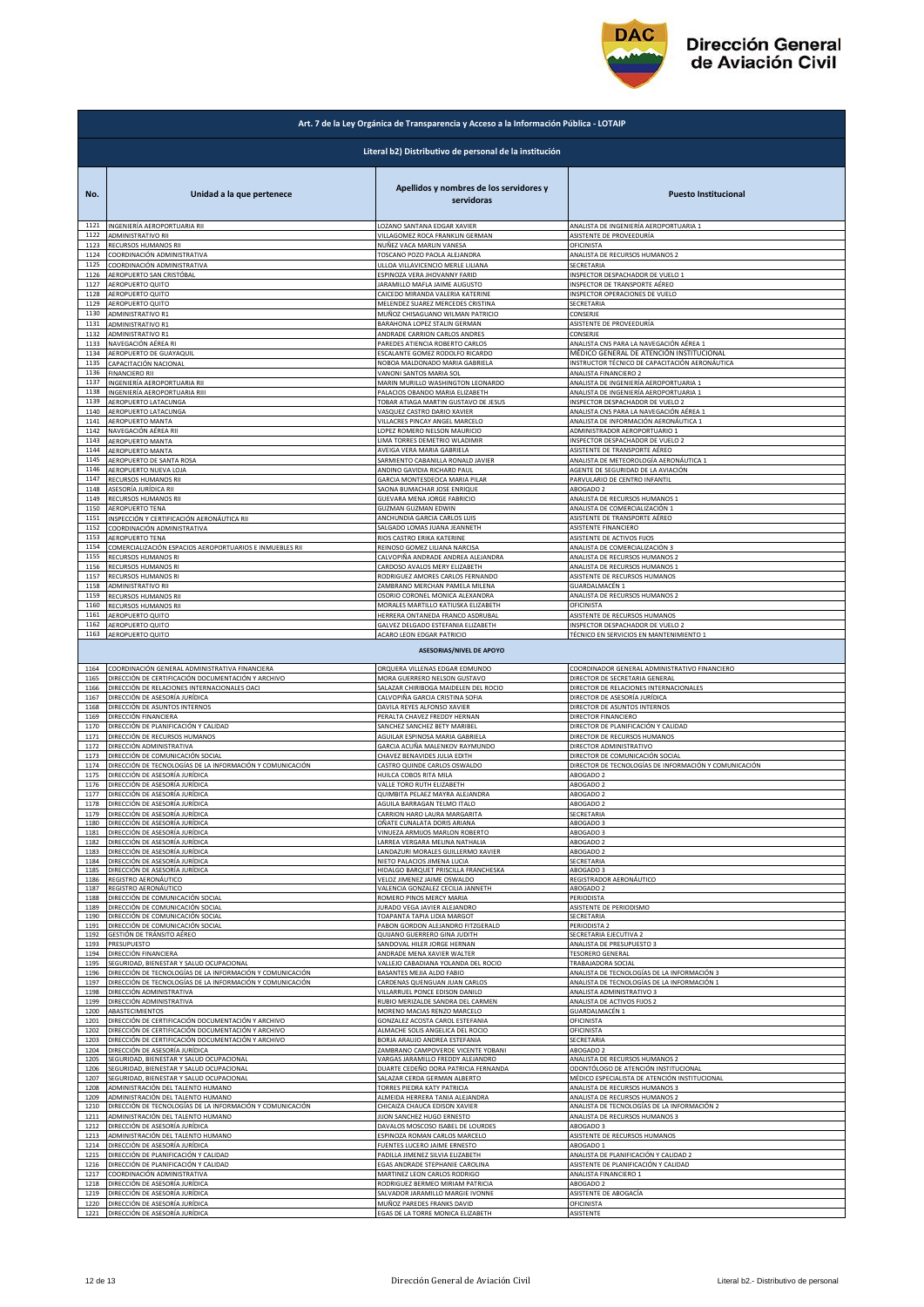

|              | Art. 7 de la Ley Orgánica de Transparencia y Acceso a la Información Pública - LOTAIP |                                                                       |                                                                                  |  |
|--------------|---------------------------------------------------------------------------------------|-----------------------------------------------------------------------|----------------------------------------------------------------------------------|--|
|              | Literal b2) Distributivo de personal de la institución                                |                                                                       |                                                                                  |  |
| No.          | Unidad a la que pertenece                                                             | Apellidos y nombres de los servidores y<br>servidoras                 | <b>Puesto Institucional</b>                                                      |  |
| 1121         | INGENIERÍA AEROPORTUARIA RII                                                          | LOZANO SANTANA EDGAR XAVIER                                           | ANALISTA DE INGENIERÍA AEROPORTUARIA 1                                           |  |
| 1122         | ADMINISTRATIVO RII                                                                    | VILLAGOMEZ ROCA FRANKLIN GERMAN                                       | ASISTENTE DE PROVEEDURÍA                                                         |  |
| 1123         | RECURSOS HUMANOS RII                                                                  | NUÑEZ VACA MARLIN VANESA                                              | OFICINISTA                                                                       |  |
| 1124         | COORDINACIÓN ADMINISTRATIVA                                                           | TOSCANO POZO PAOLA ALEJANDRA                                          | ANALISTA DE RECURSOS HUMANOS 2                                                   |  |
| 1125         | COORDINACIÓN ADMINISTRATIVA                                                           | ULLOA VILLAVICENCIO MERLE LILIANA                                     | SECRETARIA                                                                       |  |
| 1126         | AEROPUERTO SAN CRISTÓBAL                                                              | ESPINOZA VERA JHOVANNY FARID                                          | NSPECTOR DESPACHADOR DE VUELO 1                                                  |  |
| 1127<br>1128 | AEROPUERTO QUITO<br>AEROPUERTO QUITO                                                  | <b>JARAMILLO MAFLA JAIME AUGUSTO</b>                                  | INSPECTOR DE TRANSPORTE AÉREO                                                    |  |
| 1129         | AEROPUERTO QUITO                                                                      | CAICEDO MIRANDA VALERIA KATERINE<br>MELENDEZ SUAREZ MERCEDES CRISTINA | NSPECTOR OPERACIONES DE VUELO<br>SECRETARIA                                      |  |
| 1130         | ADMINISTRATIVO R1                                                                     | MUÑOZ CHISAGUANO WILMAN PATRICIO                                      | CONSERJE                                                                         |  |
| 1131         | <b>ADMINISTRATIVO R1</b>                                                              | BARAHONA LOPEZ STALIN GERMAN                                          | ASISTENTE DE PROVEEDURÍA                                                         |  |
| 1132         | <b>ADMINISTRATIVO R1</b>                                                              | ANDRADE CARRION CARLOS ANDRES                                         | CONSERJE                                                                         |  |
| 1133         | NAVEGACIÓN AÉREA RI                                                                   | PAREDES ATIENCIA ROBERTO CARLOS                                       | ANALISTA CNS PARA LA NAVEGACIÓN AÉREA 1                                          |  |
| 1134         | AEROPUERTO DE GUAYAQUIL                                                               | ESCALANTE GOMEZ RODOLFO RICARDO                                       | MÉDICO GENERAL DE ATENCIÓN INSTITUCIONAL                                         |  |
| 1135         | CAPACITACIÓN NACIONAL                                                                 | NOBOA MALDONADO MARIA GABRIELA                                        | INSTRUCTOR TÉCNICO DE CAPACITACIÓN AERONÁUTICA                                   |  |
| 1136<br>1137 | <b>FINANCIERO RII</b>                                                                 | VANONI SANTOS MARIA SOL<br>MARIN MURILLO WASHINGTON LEONARDO          | ANALISTA FINANCIERO 2                                                            |  |
| 1138         | INGENIERÍA AEROPORTUARIA RII<br>INGENIERÍA AEROPORTUARIA RIII                         | PALACIOS OBANDO MARIA ELIZABETH                                       | ANALISTA DE INGENIERÍA AEROPORTUARIA 1<br>ANALISTA DE INGENIERÍA AEROPORTUARIA 1 |  |
| 1139         | AEROPUERTO LATACUNGA                                                                  | TOBAR ATIAGA MARTIN GUSTAVO DE JESUS                                  | NSPECTOR DESPACHADOR DE VUELO 2                                                  |  |
| 1140         | AEROPUERTO LATACUNGA                                                                  | VASQUEZ CASTRO DARIO XAVIER                                           | ANALISTA CNS PARA LA NAVEGACIÓN AÉREA 1                                          |  |
| 1141         | AEROPUERTO MANTA                                                                      | VILLACRES PINCAY ANGEL MARCELO                                        | ANALISTA DE INFORMACIÓN AERONÁUTICA 1                                            |  |
| 1142         | NAVEGACIÓN AÉREA RII                                                                  | LOPEZ ROMERO NELSON MAURICIO                                          | ADMINISTRADOR AEROPORTUARIO 1                                                    |  |
| 1143         | AEROPUERTO MANTA                                                                      | LIMA TORRES DEMETRIO WLADIMIR                                         | <b>NSPECTOR DESPACHADOR DE VUELO 2</b>                                           |  |
| 1144         | AEROPUERTO MANTA                                                                      | AVEIGA VERA MARIA GABRIELA                                            | ASISTENTE DE TRANSPORTE AÉREO                                                    |  |
| 1145<br>1146 | AEROPUERTO DE SANTA ROSA                                                              | <b>SARMIENTO CABANILLA RONALD JAVIER</b>                              | ANALISTA DE METEOROLOGÍA AERONÁUTICA 1                                           |  |
| 1147         | AEROPUERTO NUEVA LOJA                                                                 | ANDINO GAVIDIA RICHARD PAU                                            | AGENTE DE SEGURIDAD DE LA AVIACIÓN                                               |  |
|              | RECURSOS HUMANOS RII                                                                  | GARCIA MONTESDEOCA MARIA PILAR                                        | PARVULARIO DE CENTRO INFANTIL                                                    |  |
| 1148         | ASESORÍA JURÍDICA RII                                                                 | SAONA BUMACHAR JOSE ENRIQUE                                           | ABOGADO 2                                                                        |  |
| 1149         | RECURSOS HUMANOS RII                                                                  | GUEVARA MENA JORGE FABRICIO                                           | ANALISTA DE RECURSOS HUMANOS 1                                                   |  |
| 1150         | AEROPUERTO TENA                                                                       | GUZMAN GUZMAN EDWIN                                                   | ANALISTA DE COMERCIALIZACIÓN 1                                                   |  |
| 1151         | INSPECCIÓN Y CERTIFICACIÓN AERONÁUTICA RIL                                            | ANCHUNDIA GARCIA CARLOS LUIS                                          | ASISTENTE DE TRANSPORTE AÉREO                                                    |  |
| 1152         | COORDINACIÓN ADMINISTRATIVA                                                           | SALGADO LOMAS JUANA JEANNETH                                          | ASISTENTE FINANCIERO                                                             |  |
| 1153         | AEROPUERTO TENA                                                                       | RIOS CASTRO ERIKA KATERINE                                            | ASISTENTE DE ACTIVOS FIJOS                                                       |  |
| 1154         | COMERCIALIZACIÓN ESPACIOS AEROPORTUARIOS E INMUEBLES RII                              | REINOSO GOMEZ LILIANA NARCISA                                         | ANALISTA DE COMERCIALIZACIÓN 3                                                   |  |
| 1155         | RECURSOS HUMANOS RI                                                                   | CALVOPIÑA ANDRADE ANDREA ALEJANDRA                                    | ANALISTA DE RECURSOS HUMANOS 2                                                   |  |
| 1156         | RECURSOS HUMANOS RI                                                                   | CARDOSO AVALOS MERY ELIZABETH                                         | ANALISTA DE RECURSOS HUMANOS 1                                                   |  |
| 1157         | RECURSOS HUMANOS RI                                                                   | RODRIGUEZ AMORES CARLOS FERNANDO                                      | ASISTENTE DE RECURSOS HUMANOS                                                    |  |
| 1158         | ADMINISTRATIVO RII                                                                    | ZAMBRANO MERCHAN PAMELA MILENA                                        | GUARDALMACÉN 1                                                                   |  |
| 1159         | RECURSOS HUMANOS RII                                                                  | OSORIO CORONEL MONICA ALEXANDRA                                       | ANALISTA DE RECURSOS HUMANOS 2                                                   |  |
| 1160         | RECURSOS HUMANOS RII                                                                  | MORALES MARTILLO KATIUSKA ELIZABETH                                   | DFICINISTA                                                                       |  |
| 1161         | AEROPUERTO QUITO                                                                      | HERRERA ONTANEDA FRANCO ASDRUBAL                                      | ASISTENTE DE RECURSOS HUMANOS                                                    |  |
| 1162         | AEROPUERTO QUITO                                                                      | GALVEZ DELGADO ESTEFANIA ELIZABETH                                    | NSPECTOR DESPACHADOR DE VUELO 2                                                  |  |
| 1163         | AEROPUERTO QUITO                                                                      | ACARO LEON EDGAR PATRICIO                                             | TÉCNICO EN SERVICIOS EN MANTENIMIENTO 1                                          |  |
|              |                                                                                       | <b>ASESORIAS/NIVEL DE APOYO</b>                                       |                                                                                  |  |
| 1164         | COORDINACIÓN GENERAL ADMINISTRATIVA FINANCIERA                                        | ORQUERA VILLENAS EDGAR EDMUNDO                                        | COORDINADOR GENERAL ADMINISTRATIVO FINANCIERO                                    |  |
| 1165         | DIRECCIÓN DE CERTIFICACIÓN DOCUMENTACIÓN Y ARCHIVO                                    | MORA GUERRERO NELSON GUSTAVO                                          | DIRECTOR DE SECRETARIA GENERAL                                                   |  |
| 1166         | DIRECCIÓN DE RELACIONES INTERNACIONALES OACI                                          | SALAZAR CHIRIBOGA MAIDELEN DEL ROCIO                                  | DIRECTOR DE RELACIONES INTERNACIONALES                                           |  |
| 1167         | DIRECCIÓN DE ASESORÍA JURÍDICA                                                        | CALVOPIÑA GARCIA CRISTINA SOFIA                                       | DIRECTOR DE ASESORÍA JURÍDICA                                                    |  |
| 1168         | DIRECCIÓN DE ASUNTOS INTERNOS                                                         | DAVILA REYES ALFONSO XAVIER                                           | DIRECTOR DE ASUNTOS INTERNOS                                                     |  |
| 1169         | DIRECCIÓN FINANCIERA                                                                  | PERALTA CHAVEZ FREDDY HERNAN                                          | DIRECTOR FINANCIERO                                                              |  |
| 1170         | DIRECCIÓN DE PLANIFICACIÓN Y CALIDAD                                                  | SANCHEZ SANCHEZ BETY MARIBEL                                          | DIRECTOR DE PLANIFICACIÓN Y CALIDAD                                              |  |
| 1171         | DIRECCIÓN DE RECURSOS HUMANOS                                                         | AGUILAR ESPINOSA MARIA GABRIELA                                       | DIRECTOR DE RECURSOS HUMANOS                                                     |  |
| 1172         | DIRECCIÓN ADMINISTRATIVA                                                              | GARCIA ACUÑA MALENKOV RAYMUNDO                                        | DIRECTOR ADMINISTRATIVO                                                          |  |
| 1173         | DIRECCIÓN DE COMUNICACIÓN SOCIAL                                                      | CHAVEZ BENAVIDES JULIA EDITH                                          | DIRECTOR DE COMUNICACIÓN SOCIAL                                                  |  |
| 1174         | DIRECCIÓN DE TECNOLOGÍAS DE LA INFORMACIÓN Y COMUNICACIÓN                             | CASTRO QUINDE CARLOS OSWALDO                                          | DIRECTOR DE TECNOLOGÍAS DE INFORMACIÓN Y COMUNICACIÓN                            |  |
| 1175         | DIRECCIÓN DE ASESORÍA JURÍDICA                                                        | HUILCA COBOS RITA MILA                                                | ABOGADO 2                                                                        |  |
| 1176         | DIRECCIÓN DE ASESORÍA JURÍDICA                                                        | VALLE TORO RUTH ELIZABETH                                             | ABOGADO 2                                                                        |  |
| 1177         | DIRECCIÓN DE ASESORÍA JURÍDICA                                                        | QUIMBITA PELAEZ MAYRA ALEJANDRA                                       | ABOGADO 2                                                                        |  |
| 1178         | DIRECCIÓN DE ASESORÍA IURÍDICA                                                        | AGUILA BARRAGAN TELMO ITALO                                           | AROGADO 2                                                                        |  |
| 1179         | DIRECCIÓN DE ASESORÍA JURÍDICA                                                        | CARRION HARO LAURA MARGARITA                                          | SECRETARIA                                                                       |  |
| 1180         | DIRECCIÓN DE ASESORÍA JURÍDICA                                                        | OÑATE CUNALATA DORIS ARIANA                                           | ABOGADO 3                                                                        |  |
| 1181         | DIRECCIÓN DE ASESORÍA JURÍDICA                                                        | VINUEZA ARMIJOS MARLON ROBERTO                                        | ABOGADO 3                                                                        |  |
| 1182         | DIRECCIÓN DE ASESORÍA JURÍDICA                                                        | ARREA VERGARA MELINA NATHALIA                                         | ABOGADO 2                                                                        |  |
| 1183         | DIRECCIÓN DE ASESORÍA JURÍDICA                                                        | ANDAZURI MORALES GUILLERMO XAVIER                                     | ABOGADO 2                                                                        |  |
| 1184         | DIRECCIÓN DE ASESORÍA JURÍDICA                                                        | NIETO PALACIOS JIMENA LUCIA                                           | SECRETARIA                                                                       |  |
| 1185         | DIRECCIÓN DE ASESORÍA JURÍDICA                                                        | HIDALGO BARQUET PRISCILLA FRANCHESKA                                  | ABOGADO 3                                                                        |  |
| 1186         | REGISTRO AERONÁUTICO                                                                  | VELOZ JIMENEZ JAIME OSWALDO                                           | REGISTRADOR AERONÁUTICO                                                          |  |
| 1187         | REGISTRO AERONÁUTICO                                                                  | VALENCIA GONZALEZ CECILIA JANNETH                                     | ABOGADO 2                                                                        |  |
| 1188         | DIRECCIÓN DE COMUNICACIÓN SOCIAL                                                      | ROMERO PINOS MERCY MARIA                                              | PERIODISTA                                                                       |  |
| 1189         | DIRECCIÓN DE COMUNICACIÓN SOCIAL                                                      | <b>JURADO VEGA JAVIER ALEJANDRO</b>                                   | ASISTENTE DE PERIODISMO                                                          |  |
| 1190<br>1191 | DIRECCIÓN DE COMUNICACIÓN SOCIAL<br>DIRECCIÓN DE COMUNICACIÓN SOCIAL                  | TOAPANTA TAPIA LIDIA MARGOT<br>PABON GORDON ALEJANDRO FITZGERALD      | SECRETARIA<br>PERIODISTA 2<br>SECRETARIA EJECUTIVA 2                             |  |
| 1192         | GESTIÓN DE TRÁNSITO AÉREO                                                             | QUIJANO GUERRERO GINA JUDITH                                          | ANALISTA DE PRESUPUESTO 3                                                        |  |
| 1193         | PRESUPUESTO                                                                           | SANDOVAL HILER JORGE HERNAN                                           |                                                                                  |  |
| 1194         | DIRECCIÓN FINANCIERA                                                                  | ANDRADE MENA XAVIER WALTER                                            | <b>TESORERO GENERAL</b>                                                          |  |
| 1195         | SEGURIDAD, BIENESTAR Y SALUD OCUPACIONAL                                              | VALLEJO CABADIANA YOLANDA DEL ROCIO                                   | TRABAJADORA SOCIAI                                                               |  |
| 1196         | DIRECCIÓN DE TECNOLOGÍAS DE LA INFORMACIÓN Y COMUNICACIÓN                             | BASANTES MEJIA ALDO FABIO                                             | ANALISTA DE TECNOLOGÍAS DE LA INFORMACIÓN 3                                      |  |
| 1197         | DIRECCIÓN DE TECNOLOGÍAS DE LA INFORMACIÓN Y COMUNICACIÓN                             | CARDENAS QUENGUAN JUAN CARLOS                                         | ANALISTA DE TECNOLOGÍAS DE LA INFORMACIÓN 1                                      |  |
| 1198         | DIRECCIÓN ADMINISTRATIVA                                                              | VILLARRUEL PONCE EDISON DANILO                                        | ANALISTA ADMINISTRATIVO 3                                                        |  |
| 1199         | DIRECCIÓN ADMINISTRATIVA                                                              | RUBIO MERIZALDE SANDRA DEL CARMEN                                     | ANALISTA DE ACTIVOS FIJOS 2                                                      |  |
| 1200         | ABASTECIMIENTOS                                                                       | MORENO MACIAS RENZO MARCELO                                           | GUARDALMACÉN 1                                                                   |  |
| 1201         | DIRECCIÓN DE CERTIFICACIÓN DOCUMENTACIÓN Y ARCHIVO                                    | GONZALEZ ACOSTA CAROL ESTEFANIA                                       | <b>DFICINISTA</b>                                                                |  |
| 1202         | DIRECCIÓN DE CERTIFICACIÓN DOCUMENTACIÓN Y ARCHIVO                                    | ALMACHE SOLIS ANGELICA DEL ROCIO                                      | OFICINISTA                                                                       |  |
| 1203         | DIRECCIÓN DE CERTIFICACIÓN DOCUMENTACIÓN Y ARCHIVO                                    | <b>SORJA ARAUJO ANDREA ESTEFANIA</b>                                  | SECRETARIA                                                                       |  |
| 1204         | DIRECCIÓN DE ASESORÍA JURÍDICA                                                        | ZAMBRANO CAMPOVERDE VICENTE YOBANI                                    | ABOGADO 2                                                                        |  |
| 1205         | SEGURIDAD, BIENESTAR Y SALUD OCUPACIONAL                                              | VARGAS JARAMILLO FREDDY ALEJANDRO                                     | ANALISTA DE RECURSOS HUMANOS 2                                                   |  |
| 1206         | SEGURIDAD, BIENESTAR Y SALUD OCUPACIONAL                                              | DUARTE CEDEÑO DORA PATRICIA FERNANDA                                  | ODONTÓLOGO DE ATENCIÓN INSTITUCIONAL                                             |  |
| 1207         | SEGURIDAD, BIENESTAR Y SALUD OCUPACIONAL                                              | SALAZAR CERDA GERMAN ALBERTO                                          | MÉDICO ESPECIALISTA DE ATENCIÓN INSTITUCIONAL                                    |  |
| 1208         | ADMINISTRACIÓN DEL TALENTO HUMANO                                                     | TORRES PIEDRA KATY PATRICIA                                           | ANALISTA DE RECURSOS HUMANOS 3                                                   |  |
| 1209         | ADMINISTRACIÓN DEL TALENTO HUMANO                                                     | ALMEIDA HERRERA TANIA ALEJANDRA                                       | ANALISTA DE RECURSOS HUMANOS 2                                                   |  |
| 1210         | DIRECCIÓN DE TECNOLOGÍAS DE LA INFORMACIÓN Y COMUNICACIÓN                             | CHICAIZA CHAUCA EDISON XAVIER                                         | ANALISTA DE TECNOLOGÍAS DE LA INFORMACIÓN 2                                      |  |
| 1211<br>1212 | ADMINISTRACIÓN DEL TALENTO HUMANO                                                     | <b>IIJON SANCHEZ HUGO ERNESTO</b>                                     | ANALISTA DE RECURSOS HUMANOS 3<br>ABOGADO 3                                      |  |
| 1213         | DIRECCIÓN DE ASESORÍA JURÍDICA<br>ADMINISTRACIÓN DEL TALENTO HUMANO                   | DAVALOS MOSCOSO ISABEL DE LOURDES<br>ESPINOZA ROMAN CARLOS MARCELO    | ASISTENTE DE RECURSOS HUMANOS                                                    |  |
| 1214         | DIRECCIÓN DE ASESORÍA JURÍDICA                                                        | FUENTES LUCERO JAIME ERNESTO                                          | ABOGADO 1                                                                        |  |
| 1215         | DIRECCIÓN DE PLANIFICACIÓN Y CALIDAD                                                  | PADILLA JIMENEZ SILVIA ELIZABETH                                      | ANALISTA DE PLANIFICACIÓN Y CALIDAD 2                                            |  |
| 1216         | DIRECCIÓN DE PLANIFICACIÓN Y CALIDAD                                                  | EGAS ANDRADE STEPHANIE CAROLINA                                       | ASISTENTE DE PLANIFICACIÓN Y CALIDAD                                             |  |
| 1217         | COORDINACIÓN ADMINISTRATIVA                                                           | MARTINEZ LEON CARLOS RODRIGO                                          | ANALISTA FINANCIERO 1                                                            |  |
| 1218         | DIRECCIÓN DE ASESORÍA JURÍDICA                                                        | RODRIGUEZ BERMEO MIRIAM PATRICIA                                      | ABOGADO 2                                                                        |  |
| 1219         | DIRECCIÓN DE ASESORÍA JURÍDICA                                                        | SALVADOR JARAMILLO MARGIE IVONNE                                      | ASISTENTE DE ABOGACÍA                                                            |  |
| 1220         | DIRECCIÓN DE ASESORÍA JURÍDICA                                                        | MUÑOZ PAREDES FRANKS DAVID                                            | OFICINISTA                                                                       |  |
|              | 1221 DIRECCIÓN DE ASESORÍA JURÍDICA                                                   | EGAS DE LA TORRE MONICA ELIZABETH                                     | ASISTENTE                                                                        |  |